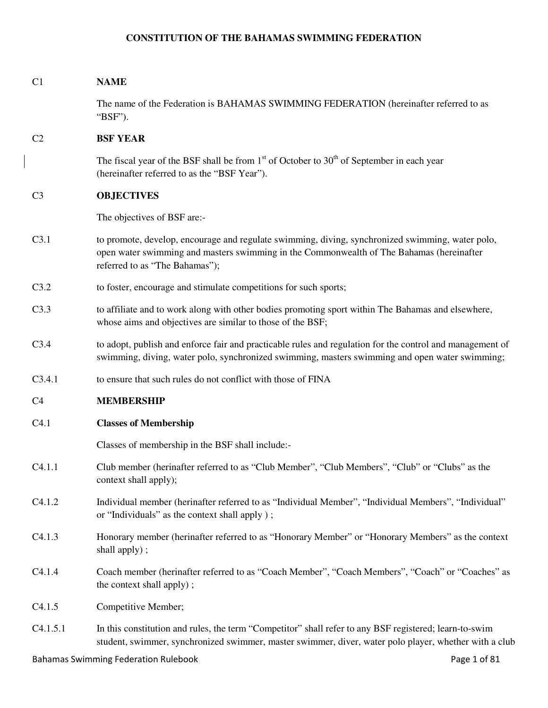# **CONSTITUTION OF THE BAHAMAS SWIMMING FEDERATION**

| C <sub>1</sub> | <b>NAME</b>                                                                                                                                                                                                                    |  |
|----------------|--------------------------------------------------------------------------------------------------------------------------------------------------------------------------------------------------------------------------------|--|
|                | The name of the Federation is BAHAMAS SWIMMING FEDERATION (hereinafter referred to as<br>"BSF").                                                                                                                               |  |
| C <sub>2</sub> | <b>BSF YEAR</b>                                                                                                                                                                                                                |  |
|                | The fiscal year of the BSF shall be from $1st$ of October to $30th$ of September in each year<br>(hereinafter referred to as the "BSF Year").                                                                                  |  |
| C <sub>3</sub> | <b>OBJECTIVES</b>                                                                                                                                                                                                              |  |
|                | The objectives of BSF are:-                                                                                                                                                                                                    |  |
| C3.1           | to promote, develop, encourage and regulate swimming, diving, synchronized swimming, water polo,<br>open water swimming and masters swimming in the Commonwealth of The Bahamas (hereinafter<br>referred to as "The Bahamas"); |  |
| C3.2           | to foster, encourage and stimulate competitions for such sports;                                                                                                                                                               |  |
| C3.3           | to affiliate and to work along with other bodies promoting sport within The Bahamas and elsewhere,<br>whose aims and objectives are similar to those of the BSF;                                                               |  |
| C3.4           | to adopt, publish and enforce fair and practicable rules and regulation for the control and management of<br>swimming, diving, water polo, synchronized swimming, masters swimming and open water swimming;                    |  |
| C3.4.1         | to ensure that such rules do not conflict with those of FINA                                                                                                                                                                   |  |
| C <sub>4</sub> | <b>MEMBERSHIP</b>                                                                                                                                                                                                              |  |
| C4.1           | <b>Classes of Membership</b>                                                                                                                                                                                                   |  |
|                | Classes of membership in the BSF shall include:-                                                                                                                                                                               |  |
| C4.1.1         | Club member (herinafter referred to as "Club Member", "Club Members", "Club" or "Clubs" as the<br>context shall apply);                                                                                                        |  |
| C4.1.2         | Individual member (herinafter referred to as "Individual Member", "Individual Members", "Individual"<br>or "Individuals" as the context shall apply);                                                                          |  |
| C4.1.3         | Honorary member (herinafter referred to as "Honorary Member" or "Honorary Members" as the context<br>shall apply);                                                                                                             |  |
| C4.1.4         | Coach member (herinafter referred to as "Coach Member", "Coach Members", "Coach" or "Coaches" as<br>the context shall apply);                                                                                                  |  |
| C4.1.5         | Competitive Member;                                                                                                                                                                                                            |  |
| C4.1.5.1       | In this constitution and rules, the term "Competitor" shall refer to any BSF registered; learn-to-swim<br>student, swimmer, synchronized swimmer, master swimmer, diver, water polo player, whether with a club                |  |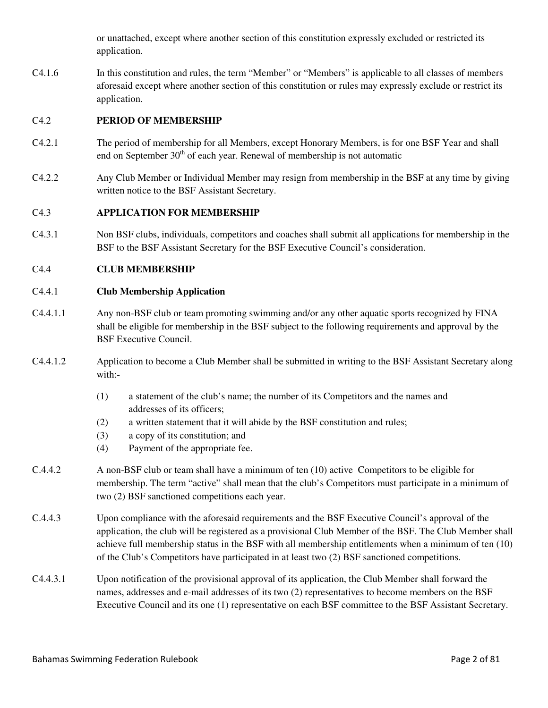or unattached, except where another section of this constitution expressly excluded or restricted its application.

C4.1.6 In this constitution and rules, the term "Member" or "Members" is applicable to all classes of members aforesaid except where another section of this constitution or rules may expressly exclude or restrict its application.

# C4.2 **PERIOD OF MEMBERSHIP**

- C4.2.1 The period of membership for all Members, except Honorary Members, is for one BSF Year and shall end on September  $30<sup>th</sup>$  of each year. Renewal of membership is not automatic
- C4.2.2 Any Club Member or Individual Member may resign from membership in the BSF at any time by giving written notice to the BSF Assistant Secretary.

# C4.3 **APPLICATION FOR MEMBERSHIP**

C4.3.1 Non BSF clubs, individuals, competitors and coaches shall submit all applications for membership in the BSF to the BSF Assistant Secretary for the BSF Executive Council's consideration.

# C4.4 **CLUB MEMBERSHIP**

# C4.4.1 **Club Membership Application**

- C4.4.1.1 Any non-BSF club or team promoting swimming and/or any other aquatic sports recognized by FINA shall be eligible for membership in the BSF subject to the following requirements and approval by the BSF Executive Council.
- C4.4.1.2 Application to become a Club Member shall be submitted in writing to the BSF Assistant Secretary along with:-
	- (1) a statement of the club's name; the number of its Competitors and the names and addresses of its officers;
	- (2) a written statement that it will abide by the BSF constitution and rules;
	- (3) a copy of its constitution; and
	- (4) Payment of the appropriate fee.
- C.4.4.2 A non-BSF club or team shall have a minimum of ten (10) active Competitors to be eligible for membership. The term "active" shall mean that the club's Competitors must participate in a minimum of two (2) BSF sanctioned competitions each year.
- C.4.4.3 Upon compliance with the aforesaid requirements and the BSF Executive Council's approval of the application, the club will be registered as a provisional Club Member of the BSF. The Club Member shall achieve full membership status in the BSF with all membership entitlements when a minimum of ten (10) of the Club's Competitors have participated in at least two (2) BSF sanctioned competitions.
- C4.4.3.1 Upon notification of the provisional approval of its application, the Club Member shall forward the names, addresses and e-mail addresses of its two (2) representatives to become members on the BSF Executive Council and its one (1) representative on each BSF committee to the BSF Assistant Secretary.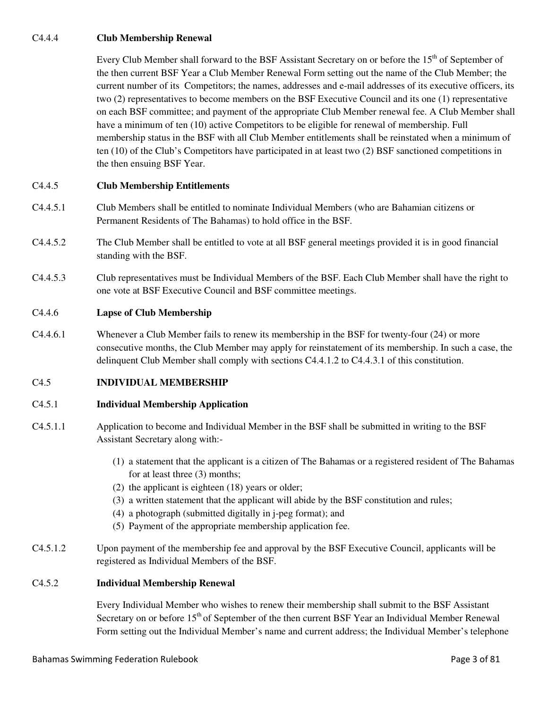# C4.4.4 **Club Membership Renewal**

Every Club Member shall forward to the BSF Assistant Secretary on or before the 15<sup>th</sup> of September of the then current BSF Year a Club Member Renewal Form setting out the name of the Club Member; the current number of its Competitors; the names, addresses and e-mail addresses of its executive officers, its two (2) representatives to become members on the BSF Executive Council and its one (1) representative on each BSF committee; and payment of the appropriate Club Member renewal fee. A Club Member shall have a minimum of ten (10) active Competitors to be eligible for renewal of membership. Full membership status in the BSF with all Club Member entitlements shall be reinstated when a minimum of ten (10) of the Club's Competitors have participated in at least two (2) BSF sanctioned competitions in the then ensuing BSF Year.

# C4.4.5 **Club Membership Entitlements**

- C4.4.5.1 Club Members shall be entitled to nominate Individual Members (who are Bahamian citizens or Permanent Residents of The Bahamas) to hold office in the BSF.
- C4.4.5.2 The Club Member shall be entitled to vote at all BSF general meetings provided it is in good financial standing with the BSF.
- C4.4.5.3 Club representatives must be Individual Members of the BSF. Each Club Member shall have the right to one vote at BSF Executive Council and BSF committee meetings.

# C4.4.6 **Lapse of Club Membership**

C4.4.6.1 Whenever a Club Member fails to renew its membership in the BSF for twenty-four (24) or more consecutive months, the Club Member may apply for reinstatement of its membership. In such a case, the delinquent Club Member shall comply with sections C4.4.1.2 to C4.4.3.1 of this constitution.

# C4.5 **INDIVIDUAL MEMBERSHIP**

# C4.5.1 **Individual Membership Application**

- C4.5.1.1 Application to become and Individual Member in the BSF shall be submitted in writing to the BSF Assistant Secretary along with:-
	- (1) a statement that the applicant is a citizen of The Bahamas or a registered resident of The Bahamas for at least three (3) months;
	- (2) the applicant is eighteen (18) years or older;
	- (3) a written statement that the applicant will abide by the BSF constitution and rules;
	- (4) a photograph (submitted digitally in j-peg format); and
	- (5) Payment of the appropriate membership application fee.
- C4.5.1.2 Upon payment of the membership fee and approval by the BSF Executive Council, applicants will be registered as Individual Members of the BSF.

# C4.5.2 **Individual Membership Renewal**

 Every Individual Member who wishes to renew their membership shall submit to the BSF Assistant Secretary on or before 15<sup>th</sup> of September of the then current BSF Year an Individual Member Renewal Form setting out the Individual Member's name and current address; the Individual Member's telephone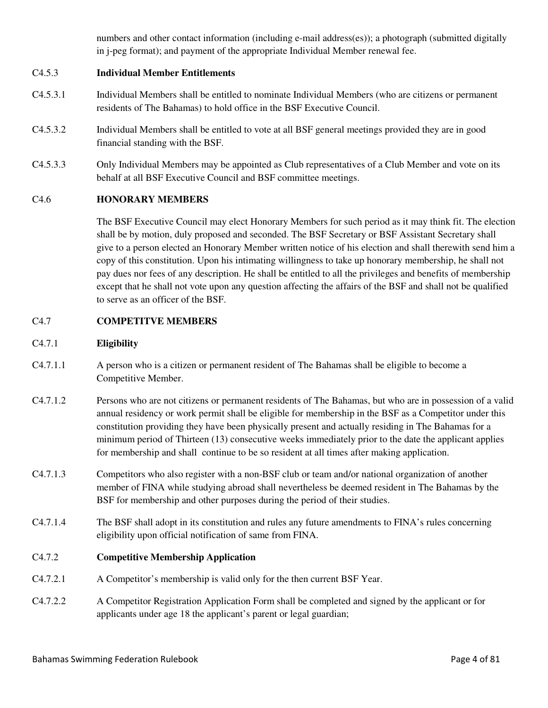numbers and other contact information (including e-mail address(es)); a photograph (submitted digitally in j-peg format); and payment of the appropriate Individual Member renewal fee.

# C4.5.3 **Individual Member Entitlements**

- C4.5.3.1 Individual Members shall be entitled to nominate Individual Members (who are citizens or permanent residents of The Bahamas) to hold office in the BSF Executive Council.
- C4.5.3.2 Individual Members shall be entitled to vote at all BSF general meetings provided they are in good financial standing with the BSF.
- C4.5.3.3 Only Individual Members may be appointed as Club representatives of a Club Member and vote on its behalf at all BSF Executive Council and BSF committee meetings.

# C4.6 **HONORARY MEMBERS**

 The BSF Executive Council may elect Honorary Members for such period as it may think fit. The election shall be by motion, duly proposed and seconded. The BSF Secretary or BSF Assistant Secretary shall give to a person elected an Honorary Member written notice of his election and shall therewith send him a copy of this constitution. Upon his intimating willingness to take up honorary membership, he shall not pay dues nor fees of any description. He shall be entitled to all the privileges and benefits of membership except that he shall not vote upon any question affecting the affairs of the BSF and shall not be qualified to serve as an officer of the BSF.

# C4.7 **COMPETITVE MEMBERS**

# C4.7.1 **Eligibility**

- C4.7.1.1 A person who is a citizen or permanent resident of The Bahamas shall be eligible to become a Competitive Member.
- C4.7.1.2 Persons who are not citizens or permanent residents of The Bahamas, but who are in possession of a valid annual residency or work permit shall be eligible for membership in the BSF as a Competitor under this constitution providing they have been physically present and actually residing in The Bahamas for a minimum period of Thirteen (13) consecutive weeks immediately prior to the date the applicant applies for membership and shall continue to be so resident at all times after making application.
- C4.7.1.3 Competitors who also register with a non-BSF club or team and/or national organization of another member of FINA while studying abroad shall nevertheless be deemed resident in The Bahamas by the BSF for membership and other purposes during the period of their studies.
- C4.7.1.4 The BSF shall adopt in its constitution and rules any future amendments to FINA's rules concerning eligibility upon official notification of same from FINA.

# C4.7.2 **Competitive Membership Application**

- C4.7.2.1 A Competitor's membership is valid only for the then current BSF Year.
- C4.7.2.2 A Competitor Registration Application Form shall be completed and signed by the applicant or for applicants under age 18 the applicant's parent or legal guardian;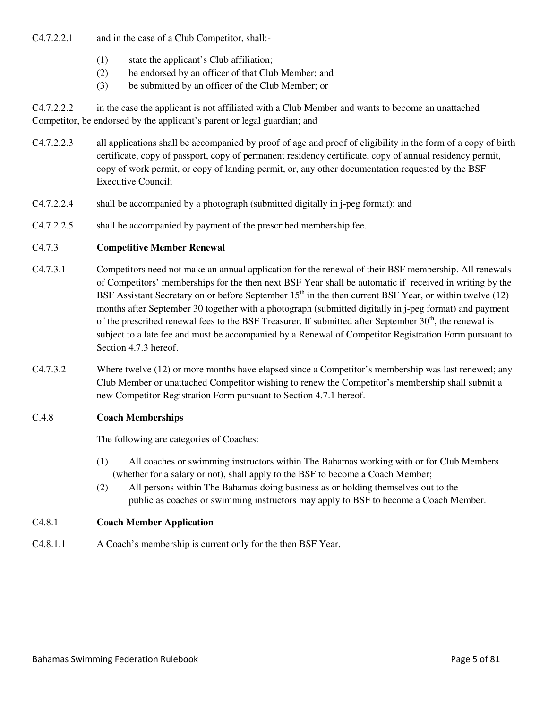C4.7.2.2.1 and in the case of a Club Competitor, shall:-

- (1) state the applicant's Club affiliation;
- (2) be endorsed by an officer of that Club Member; and
- (3) be submitted by an officer of the Club Member; or

C4.7.2.2.2 in the case the applicant is not affiliated with a Club Member and wants to become an unattached Competitor, be endorsed by the applicant's parent or legal guardian; and

- C4.7.2.2.3 all applications shall be accompanied by proof of age and proof of eligibility in the form of a copy of birth certificate, copy of passport, copy of permanent residency certificate, copy of annual residency permit, copy of work permit, or copy of landing permit, or, any other documentation requested by the BSF Executive Council;
- C4.7.2.2.4 shall be accompanied by a photograph (submitted digitally in j-peg format); and
- C4.7.2.2.5 shall be accompanied by payment of the prescribed membership fee.

# C4.7.3 **Competitive Member Renewal**

- C4.7.3.1 Competitors need not make an annual application for the renewal of their BSF membership. All renewals of Competitors' memberships for the then next BSF Year shall be automatic if received in writing by the BSF Assistant Secretary on or before September  $15<sup>th</sup>$  in the then current BSF Year, or within twelve (12) months after September 30 together with a photograph (submitted digitally in j-peg format) and payment of the prescribed renewal fees to the BSF Treasurer. If submitted after September  $30<sup>th</sup>$ , the renewal is subject to a late fee and must be accompanied by a Renewal of Competitor Registration Form pursuant to Section 4.7.3 hereof.
- C4.7.3.2 Where twelve (12) or more months have elapsed since a Competitor's membership was last renewed; any Club Member or unattached Competitor wishing to renew the Competitor's membership shall submit a new Competitor Registration Form pursuant to Section 4.7.1 hereof.

# C.4.8 **Coach Memberships**

The following are categories of Coaches:

- (1) All coaches or swimming instructors within The Bahamas working with or for Club Members (whether for a salary or not), shall apply to the BSF to become a Coach Member;
- (2) All persons within The Bahamas doing business as or holding themselves out to the public as coaches or swimming instructors may apply to BSF to become a Coach Member.

# C4.8.1 **Coach Member Application**

C4.8.1.1 A Coach's membership is current only for the then BSF Year.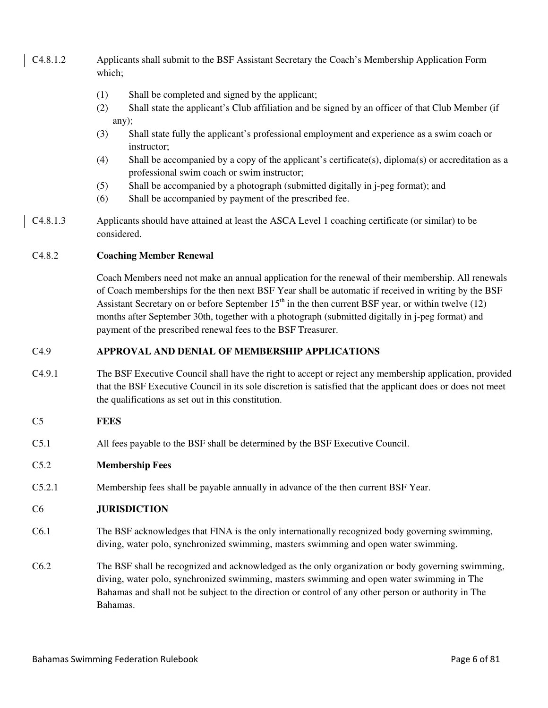- C4.8.1.2 Applicants shall submit to the BSF Assistant Secretary the Coach's Membership Application Form which;
	- (1) Shall be completed and signed by the applicant;
	- (2) Shall state the applicant's Club affiliation and be signed by an officer of that Club Member (if any);
	- (3) Shall state fully the applicant's professional employment and experience as a swim coach or instructor;
	- (4) Shall be accompanied by a copy of the applicant's certificate(s), diploma(s) or accreditation as a professional swim coach or swim instructor;
	- (5) Shall be accompanied by a photograph (submitted digitally in j-peg format); and
	- (6) Shall be accompanied by payment of the prescribed fee.
- C4.8.1.3 Applicants should have attained at least the ASCA Level 1 coaching certificate (or similar) to be considered.

# C4.8.2 **Coaching Member Renewal**

Coach Members need not make an annual application for the renewal of their membership. All renewals of Coach memberships for the then next BSF Year shall be automatic if received in writing by the BSF Assistant Secretary on or before September  $15<sup>th</sup>$  in the then current BSF year, or within twelve (12) months after September 30th, together with a photograph (submitted digitally in j-peg format) and payment of the prescribed renewal fees to the BSF Treasurer.

# C4.9 **APPROVAL AND DENIAL OF MEMBERSHIP APPLICATIONS**

C4.9.1 The BSF Executive Council shall have the right to accept or reject any membership application, provided that the BSF Executive Council in its sole discretion is satisfied that the applicant does or does not meet the qualifications as set out in this constitution.

# C5 **FEES**

C5.1 All fees payable to the BSF shall be determined by the BSF Executive Council.

# C5.2 **Membership Fees**

C5.2.1 Membership fees shall be payable annually in advance of the then current BSF Year.

# C6 **JURISDICTION**

- C6.1 The BSF acknowledges that FINA is the only internationally recognized body governing swimming, diving, water polo, synchronized swimming, masters swimming and open water swimming.
- C6.2 The BSF shall be recognized and acknowledged as the only organization or body governing swimming, diving, water polo, synchronized swimming, masters swimming and open water swimming in The Bahamas and shall not be subject to the direction or control of any other person or authority in The Bahamas.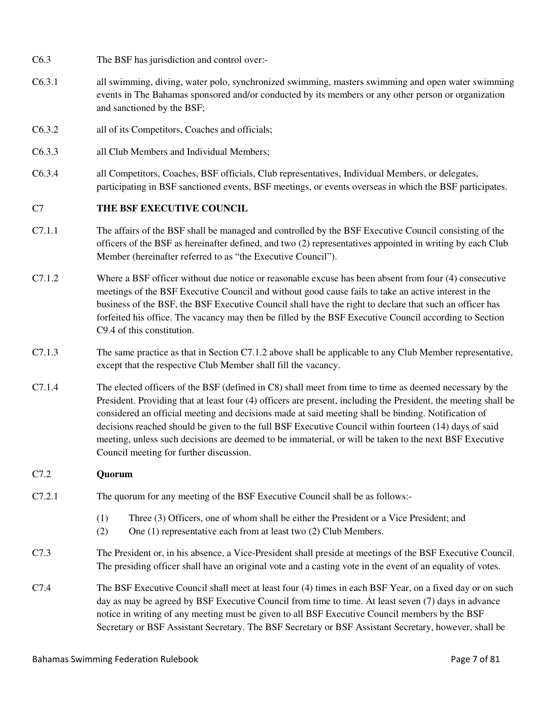- C6.3 The BSF has jurisdiction and control over:-
- C6.3.1 all swimming, diving, water polo, synchronized swimming, masters swimming and open water swimming events in The Bahamas sponsored and/or conducted by its members or any other person or organization and sanctioned by the BSF;
- C6.3.2 all of its Competitors, Coaches and officials;
- C6.3.3 all Club Members and Individual Members;
- C6.3.4 all Competitors, Coaches, BSF officials, Club representatives, Individual Members, or delegates, participating in BSF sanctioned events, BSF meetings, or events overseas in which the BSF participates.

# C7 **THE BSF EXECUTIVE COUNCIL**

- C7.1.1 The affairs of the BSF shall be managed and controlled by the BSF Executive Council consisting of the officers of the BSF as hereinafter defined, and two (2) representatives appointed in writing by each Club Member (hereinafter referred to as "the Executive Council").
- C7.1.2 Where a BSF officer without due notice or reasonable excuse has been absent from four (4) consecutive meetings of the BSF Executive Council and without good cause fails to take an active interest in the business of the BSF, the BSF Executive Council shall have the right to declare that such an officer has forfeited his office. The vacancy may then be filled by the BSF Executive Council according to Section C9.4 of this constitution.
- C7.1.3 The same practice as that in Section C7.1.2 above shall be applicable to any Club Member representative, except that the respective Club Member shall fill the vacancy.
- C7.1.4 The elected officers of the BSF (defined in C8) shall meet from time to time as deemed necessary by the President. Providing that at least four (4) officers are present, including the President, the meeting shall be considered an official meeting and decisions made at said meeting shall be binding. Notification of decisions reached should be given to the full BSF Executive Council within fourteen (14) days of said meeting, unless such decisions are deemed to be immaterial, or will be taken to the next BSF Executive Council meeting for further discussion.

# C7.2 **Quorum**

- C7.2.1 The quorum for any meeting of the BSF Executive Council shall be as follows:-
	- (1) Three (3) Officers, one of whom shall be either the President or a Vice President; and
	- (2) One (1) representative each from at least two (2) Club Members.
- C7.3 The President or, in his absence, a Vice-President shall preside at meetings of the BSF Executive Council. The presiding officer shall have an original vote and a casting vote in the event of an equality of votes.
- C7.4 The BSF Executive Council shall meet at least four (4) times in each BSF Year, on a fixed day or on such day as may be agreed by BSF Executive Council from time to time. At least seven (7) days in advance notice in writing of any meeting must be given to all BSF Executive Council members by the BSF Secretary or BSF Assistant Secretary. The BSF Secretary or BSF Assistant Secretary, however, shall be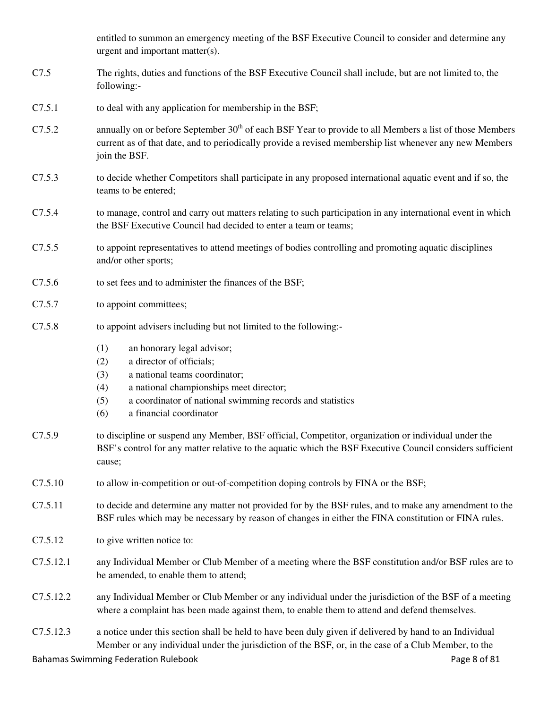entitled to summon an emergency meeting of the BSF Executive Council to consider and determine any urgent and important matter(s).

- C7.5 The rights, duties and functions of the BSF Executive Council shall include, but are not limited to, the following:-
- C7.5.1 to deal with any application for membership in the BSF;
- C7.5.2 annually on or before September  $30<sup>th</sup>$  of each BSF Year to provide to all Members a list of those Members current as of that date, and to periodically provide a revised membership list whenever any new Members join the BSF.
- C7.5.3 to decide whether Competitors shall participate in any proposed international aquatic event and if so, the teams to be entered;
- C7.5.4 to manage, control and carry out matters relating to such participation in any international event in which the BSF Executive Council had decided to enter a team or teams;
- C7.5.5 to appoint representatives to attend meetings of bodies controlling and promoting aquatic disciplines and/or other sports;
- C7.5.6 to set fees and to administer the finances of the BSF;
- C7.5.7 to appoint committees;
- C7.5.8 to appoint advisers including but not limited to the following:-
	- (1) an honorary legal advisor;
	- (2) a director of officials;
	- (3) a national teams coordinator;
	- (4) a national championships meet director;
	- (5) a coordinator of national swimming records and statistics
	- (6) a financial coordinator
- C7.5.9 to discipline or suspend any Member, BSF official, Competitor, organization or individual under the BSF's control for any matter relative to the aquatic which the BSF Executive Council considers sufficient cause;
- C7.5.10 to allow in-competition or out-of-competition doping controls by FINA or the BSF;
- C7.5.11 to decide and determine any matter not provided for by the BSF rules, and to make any amendment to the BSF rules which may be necessary by reason of changes in either the FINA constitution or FINA rules.
- C7.5.12 to give written notice to:
- C7.5.12.1 any Individual Member or Club Member of a meeting where the BSF constitution and/or BSF rules are to be amended, to enable them to attend;
- C7.5.12.2 any Individual Member or Club Member or any individual under the jurisdiction of the BSF of a meeting where a complaint has been made against them, to enable them to attend and defend themselves.
- C7.5.12.3 a notice under this section shall be held to have been duly given if delivered by hand to an Individual Member or any individual under the jurisdiction of the BSF, or, in the case of a Club Member, to the

Bahamas Swimming Federation Rulebook **Page 8 of 81**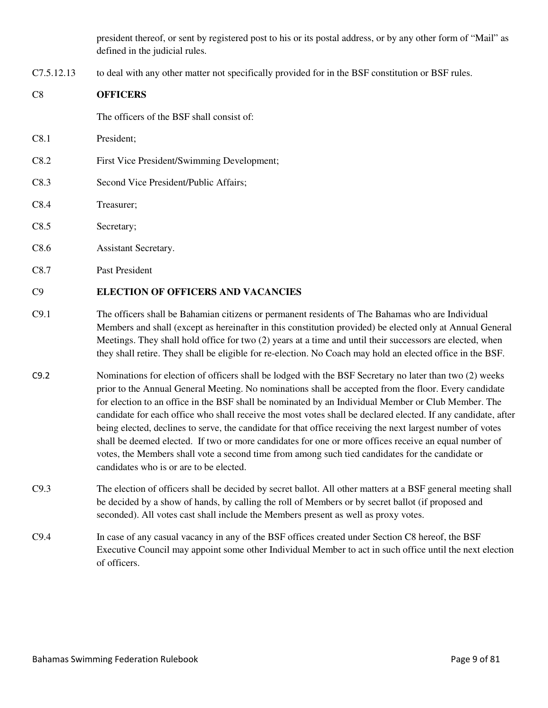president thereof, or sent by registered post to his or its postal address, or by any other form of "Mail" as defined in the judicial rules.

C7.5.12.13 to deal with any other matter not specifically provided for in the BSF constitution or BSF rules.

# C8 **OFFICERS**

The officers of the BSF shall consist of:

- C8.1 President;
- C8.2 First Vice President/Swimming Development;
- C8.3 Second Vice President/Public Affairs;
- C8.4 Treasurer;
- C8.5 Secretary;
- C8.6 Assistant Secretary.
- C8.7 Past President

# C9 **ELECTION OF OFFICERS AND VACANCIES**

- C9.1 The officers shall be Bahamian citizens or permanent residents of The Bahamas who are Individual Members and shall (except as hereinafter in this constitution provided) be elected only at Annual General Meetings. They shall hold office for two (2) years at a time and until their successors are elected, when they shall retire. They shall be eligible for re-election. No Coach may hold an elected office in the BSF.
- C9.2 Nominations for election of officers shall be lodged with the BSF Secretary no later than two (2) weeks prior to the Annual General Meeting. No nominations shall be accepted from the floor. Every candidate for election to an office in the BSF shall be nominated by an Individual Member or Club Member. The candidate for each office who shall receive the most votes shall be declared elected. If any candidate, after being elected, declines to serve, the candidate for that office receiving the next largest number of votes shall be deemed elected. If two or more candidates for one or more offices receive an equal number of votes, the Members shall vote a second time from among such tied candidates for the candidate or candidates who is or are to be elected.
- C9.3 The election of officers shall be decided by secret ballot. All other matters at a BSF general meeting shall be decided by a show of hands, by calling the roll of Members or by secret ballot (if proposed and seconded). All votes cast shall include the Members present as well as proxy votes.
- C9.4 In case of any casual vacancy in any of the BSF offices created under Section C8 hereof, the BSF Executive Council may appoint some other Individual Member to act in such office until the next election of officers.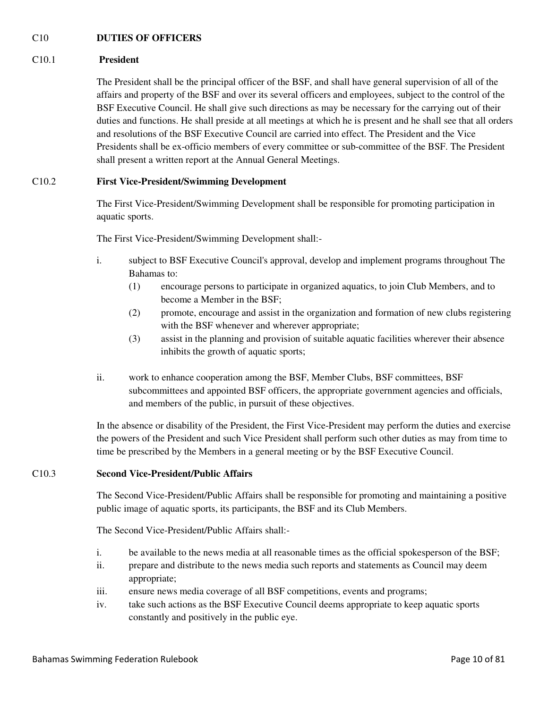# C10 **DUTIES OF OFFICERS**

# C10.1 **President**

The President shall be the principal officer of the BSF, and shall have general supervision of all of the affairs and property of the BSF and over its several officers and employees, subject to the control of the BSF Executive Council. He shall give such directions as may be necessary for the carrying out of their duties and functions. He shall preside at all meetings at which he is present and he shall see that all orders and resolutions of the BSF Executive Council are carried into effect. The President and the Vice Presidents shall be ex-officio members of every committee or sub-committee of the BSF. The President shall present a written report at the Annual General Meetings.

# C10.2 **First Vice-President/Swimming Development**

The First Vice-President/Swimming Development shall be responsible for promoting participation in aquatic sports.

The First Vice-President/Swimming Development shall:-

- i. subject to BSF Executive Council's approval, develop and implement programs throughout The Bahamas to:
	- (1) encourage persons to participate in organized aquatics, to join Club Members, and to become a Member in the BSF;
	- (2) promote, encourage and assist in the organization and formation of new clubs registering with the BSF whenever and wherever appropriate;
	- (3) assist in the planning and provision of suitable aquatic facilities wherever their absence inhibits the growth of aquatic sports;
- ii. work to enhance cooperation among the BSF, Member Clubs, BSF committees, BSF subcommittees and appointed BSF officers, the appropriate government agencies and officials, and members of the public, in pursuit of these objectives.

In the absence or disability of the President, the First Vice-President may perform the duties and exercise the powers of the President and such Vice President shall perform such other duties as may from time to time be prescribed by the Members in a general meeting or by the BSF Executive Council.

# C10.3 **Second Vice-President/Public Affairs**

The Second Vice-President/Public Affairs shall be responsible for promoting and maintaining a positive public image of aquatic sports, its participants, the BSF and its Club Members.

The Second Vice-President/Public Affairs shall:-

- i. be available to the news media at all reasonable times as the official spokesperson of the BSF;
- ii. prepare and distribute to the news media such reports and statements as Council may deem appropriate;
- iii. ensure news media coverage of all BSF competitions, events and programs;
- iv. take such actions as the BSF Executive Council deems appropriate to keep aquatic sports constantly and positively in the public eye.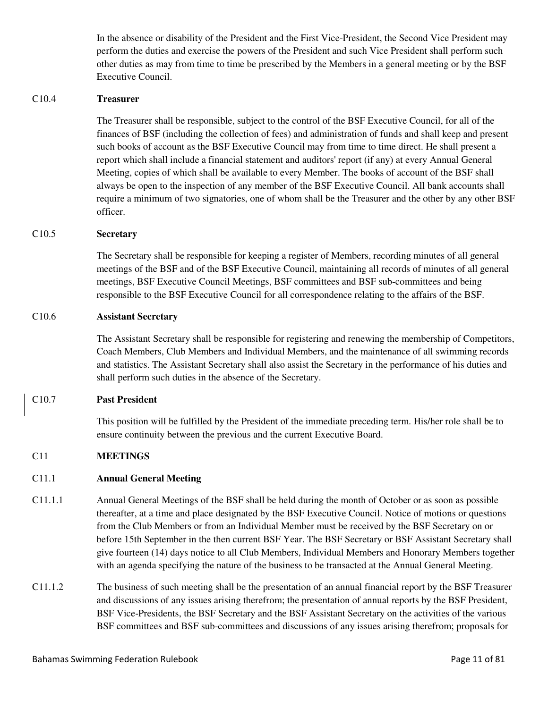In the absence or disability of the President and the First Vice-President, the Second Vice President may perform the duties and exercise the powers of the President and such Vice President shall perform such other duties as may from time to time be prescribed by the Members in a general meeting or by the BSF Executive Council.

## C10.4 **Treasurer**

The Treasurer shall be responsible, subject to the control of the BSF Executive Council, for all of the finances of BSF (including the collection of fees) and administration of funds and shall keep and present such books of account as the BSF Executive Council may from time to time direct. He shall present a report which shall include a financial statement and auditors' report (if any) at every Annual General Meeting, copies of which shall be available to every Member. The books of account of the BSF shall always be open to the inspection of any member of the BSF Executive Council. All bank accounts shall require a minimum of two signatories, one of whom shall be the Treasurer and the other by any other BSF officer.

### C10.5 **Secretary**

The Secretary shall be responsible for keeping a register of Members, recording minutes of all general meetings of the BSF and of the BSF Executive Council, maintaining all records of minutes of all general meetings, BSF Executive Council Meetings, BSF committees and BSF sub-committees and being responsible to the BSF Executive Council for all correspondence relating to the affairs of the BSF.

### C10.6 **Assistant Secretary**

The Assistant Secretary shall be responsible for registering and renewing the membership of Competitors, Coach Members, Club Members and Individual Members, and the maintenance of all swimming records and statistics. The Assistant Secretary shall also assist the Secretary in the performance of his duties and shall perform such duties in the absence of the Secretary.

#### C10.7 **Past President**

This position will be fulfilled by the President of the immediate preceding term. His/her role shall be to ensure continuity between the previous and the current Executive Board.

# C11 **MEETINGS**

#### C11.1 **Annual General Meeting**

- C11.1.1 Annual General Meetings of the BSF shall be held during the month of October or as soon as possible thereafter, at a time and place designated by the BSF Executive Council. Notice of motions or questions from the Club Members or from an Individual Member must be received by the BSF Secretary on or before 15th September in the then current BSF Year. The BSF Secretary or BSF Assistant Secretary shall give fourteen (14) days notice to all Club Members, Individual Members and Honorary Members together with an agenda specifying the nature of the business to be transacted at the Annual General Meeting.
- C11.1.2 The business of such meeting shall be the presentation of an annual financial report by the BSF Treasurer and discussions of any issues arising therefrom; the presentation of annual reports by the BSF President, BSF Vice-Presidents, the BSF Secretary and the BSF Assistant Secretary on the activities of the various BSF committees and BSF sub-committees and discussions of any issues arising therefrom; proposals for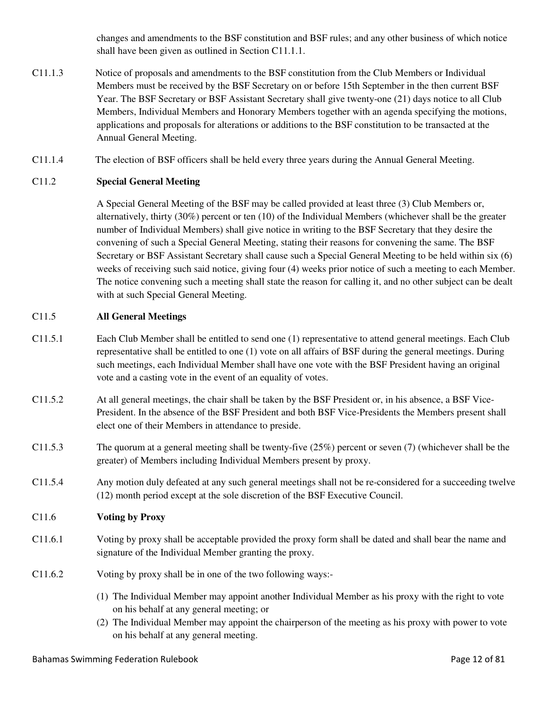changes and amendments to the BSF constitution and BSF rules; and any other business of which notice shall have been given as outlined in Section C11.1.1.

- C11.1.3 Notice of proposals and amendments to the BSF constitution from the Club Members or Individual Members must be received by the BSF Secretary on or before 15th September in the then current BSF Year. The BSF Secretary or BSF Assistant Secretary shall give twenty-one (21) days notice to all Club Members, Individual Members and Honorary Members together with an agenda specifying the motions, applications and proposals for alterations or additions to the BSF constitution to be transacted at the Annual General Meeting.
- C11.1.4 The election of BSF officers shall be held every three years during the Annual General Meeting.

# C11.2 **Special General Meeting**

A Special General Meeting of the BSF may be called provided at least three (3) Club Members or, alternatively, thirty (30%) percent or ten (10) of the Individual Members (whichever shall be the greater number of Individual Members) shall give notice in writing to the BSF Secretary that they desire the convening of such a Special General Meeting, stating their reasons for convening the same. The BSF Secretary or BSF Assistant Secretary shall cause such a Special General Meeting to be held within six (6) weeks of receiving such said notice, giving four (4) weeks prior notice of such a meeting to each Member. The notice convening such a meeting shall state the reason for calling it, and no other subject can be dealt with at such Special General Meeting.

# C11.5 **All General Meetings**

- C11.5.1 Each Club Member shall be entitled to send one (1) representative to attend general meetings. Each Club representative shall be entitled to one (1) vote on all affairs of BSF during the general meetings. During such meetings, each Individual Member shall have one vote with the BSF President having an original vote and a casting vote in the event of an equality of votes.
- C11.5.2 At all general meetings, the chair shall be taken by the BSF President or, in his absence, a BSF Vice-President. In the absence of the BSF President and both BSF Vice-Presidents the Members present shall elect one of their Members in attendance to preside.
- C11.5.3 The quorum at a general meeting shall be twenty-five (25%) percent or seven (7) (whichever shall be the greater) of Members including Individual Members present by proxy.
- C11.5.4 Any motion duly defeated at any such general meetings shall not be re-considered for a succeeding twelve (12) month period except at the sole discretion of the BSF Executive Council.

# C11.6 **Voting by Proxy**

- C11.6.1 Voting by proxy shall be acceptable provided the proxy form shall be dated and shall bear the name and signature of the Individual Member granting the proxy.
- C11.6.2 Voting by proxy shall be in one of the two following ways:-
	- (1) The Individual Member may appoint another Individual Member as his proxy with the right to vote on his behalf at any general meeting; or
	- (2) The Individual Member may appoint the chairperson of the meeting as his proxy with power to vote on his behalf at any general meeting.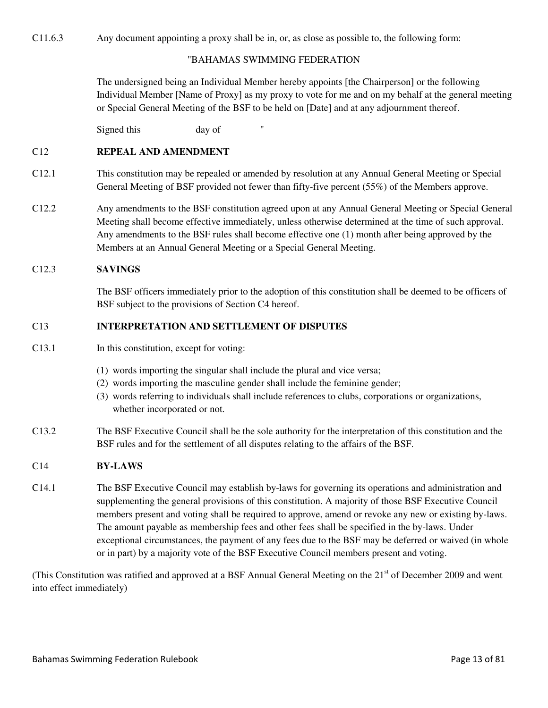C11.6.3 Any document appointing a proxy shall be in, or, as close as possible to, the following form:

## "BAHAMAS SWIMMING FEDERATION

The undersigned being an Individual Member hereby appoints [the Chairperson] or the following Individual Member [Name of Proxy] as my proxy to vote for me and on my behalf at the general meeting or Special General Meeting of the BSF to be held on [Date] and at any adjournment thereof.

Signed this day of

### C12 **REPEAL AND AMENDMENT**

- C12.1 This constitution may be repealed or amended by resolution at any Annual General Meeting or Special General Meeting of BSF provided not fewer than fifty-five percent (55%) of the Members approve.
- C12.2 Any amendments to the BSF constitution agreed upon at any Annual General Meeting or Special General Meeting shall become effective immediately, unless otherwise determined at the time of such approval. Any amendments to the BSF rules shall become effective one (1) month after being approved by the Members at an Annual General Meeting or a Special General Meeting.

### C12.3 **SAVINGS**

The BSF officers immediately prior to the adoption of this constitution shall be deemed to be officers of BSF subject to the provisions of Section C4 hereof.

## C13 **INTERPRETATION AND SETTLEMENT OF DISPUTES**

- C13.1 In this constitution, except for voting:
	- (1) words importing the singular shall include the plural and vice versa;
	- (2) words importing the masculine gender shall include the feminine gender;
	- (3) words referring to individuals shall include references to clubs, corporations or organizations, whether incorporated or not.
- C13.2 The BSF Executive Council shall be the sole authority for the interpretation of this constitution and the BSF rules and for the settlement of all disputes relating to the affairs of the BSF.

#### C14 **BY-LAWS**

C14.1 The BSF Executive Council may establish by-laws for governing its operations and administration and supplementing the general provisions of this constitution. A majority of those BSF Executive Council members present and voting shall be required to approve, amend or revoke any new or existing by-laws. The amount payable as membership fees and other fees shall be specified in the by-laws. Under exceptional circumstances, the payment of any fees due to the BSF may be deferred or waived (in whole or in part) by a majority vote of the BSF Executive Council members present and voting.

(This Constitution was ratified and approved at a BSF Annual General Meeting on the 21<sup>st</sup> of December 2009 and went into effect immediately)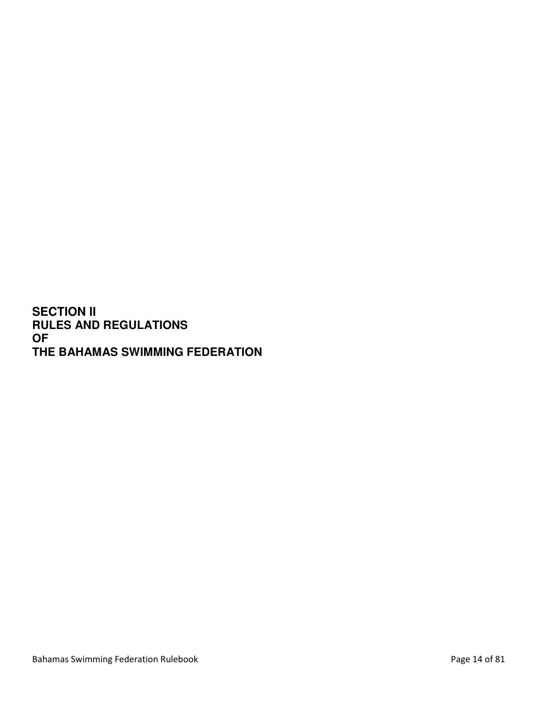**SECTION II RULES AND REGULATIONS OF THE BAHAMAS SWIMMING FEDERATION**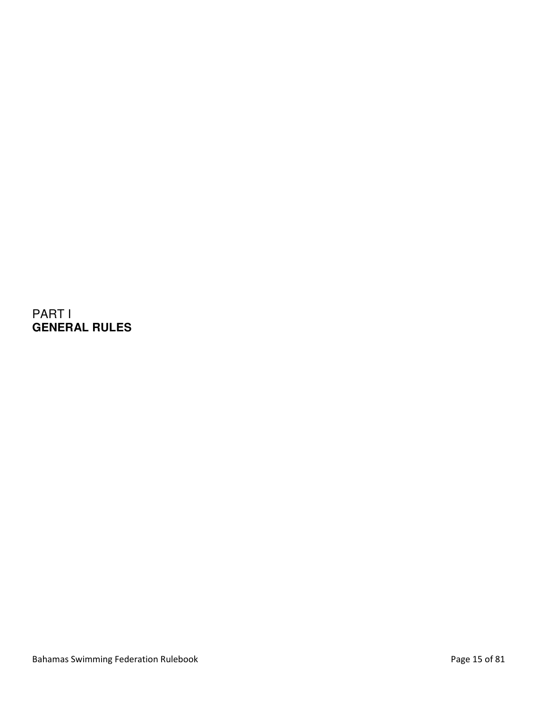PART I **GENERAL RULES**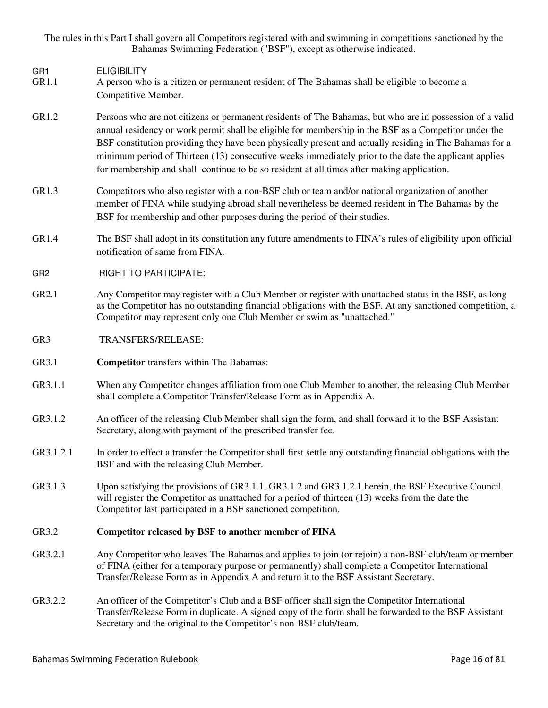The rules in this Part I shall govern all Competitors registered with and swimming in competitions sanctioned by the Bahamas Swimming Federation ("BSF"), except as otherwise indicated.

GR1 ELIGIBILITY

- GR1.1 A person who is a citizen or permanent resident of The Bahamas shall be eligible to become a Competitive Member.
- GR1.2 Persons who are not citizens or permanent residents of The Bahamas, but who are in possession of a valid annual residency or work permit shall be eligible for membership in the BSF as a Competitor under the BSF constitution providing they have been physically present and actually residing in The Bahamas for a minimum period of Thirteen (13) consecutive weeks immediately prior to the date the applicant applies for membership and shall continue to be so resident at all times after making application.
- GR1.3 Competitors who also register with a non-BSF club or team and/or national organization of another member of FINA while studying abroad shall nevertheless be deemed resident in The Bahamas by the BSF for membership and other purposes during the period of their studies.
- GR1.4 The BSF shall adopt in its constitution any future amendments to FINA's rules of eligibility upon official notification of same from FINA.
- GR2 RIGHT TO PARTICIPATE:
- GR2.1 Any Competitor may register with a Club Member or register with unattached status in the BSF, as long as the Competitor has no outstanding financial obligations with the BSF. At any sanctioned competition, a Competitor may represent only one Club Member or swim as "unattached."
- GR3 TRANSFERS/RELEASE:
- GR3.1 **Competitor** transfers within The Bahamas:
- GR3.1.1 When any Competitor changes affiliation from one Club Member to another, the releasing Club Member shall complete a Competitor Transfer/Release Form as in Appendix A.
- GR3.1.2 An officer of the releasing Club Member shall sign the form, and shall forward it to the BSF Assistant Secretary, along with payment of the prescribed transfer fee.
- GR3.1.2.1 In order to effect a transfer the Competitor shall first settle any outstanding financial obligations with the BSF and with the releasing Club Member.
- GR3.1.3 Upon satisfying the provisions of GR3.1.1, GR3.1.2 and GR3.1.2.1 herein, the BSF Executive Council will register the Competitor as unattached for a period of thirteen (13) weeks from the date the Competitor last participated in a BSF sanctioned competition.

# GR3.2 **Competitor released by BSF to another member of FINA**

- GR3.2.1 Any Competitor who leaves The Bahamas and applies to join (or rejoin) a non-BSF club/team or member of FINA (either for a temporary purpose or permanently) shall complete a Competitor International Transfer/Release Form as in Appendix A and return it to the BSF Assistant Secretary.
- GR3.2.2 An officer of the Competitor's Club and a BSF officer shall sign the Competitor International Transfer/Release Form in duplicate. A signed copy of the form shall be forwarded to the BSF Assistant Secretary and the original to the Competitor's non-BSF club/team.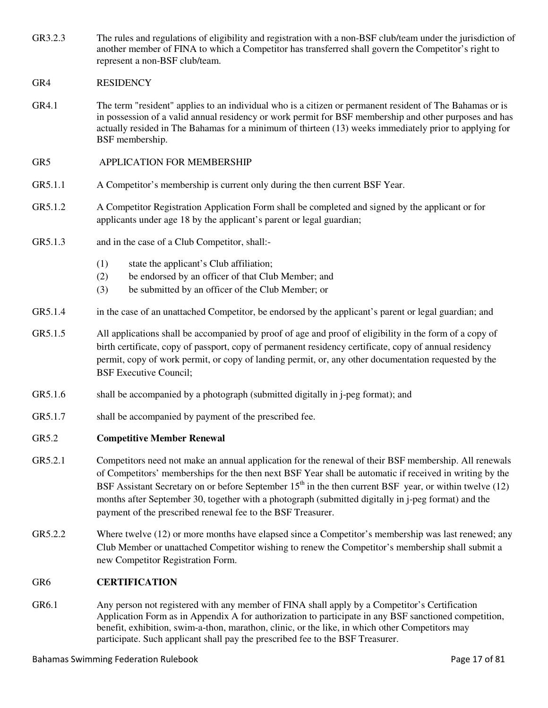- GR3.2.3 The rules and regulations of eligibility and registration with a non-BSF club/team under the jurisdiction of another member of FINA to which a Competitor has transferred shall govern the Competitor's right to represent a non-BSF club/team.
- GR4 RESIDENCY
- GR4.1 The term "resident" applies to an individual who is a citizen or permanent resident of The Bahamas or is in possession of a valid annual residency or work permit for BSF membership and other purposes and has actually resided in The Bahamas for a minimum of thirteen (13) weeks immediately prior to applying for BSF membership.
- GR5 APPLICATION FOR MEMBERSHIP
- GR5.1.1 A Competitor's membership is current only during the then current BSF Year.
- GR5.1.2 A Competitor Registration Application Form shall be completed and signed by the applicant or for applicants under age 18 by the applicant's parent or legal guardian;
- GR5.1.3 and in the case of a Club Competitor, shall:-
	- (1) state the applicant's Club affiliation;
	- (2) be endorsed by an officer of that Club Member; and
	- (3) be submitted by an officer of the Club Member; or
- GR5.1.4 in the case of an unattached Competitor, be endorsed by the applicant's parent or legal guardian; and
- GR5.1.5 All applications shall be accompanied by proof of age and proof of eligibility in the form of a copy of birth certificate, copy of passport, copy of permanent residency certificate, copy of annual residency permit, copy of work permit, or copy of landing permit, or, any other documentation requested by the BSF Executive Council;
- GR5.1.6 shall be accompanied by a photograph (submitted digitally in j-peg format); and
- GR5.1.7 shall be accompanied by payment of the prescribed fee.

#### GR5.2 **Competitive Member Renewal**

- GR5.2.1 Competitors need not make an annual application for the renewal of their BSF membership. All renewals of Competitors' memberships for the then next BSF Year shall be automatic if received in writing by the BSF Assistant Secretary on or before September  $15<sup>th</sup>$  in the then current BSF year, or within twelve (12) months after September 30, together with a photograph (submitted digitally in j-peg format) and the payment of the prescribed renewal fee to the BSF Treasurer.
- GR5.2.2 Where twelve (12) or more months have elapsed since a Competitor's membership was last renewed; any Club Member or unattached Competitor wishing to renew the Competitor's membership shall submit a new Competitor Registration Form.

# GR6 **CERTIFICATION**

GR6.1 Any person not registered with any member of FINA shall apply by a Competitor's Certification Application Form as in Appendix A for authorization to participate in any BSF sanctioned competition, benefit, exhibition, swim-a-thon, marathon, clinic, or the like, in which other Competitors may participate. Such applicant shall pay the prescribed fee to the BSF Treasurer.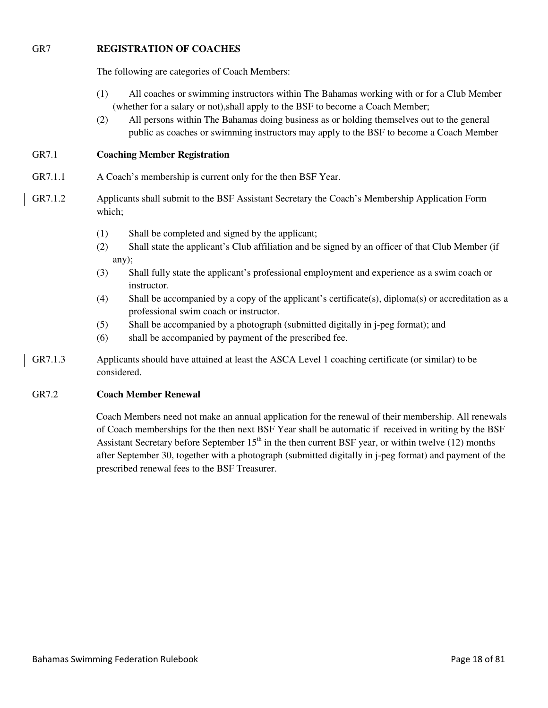# GR7 **REGISTRATION OF COACHES**

The following are categories of Coach Members:

- (1) All coaches or swimming instructors within The Bahamas working with or for a Club Member (whether for a salary or not),shall apply to the BSF to become a Coach Member;
- (2) All persons within The Bahamas doing business as or holding themselves out to the general public as coaches or swimming instructors may apply to the BSF to become a Coach Member

# GR7.1 **Coaching Member Registration**

- GR7.1.1 A Coach's membership is current only for the then BSF Year.
- GR7.1.2 Applicants shall submit to the BSF Assistant Secretary the Coach's Membership Application Form which;
	- (1) Shall be completed and signed by the applicant;
	- (2) Shall state the applicant's Club affiliation and be signed by an officer of that Club Member (if any);
	- (3) Shall fully state the applicant's professional employment and experience as a swim coach or instructor.
	- (4) Shall be accompanied by a copy of the applicant's certificate(s), diploma(s) or accreditation as a professional swim coach or instructor.
	- (5) Shall be accompanied by a photograph (submitted digitally in j-peg format); and
	- (6) shall be accompanied by payment of the prescribed fee.
- GR7.1.3 Applicants should have attained at least the ASCA Level 1 coaching certificate (or similar) to be considered.

# GR7.2 **Coach Member Renewal**

 Coach Members need not make an annual application for the renewal of their membership. All renewals of Coach memberships for the then next BSF Year shall be automatic if received in writing by the BSF Assistant Secretary before September  $15<sup>th</sup>$  in the then current BSF year, or within twelve (12) months after September 30, together with a photograph (submitted digitally in j-peg format) and payment of the prescribed renewal fees to the BSF Treasurer.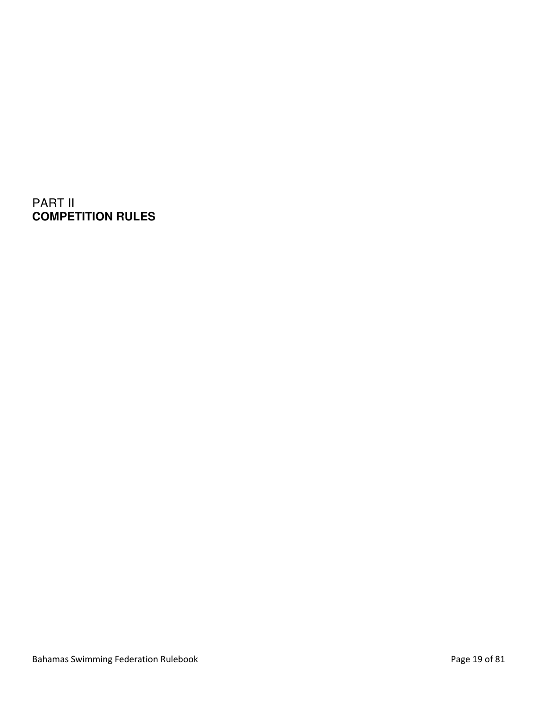# PART II **COMPETITION RULES**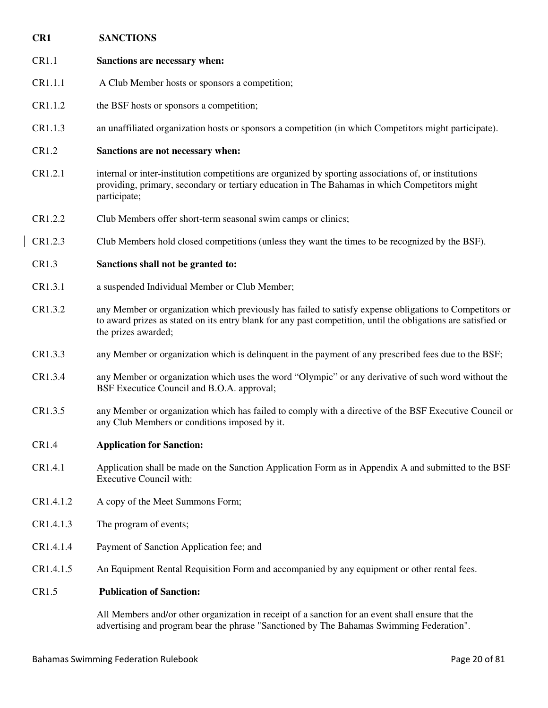| CR1       | <b>SANCTIONS</b>                                                                                                                                                                                                                                |
|-----------|-------------------------------------------------------------------------------------------------------------------------------------------------------------------------------------------------------------------------------------------------|
| CR1.1     | Sanctions are necessary when:                                                                                                                                                                                                                   |
| CR1.1.1   | A Club Member hosts or sponsors a competition;                                                                                                                                                                                                  |
| CR1.1.2   | the BSF hosts or sponsors a competition;                                                                                                                                                                                                        |
| CR1.1.3   | an unaffiliated organization hosts or sponsors a competition (in which Competitors might participate).                                                                                                                                          |
| CR1.2     | Sanctions are not necessary when:                                                                                                                                                                                                               |
| CR1.2.1   | internal or inter-institution competitions are organized by sporting associations of, or institutions<br>providing, primary, secondary or tertiary education in The Bahamas in which Competitors might<br>participate;                          |
| CR1.2.2   | Club Members offer short-term seasonal swim camps or clinics;                                                                                                                                                                                   |
| CR1.2.3   | Club Members hold closed competitions (unless they want the times to be recognized by the BSF).                                                                                                                                                 |
| CR1.3     | Sanctions shall not be granted to:                                                                                                                                                                                                              |
| CR1.3.1   | a suspended Individual Member or Club Member;                                                                                                                                                                                                   |
| CR1.3.2   | any Member or organization which previously has failed to satisfy expense obligations to Competitors or<br>to award prizes as stated on its entry blank for any past competition, until the obligations are satisfied or<br>the prizes awarded; |
| CR1.3.3   | any Member or organization which is delinquent in the payment of any prescribed fees due to the BSF;                                                                                                                                            |
| CR1.3.4   | any Member or organization which uses the word "Olympic" or any derivative of such word without the<br>BSF Executice Council and B.O.A. approval;                                                                                               |
| CR1.3.5   | any Member or organization which has failed to comply with a directive of the BSF Executive Council or<br>any Club Members or conditions imposed by it.                                                                                         |
| CR1.4     | <b>Application for Sanction:</b>                                                                                                                                                                                                                |
| CR1.4.1   | Application shall be made on the Sanction Application Form as in Appendix A and submitted to the BSF<br><b>Executive Council with:</b>                                                                                                          |
| CR1.4.1.2 | A copy of the Meet Summons Form;                                                                                                                                                                                                                |
| CR1.4.1.3 | The program of events;                                                                                                                                                                                                                          |
| CR1.4.1.4 | Payment of Sanction Application fee; and                                                                                                                                                                                                        |
| CR1.4.1.5 | An Equipment Rental Requisition Form and accompanied by any equipment or other rental fees.                                                                                                                                                     |
| CR1.5     | <b>Publication of Sanction:</b>                                                                                                                                                                                                                 |
|           | All Members and/or other organization in receipt of a sanction for an event shall ensure that the                                                                                                                                               |

All Members and/or other organization in receipt of a sanction for an event shall ensure that the advertising and program bear the phrase "Sanctioned by The Bahamas Swimming Federation".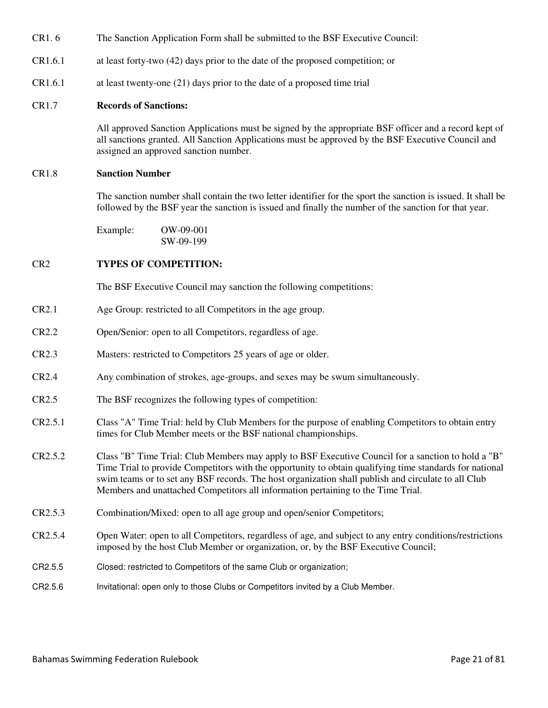- CR1. 6 The Sanction Application Form shall be submitted to the BSF Executive Council:
- CR1.6.1 at least forty-two (42) days prior to the date of the proposed competition; or
- CR1.6.1 at least twenty-one (21) days prior to the date of a proposed time trial

## CR1.7 **Records of Sanctions:**

All approved Sanction Applications must be signed by the appropriate BSF officer and a record kept of all sanctions granted. All Sanction Applications must be approved by the BSF Executive Council and assigned an approved sanction number.

#### CR1.8 **Sanction Number**

The sanction number shall contain the two letter identifier for the sport the sanction is issued. It shall be followed by the BSF year the sanction is issued and finally the number of the sanction for that year.

 Example: OW-09-001 SW-09-199

#### CR2 **TYPES OF COMPETITION:**

The BSF Executive Council may sanction the following competitions:

- CR2.1 Age Group: restricted to all Competitors in the age group.
- CR2.2 Open/Senior: open to all Competitors, regardless of age.
- CR2.3 Masters: restricted to Competitors 25 years of age or older.
- CR2.4 Any combination of strokes, age-groups, and sexes may be swum simultaneously.
- CR2.5 The BSF recognizes the following types of competition:
- CR2.5.1 Class "A" Time Trial: held by Club Members for the purpose of enabling Competitors to obtain entry times for Club Member meets or the BSF national championships.
- CR2.5.2 Class "B" Time Trial: Club Members may apply to BSF Executive Council for a sanction to hold a "B" Time Trial to provide Competitors with the opportunity to obtain qualifying time standards for national swim teams or to set any BSF records. The host organization shall publish and circulate to all Club Members and unattached Competitors all information pertaining to the Time Trial.
- CR2.5.3 Combination/Mixed: open to all age group and open/senior Competitors;
- CR2.5.4 Open Water: open to all Competitors, regardless of age, and subject to any entry conditions/restrictions imposed by the host Club Member or organization, or, by the BSF Executive Council;
- CR2.5.5 Closed: restricted to Competitors of the same Club or organization;
- CR2.5.6 Invitational: open only to those Clubs or Competitors invited by a Club Member.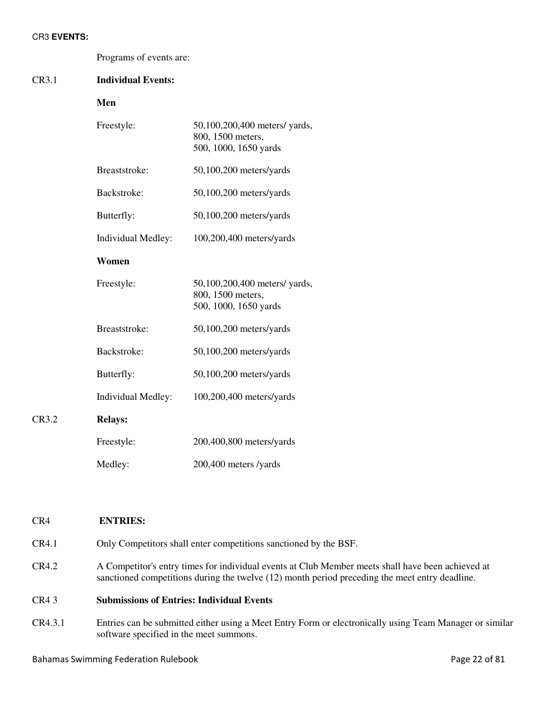#### CR3 **EVENTS:**

|       | Programs of events are:   |                                                                             |  |
|-------|---------------------------|-----------------------------------------------------------------------------|--|
| CR3.1 | <b>Individual Events:</b> |                                                                             |  |
|       | Men                       |                                                                             |  |
|       | Freestyle:                | 50,100,200,400 meters/ yards,<br>800, 1500 meters,<br>500, 1000, 1650 yards |  |
|       | Breaststroke:             | $50,100,200$ meters/yards                                                   |  |
|       | Backstroke:               | 50,100,200 meters/yards                                                     |  |
|       | Butterfly:                | 50,100,200 meters/yards                                                     |  |
|       | <b>Individual Medley:</b> | 100,200,400 meters/yards                                                    |  |
|       | Women                     |                                                                             |  |
|       | Freestyle:                | 50,100,200,400 meters/ yards,<br>800, 1500 meters,<br>500, 1000, 1650 yards |  |
|       | Breaststroke:             | $50,100,200$ meters/yards                                                   |  |
|       | Backstroke:               | 50,100,200 meters/yards                                                     |  |
|       | Butterfly:                | $50,100,200$ meters/yards                                                   |  |
|       | Individual Medley:        | 100,200,400 meters/yards                                                    |  |
| CR3.2 | <b>Relays:</b>            |                                                                             |  |
|       | Freestyle:                | 200,400,800 meters/yards                                                    |  |
|       | Medley:                   | 200,400 meters /yards                                                       |  |

# CR4 **ENTRIES:**

CR4.1 Only Competitors shall enter competitions sanctioned by the BSF.

CR4.2 A Competitor's entry times for individual events at Club Member meets shall have been achieved at sanctioned competitions during the twelve (12) month period preceding the meet entry deadline.

# CR4 3 **Submissions of Entries: Individual Events**

CR4.3.1 Entries can be submitted either using a Meet Entry Form or electronically using Team Manager or similar software specified in the meet summons.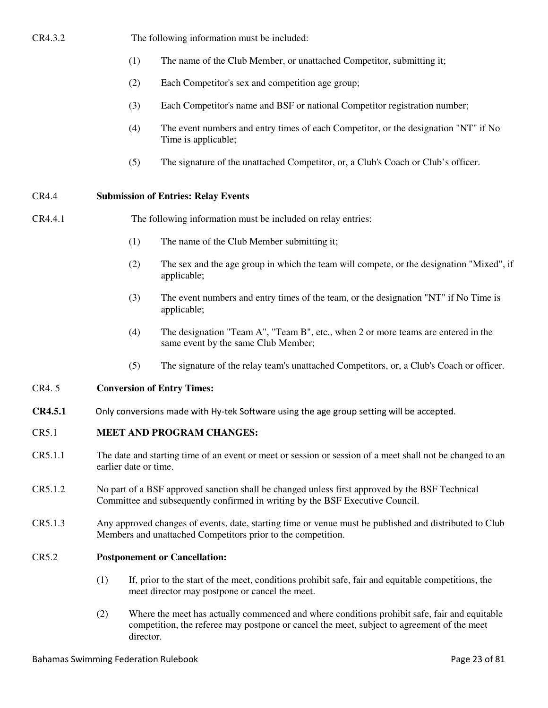# CR4.3.2 The following information must be included:

- (1) The name of the Club Member, or unattached Competitor, submitting it;
- (2) Each Competitor's sex and competition age group;
- (3) Each Competitor's name and BSF or national Competitor registration number;
- (4) The event numbers and entry times of each Competitor, or the designation "NT" if No Time is applicable;
- (5) The signature of the unattached Competitor, or, a Club's Coach or Club's officer.

# CR4.4 **Submission of Entries: Relay Events**

# CR4.4.1 The following information must be included on relay entries:

- (1) The name of the Club Member submitting it;
- (2) The sex and the age group in which the team will compete, or the designation "Mixed", if applicable;
- (3) The event numbers and entry times of the team, or the designation "NT" if No Time is applicable;
- (4) The designation "Team A", "Team B", etc., when 2 or more teams are entered in the same event by the same Club Member;
- (5) The signature of the relay team's unattached Competitors, or, a Club's Coach or officer.

# CR4. 5 **Conversion of Entry Times:**

**CR4.5.1** Only conversions made with Hy-tek Software using the age group setting will be accepted.

# CR5.1 **MEET AND PROGRAM CHANGES:**

- CR5.1.1 The date and starting time of an event or meet or session or session of a meet shall not be changed to an earlier date or time.
- CR5.1.2 No part of a BSF approved sanction shall be changed unless first approved by the BSF Technical Committee and subsequently confirmed in writing by the BSF Executive Council.
- CR5.1.3 Any approved changes of events, date, starting time or venue must be published and distributed to Club Members and unattached Competitors prior to the competition.

# CR5.2 **Postponement or Cancellation:**

- (1) If, prior to the start of the meet, conditions prohibit safe, fair and equitable competitions, the meet director may postpone or cancel the meet.
- (2) Where the meet has actually commenced and where conditions prohibit safe, fair and equitable competition, the referee may postpone or cancel the meet, subject to agreement of the meet director.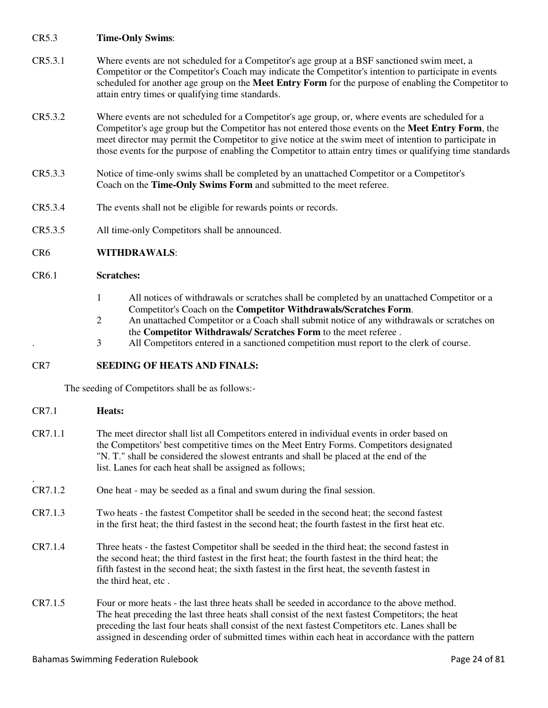# CR5.3 **Time-Only Swims**:

- CR5.3.1 Where events are not scheduled for a Competitor's age group at a BSF sanctioned swim meet, a Competitor or the Competitor's Coach may indicate the Competitor's intention to participate in events scheduled for another age group on the **Meet Entry Form** for the purpose of enabling the Competitor to attain entry times or qualifying time standards.
- CR5.3.2 Where events are not scheduled for a Competitor's age group, or, where events are scheduled for a Competitor's age group but the Competitor has not entered those events on the **Meet Entry Form**, the meet director may permit the Competitor to give notice at the swim meet of intention to participate in those events for the purpose of enabling the Competitor to attain entry times or qualifying time standards
- CR5.3.3 Notice of time-only swims shall be completed by an unattached Competitor or a Competitor's Coach on the **Time-Only Swims Form** and submitted to the meet referee.
- CR5.3.4 The events shall not be eligible for rewards points or records.
- CR5.3.5 All time-only Competitors shall be announced.

# CR6 **WITHDRAWALS**:

#### CR6.1 **Scratches:**

- 1 All notices of withdrawals or scratches shall be completed by an unattached Competitor or a Competitor's Coach on the **Competitor Withdrawals/Scratches Form**.
- 2 An unattached Competitor or a Coach shall submit notice of any withdrawals or scratches on the **Competitor Withdrawals/ Scratches Form** to the meet referee .
- . 3 All Competitors entered in a sanctioned competition must report to the clerk of course.

## CR7 **SEEDING OF HEATS AND FINALS:**

The seeding of Competitors shall be as follows:-

CR7.1 **Heats:**  CR7.1.1 The meet director shall list all Competitors entered in individual events in order based on the Competitors' best competitive times on the Meet Entry Forms. Competitors designated "N. T." shall be considered the slowest entrants and shall be placed at the end of the list. Lanes for each heat shall be assigned as follows; . CR7.1.2 One heat - may be seeded as a final and swum during the final session. CR7.1.3 Two heats - the fastest Competitor shall be seeded in the second heat; the second fastest in the first heat; the third fastest in the second heat; the fourth fastest in the first heat etc. CR7.1.4 Three heats - the fastest Competitor shall be seeded in the third heat; the second fastest in the second heat; the third fastest in the first heat; the fourth fastest in the third heat; the fifth fastest in the second heat; the sixth fastest in the first heat, the seventh fastest in the third heat, etc . CR7.1.5 Four or more heats - the last three heats shall be seeded in accordance to the above method. The heat preceding the last three heats shall consist of the next fastest Competitors; the heat preceding the last four heats shall consist of the next fastest Competitors etc. Lanes shall be assigned in descending order of submitted times within each heat in accordance with the pattern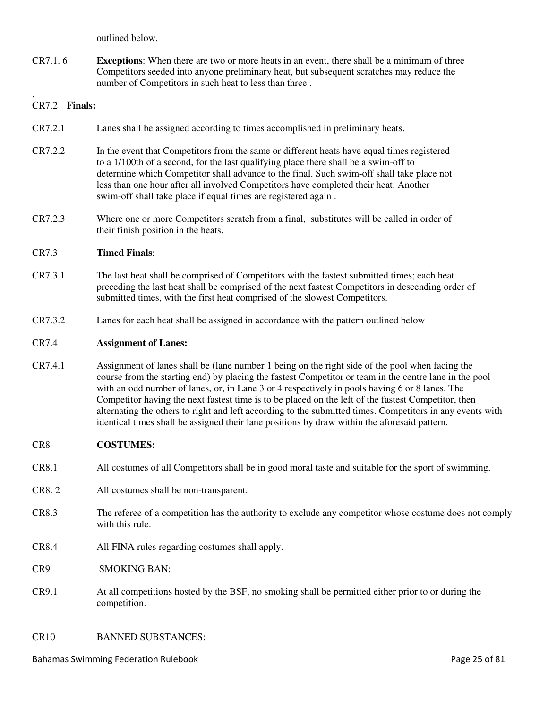outlined below.

CR7.1. 6 **Exceptions**: When there are two or more heats in an event, there shall be a minimum of three Competitors seeded into anyone preliminary heat, but subsequent scratches may reduce the number of Competitors in such heat to less than three .

#### . CR7.2 **Finals:**

- CR7.2.1 Lanes shall be assigned according to times accomplished in preliminary heats.
- CR7.2.2 In the event that Competitors from the same or different heats have equal times registered to a 1/100th of a second, for the last qualifying place there shall be a swim-off to determine which Competitor shall advance to the final. Such swim-off shall take place not less than one hour after all involved Competitors have completed their heat. Another swim-off shall take place if equal times are registered again .
- CR7.2.3 Where one or more Competitors scratch from a final, substitutes will be called in order of their finish position in the heats.

#### CR7.3 **Timed Finals**:

- CR7.3.1 The last heat shall be comprised of Competitors with the fastest submitted times; each heat preceding the last heat shall be comprised of the next fastest Competitors in descending order of submitted times, with the first heat comprised of the slowest Competitors.
- CR7.3.2 Lanes for each heat shall be assigned in accordance with the pattern outlined below

#### CR7.4 **Assignment of Lanes:**

CR7.4.1 Assignment of lanes shall be (lane number 1 being on the right side of the pool when facing the course from the starting end) by placing the fastest Competitor or team in the centre lane in the pool with an odd number of lanes, or, in Lane 3 or 4 respectively in pools having 6 or 8 lanes. The Competitor having the next fastest time is to be placed on the left of the fastest Competitor, then alternating the others to right and left according to the submitted times. Competitors in any events with identical times shall be assigned their lane positions by draw within the aforesaid pattern.

#### CR8 **COSTUMES:**

- CR8.1 All costumes of all Competitors shall be in good moral taste and suitable for the sport of swimming.
- CR8. 2 All costumes shall be non-transparent.
- CR8.3 The referee of a competition has the authority to exclude any competitor whose costume does not comply with this rule.
- CR8.4 All FINA rules regarding costumes shall apply.
- CR9 SMOKING BAN:
- CR9.1 At all competitions hosted by the BSF, no smoking shall be permitted either prior to or during the competition.

#### CR10 BANNED SUBSTANCES: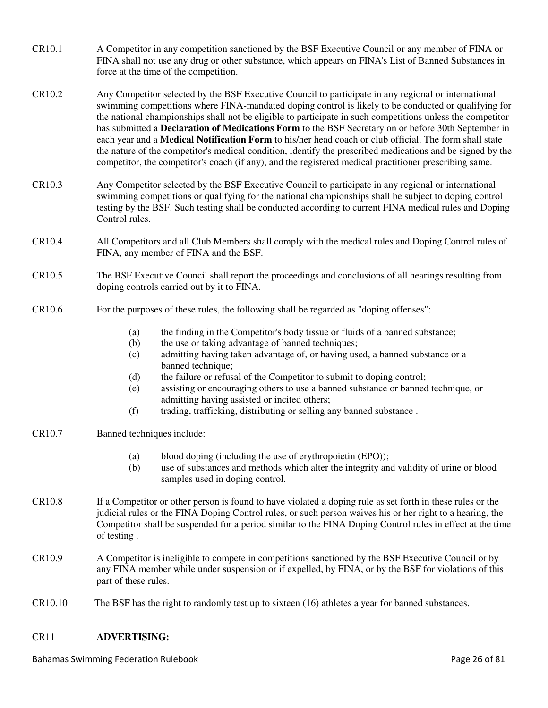- CR10.1 A Competitor in any competition sanctioned by the BSF Executive Council or any member of FINA or FINA shall not use any drug or other substance, which appears on FINA's List of Banned Substances in force at the time of the competition.
- CR10.2 Any Competitor selected by the BSF Executive Council to participate in any regional or international swimming competitions where FINA-mandated doping control is likely to be conducted or qualifying for the national championships shall not be eligible to participate in such competitions unless the competitor has submitted a **Declaration of Medications Form** to the BSF Secretary on or before 30th September in each year and a **Medical Notification Form** to his/her head coach or club official. The form shall state the nature of the competitor's medical condition, identify the prescribed medications and be signed by the competitor, the competitor's coach (if any), and the registered medical practitioner prescribing same.
- CR10.3 Any Competitor selected by the BSF Executive Council to participate in any regional or international swimming competitions or qualifying for the national championships shall be subject to doping control testing by the BSF. Such testing shall be conducted according to current FINA medical rules and Doping Control rules.
- CR10.4 All Competitors and all Club Members shall comply with the medical rules and Doping Control rules of FINA, any member of FINA and the BSF.
- CR10.5 The BSF Executive Council shall report the proceedings and conclusions of all hearings resulting from doping controls carried out by it to FINA.
- CR10.6 For the purposes of these rules, the following shall be regarded as "doping offenses":
	- (a) the finding in the Competitor's body tissue or fluids of a banned substance;
	- (b) the use or taking advantage of banned techniques;
	- (c) admitting having taken advantage of, or having used, a banned substance or a banned technique:
	- (d) the failure or refusal of the Competitor to submit to doping control;
	- (e) assisting or encouraging others to use a banned substance or banned technique, or admitting having assisted or incited others;
	- (f) trading, trafficking, distributing or selling any banned substance .
- CR10.7 Banned techniques include:
	- (a) blood doping (including the use of erythropoietin (EPO));
	- (b) use of substances and methods which alter the integrity and validity of urine or blood samples used in doping control.
- CR10.8 If a Competitor or other person is found to have violated a doping rule as set forth in these rules or the judicial rules or the FINA Doping Control rules, or such person waives his or her right to a hearing, the Competitor shall be suspended for a period similar to the FINA Doping Control rules in effect at the time of testing .
- CR10.9 A Competitor is ineligible to compete in competitions sanctioned by the BSF Executive Council or by any FINA member while under suspension or if expelled, by FINA, or by the BSF for violations of this part of these rules.
- CR10.10 The BSF has the right to randomly test up to sixteen (16) athletes a year for banned substances.

# CR11 **ADVERTISING:**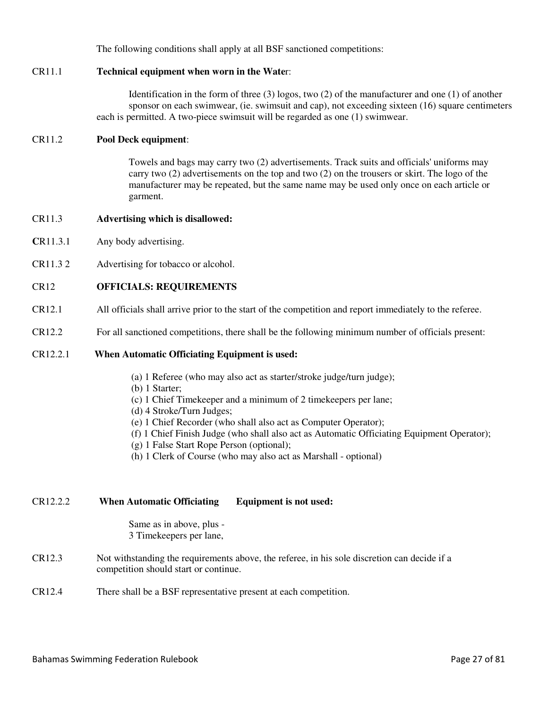The following conditions shall apply at all BSF sanctioned competitions:

## CR11.1 **Technical equipment when worn in the Wate**r:

Identification in the form of three (3) logos, two (2) of the manufacturer and one (1) of another sponsor on each swimwear, (ie. swimsuit and cap), not exceeding sixteen (16) square centimeters each is permitted. A two-piece swimsuit will be regarded as one (1) swimwear.

#### CR11.2 **Pool Deck equipment**:

Towels and bags may carry two (2) advertisements. Track suits and officials' uniforms may carry two (2) advertisements on the top and two (2) on the trousers or skirt. The logo of the manufacturer may be repeated, but the same name may be used only once on each article or garment.

## CR11.3 **Advertising which is disallowed:**

- **C**R11.3.1 Any body advertising.
- CR11.3 2 Advertising for tobacco or alcohol.

### CR12 **OFFICIALS: REQUIREMENTS**

- CR12.1 All officials shall arrive prior to the start of the competition and report immediately to the referee.
- CR12.2 For all sanctioned competitions, there shall be the following minimum number of officials present:

#### CR12.2.1 **When Automatic Officiating Equipment is used:**

- (a) 1 Referee (who may also act as starter/stroke judge/turn judge);
- (b) 1 Starter;
- (c) 1 Chief Timekeeper and a minimum of 2 timekeepers per lane;
- (d) 4 Stroke/Turn Judges;
- (e) 1 Chief Recorder (who shall also act as Computer Operator);
- (f) 1 Chief Finish Judge (who shall also act as Automatic Officiating Equipment Operator);
- (g) 1 False Start Rope Person (optional);
- (h) 1 Clerk of Course (who may also act as Marshall optional)

# CR12.2.2 **When Automatic Officiating Equipment is not used:**

Same as in above, plus - 3 Timekeepers per lane,

- CR12.3 Not withstanding the requirements above, the referee, in his sole discretion can decide if a competition should start or continue.
- CR12.4 There shall be a BSF representative present at each competition.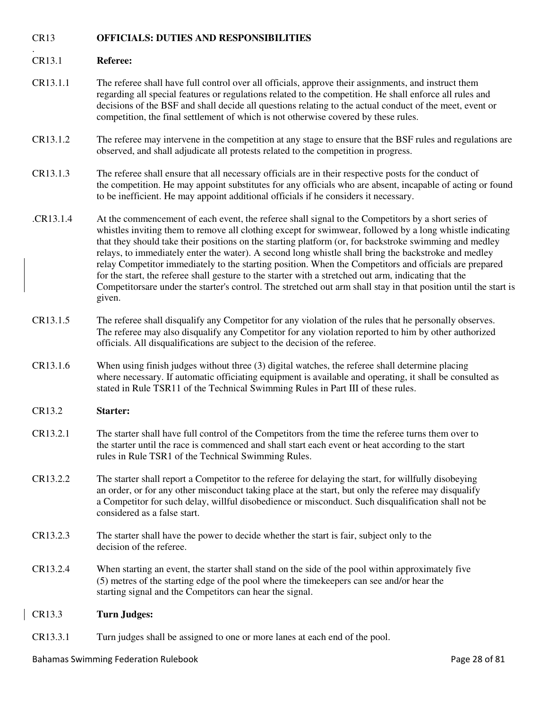# CR13 **OFFICIALS: DUTIES AND RESPONSIBILITIES**

#### . CR13.1 **Referee:**

- CR13.1.1 The referee shall have full control over all officials, approve their assignments, and instruct them regarding all special features or regulations related to the competition. He shall enforce all rules and decisions of the BSF and shall decide all questions relating to the actual conduct of the meet, event or competition, the final settlement of which is not otherwise covered by these rules.
- CR13.1.2 The referee may intervene in the competition at any stage to ensure that the BSF rules and regulations are observed, and shall adjudicate all protests related to the competition in progress.
- CR13.1.3 The referee shall ensure that all necessary officials are in their respective posts for the conduct of the competition. He may appoint substitutes for any officials who are absent, incapable of acting or found to be inefficient. He may appoint additional officials if he considers it necessary.
- .CR13.1.4 At the commencement of each event, the referee shall signal to the Competitors by a short series of whistles inviting them to remove all clothing except for swimwear, followed by a long whistle indicating that they should take their positions on the starting platform (or, for backstroke swimming and medley relays, to immediately enter the water). A second long whistle shall bring the backstroke and medley relay Competitor immediately to the starting position. When the Competitors and officials are prepared for the start, the referee shall gesture to the starter with a stretched out arm, indicating that the Competitorsare under the starter's control. The stretched out arm shall stay in that position until the start is given.
- CR13.1.5 The referee shall disqualify any Competitor for any violation of the rules that he personally observes. The referee may also disqualify any Competitor for any violation reported to him by other authorized officials. All disqualifications are subject to the decision of the referee.
- CR13.1.6 When using finish judges without three (3) digital watches, the referee shall determine placing where necessary. If automatic officiating equipment is available and operating, it shall be consulted as stated in Rule TSR11 of the Technical Swimming Rules in Part III of these rules.

#### CR13.2 **Starter:**

- CR13.2.1 The starter shall have full control of the Competitors from the time the referee turns them over to the starter until the race is commenced and shall start each event or heat according to the start rules in Rule TSR1 of the Technical Swimming Rules.
- CR13.2.2 The starter shall report a Competitor to the referee for delaying the start, for willfully disobeying an order, or for any other misconduct taking place at the start, but only the referee may disqualify a Competitor for such delay, willful disobedience or misconduct. Such disqualification shall not be considered as a false start.
- CR13.2.3 The starter shall have the power to decide whether the start is fair, subject only to the decision of the referee.
- CR13.2.4 When starting an event, the starter shall stand on the side of the pool within approximately five (5) metres of the starting edge of the pool where the timekeepers can see and/or hear the starting signal and the Competitors can hear the signal.

#### CR13.3 **Turn Judges:**

CR13.3.1 Turn judges shall be assigned to one or more lanes at each end of the pool.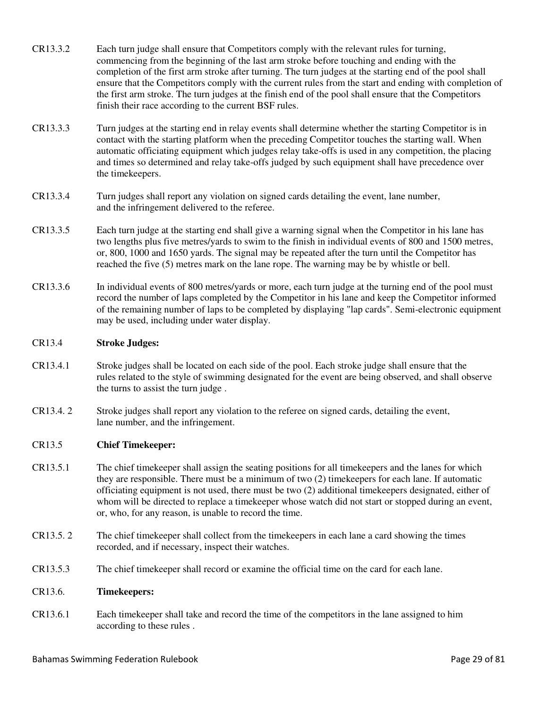- CR13.3.2 Each turn judge shall ensure that Competitors comply with the relevant rules for turning, commencing from the beginning of the last arm stroke before touching and ending with the completion of the first arm stroke after turning. The turn judges at the starting end of the pool shall ensure that the Competitors comply with the current rules from the start and ending with completion of the first arm stroke. The turn judges at the finish end of the pool shall ensure that the Competitors finish their race according to the current BSF rules.
- CR13.3.3 Turn judges at the starting end in relay events shall determine whether the starting Competitor is in contact with the starting platform when the preceding Competitor touches the starting wall. When automatic officiating equipment which judges relay take-offs is used in any competition, the placing and times so determined and relay take-offs judged by such equipment shall have precedence over the timekeepers.
- CR13.3.4 Turn judges shall report any violation on signed cards detailing the event, lane number, and the infringement delivered to the referee.
- CR13.3.5 Each turn judge at the starting end shall give a warning signal when the Competitor in his lane has two lengths plus five metres/yards to swim to the finish in individual events of 800 and 1500 metres, or, 800, 1000 and 1650 yards. The signal may be repeated after the turn until the Competitor has reached the five (5) metres mark on the lane rope. The warning may be by whistle or bell.
- CR13.3.6 In individual events of 800 metres/yards or more, each turn judge at the turning end of the pool must record the number of laps completed by the Competitor in his lane and keep the Competitor informed of the remaining number of laps to be completed by displaying "lap cards". Semi-electronic equipment may be used, including under water display.

### CR13.4 **Stroke Judges:**

- CR13.4.1 Stroke judges shall be located on each side of the pool. Each stroke judge shall ensure that the rules related to the style of swimming designated for the event are being observed, and shall observe the turns to assist the turn judge .
- CR13.4. 2 Stroke judges shall report any violation to the referee on signed cards, detailing the event, lane number, and the infringement.

#### CR13.5 **Chief Timekeeper:**

- CR13.5.1 The chief timekeeper shall assign the seating positions for all timekeepers and the lanes for which they are responsible. There must be a minimum of two (2) timekeepers for each lane. If automatic officiating equipment is not used, there must be two (2) additional timekeepers designated, either of whom will be directed to replace a timekeeper whose watch did not start or stopped during an event, or, who, for any reason, is unable to record the time.
- CR13.5. 2 The chief timekeeper shall collect from the timekeepers in each lane a card showing the times recorded, and if necessary, inspect their watches.
- CR13.5.3 The chief timekeeper shall record or examine the official time on the card for each lane.

#### CR13.6. **Timekeepers:**

CR13.6.1 Each timekeeper shall take and record the time of the competitors in the lane assigned to him according to these rules .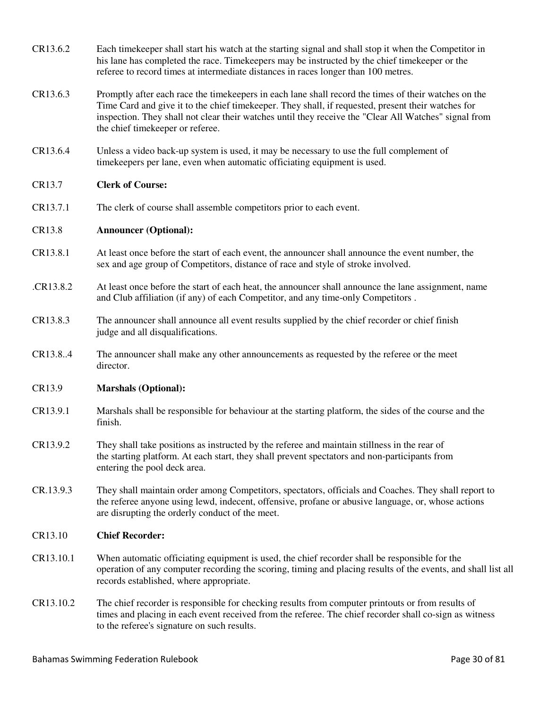- CR13.6.2 Each timekeeper shall start his watch at the starting signal and shall stop it when the Competitor in his lane has completed the race. Timekeepers may be instructed by the chief timekeeper or the referee to record times at intermediate distances in races longer than 100 metres.
- CR13.6.3 Promptly after each race the timekeepers in each lane shall record the times of their watches on the Time Card and give it to the chief timekeeper. They shall, if requested, present their watches for inspection. They shall not clear their watches until they receive the "Clear All Watches" signal from the chief timekeeper or referee.
- CR13.6.4 Unless a video back-up system is used, it may be necessary to use the full complement of timekeepers per lane, even when automatic officiating equipment is used.

# CR13.7 **Clerk of Course:**

CR13.7.1 The clerk of course shall assemble competitors prior to each event.

# CR13.8 **Announcer (Optional):**

- CR13.8.1 At least once before the start of each event, the announcer shall announce the event number, the sex and age group of Competitors, distance of race and style of stroke involved.
- .CR13.8.2 At least once before the start of each heat, the announcer shall announce the lane assignment, name and Club affiliation (if any) of each Competitor, and any time-only Competitors .
- CR13.8.3 The announcer shall announce all event results supplied by the chief recorder or chief finish judge and all disqualifications.
- CR13.8..4 The announcer shall make any other announcements as requested by the referee or the meet director.

# CR13.9 **Marshals (Optional):**

- CR13.9.1 Marshals shall be responsible for behaviour at the starting platform, the sides of the course and the finish.
- CR13.9.2 They shall take positions as instructed by the referee and maintain stillness in the rear of the starting platform. At each start, they shall prevent spectators and non-participants from entering the pool deck area.
- CR.13.9.3 They shall maintain order among Competitors, spectators, officials and Coaches. They shall report to the referee anyone using lewd, indecent, offensive, profane or abusive language, or, whose actions are disrupting the orderly conduct of the meet.

# CR13.10 **Chief Recorder:**

- CR13.10.1 When automatic officiating equipment is used, the chief recorder shall be responsible for the operation of any computer recording the scoring, timing and placing results of the events, and shall list all records established, where appropriate.
- CR13.10.2 The chief recorder is responsible for checking results from computer printouts or from results of times and placing in each event received from the referee. The chief recorder shall co-sign as witness to the referee's signature on such results.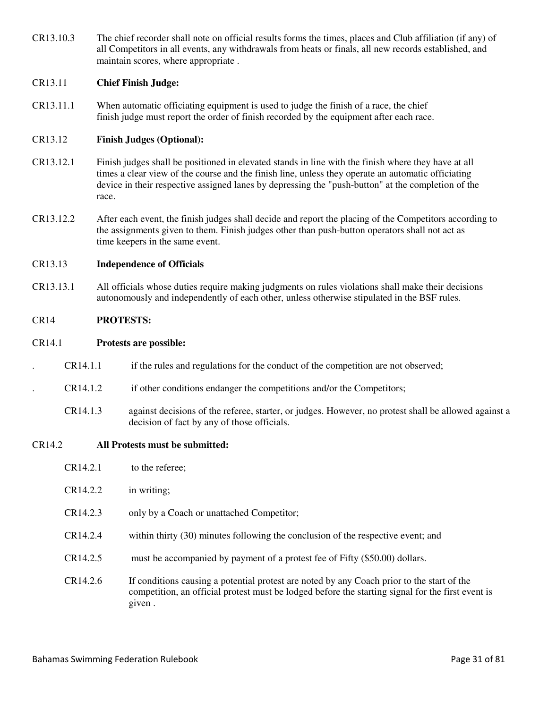CR13.10.3 The chief recorder shall note on official results forms the times, places and Club affiliation (if any) of all Competitors in all events, any withdrawals from heats or finals, all new records established, and maintain scores, where appropriate .

## CR13.11 **Chief Finish Judge:**

CR13.11.1 When automatic officiating equipment is used to judge the finish of a race, the chief finish judge must report the order of finish recorded by the equipment after each race.

## CR13.12 **Finish Judges (Optional):**

- CR13.12.1 Finish judges shall be positioned in elevated stands in line with the finish where they have at all times a clear view of the course and the finish line, unless they operate an automatic officiating device in their respective assigned lanes by depressing the "push-button" at the completion of the race.
- CR13.12.2 After each event, the finish judges shall decide and report the placing of the Competitors according to the assignments given to them. Finish judges other than push-button operators shall not act as time keepers in the same event.

#### CR13.13 **Independence of Officials**

CR13.13.1 All officials whose duties require making judgments on rules violations shall make their decisions autonomously and independently of each other, unless otherwise stipulated in the BSF rules.

### CR14 **PROTESTS:**

#### CR14.1 **Protests are possible:**

- . CR14.1.1 if the rules and regulations for the conduct of the competition are not observed;
	- . CR14.1.2 if other conditions endanger the competitions and/or the Competitors;
	- CR14.1.3 against decisions of the referee, starter, or judges. However, no protest shall be allowed against a decision of fact by any of those officials.

#### CR14.2 **All Protests must be submitted:**

| CR14.2.1             | to the referee;                                                                                                                                                                                           |
|----------------------|-----------------------------------------------------------------------------------------------------------------------------------------------------------------------------------------------------------|
| CR14.2.2             | in writing;                                                                                                                                                                                               |
| CR14.2.3             | only by a Coach or unattached Competitor;                                                                                                                                                                 |
| CR14.2.4             | within thirty (30) minutes following the conclusion of the respective event; and                                                                                                                          |
| CR14.2.5             | must be accompanied by payment of a protest fee of Fifty (\$50.00) dollars.                                                                                                                               |
| CR <sub>14.2.6</sub> | If conditions causing a potential protest are noted by any Coach prior to the start of the<br>competition, an official protest must be lodged before the starting signal for the first event is<br>given. |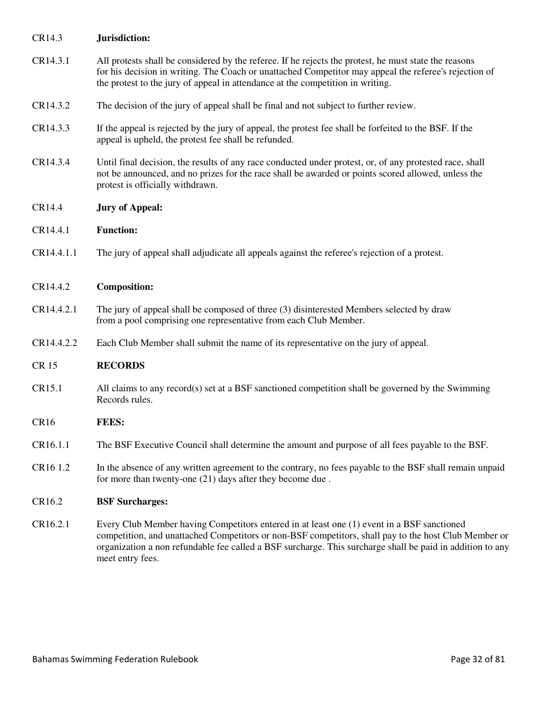| CR14.3           | Jurisdiction:                                                                                                                                                                                                                                                                                                                       |  |
|------------------|-------------------------------------------------------------------------------------------------------------------------------------------------------------------------------------------------------------------------------------------------------------------------------------------------------------------------------------|--|
| CR14.3.1         | All protests shall be considered by the referee. If he rejects the protest, he must state the reasons<br>for his decision in writing. The Coach or unattached Competitor may appeal the referee's rejection of<br>the protest to the jury of appeal in attendance at the competition in writing.                                    |  |
| CR14.3.2         | The decision of the jury of appeal shall be final and not subject to further review.                                                                                                                                                                                                                                                |  |
| CR14.3.3         | If the appeal is rejected by the jury of appeal, the protest fee shall be forfeited to the BSF. If the<br>appeal is upheld, the protest fee shall be refunded.                                                                                                                                                                      |  |
| CR14.3.4         | Until final decision, the results of any race conducted under protest, or, of any protested race, shall<br>not be announced, and no prizes for the race shall be awarded or points scored allowed, unless the<br>protest is officially withdrawn.                                                                                   |  |
| CR14.4           | <b>Jury of Appeal:</b>                                                                                                                                                                                                                                                                                                              |  |
| CR14.4.1         | <b>Function:</b>                                                                                                                                                                                                                                                                                                                    |  |
| CR14.4.1.1       | The jury of appeal shall adjudicate all appeals against the referee's rejection of a protest.                                                                                                                                                                                                                                       |  |
| CR14.4.2         | <b>Composition:</b>                                                                                                                                                                                                                                                                                                                 |  |
| CR14.4.2.1       | The jury of appeal shall be composed of three (3) disinterested Members selected by draw<br>from a pool comprising one representative from each Club Member.                                                                                                                                                                        |  |
| CR14.4.2.2       | Each Club Member shall submit the name of its representative on the jury of appeal.                                                                                                                                                                                                                                                 |  |
| <b>CR15</b>      | <b>RECORDS</b>                                                                                                                                                                                                                                                                                                                      |  |
| CR15.1           | All claims to any record(s) set at a BSF sanctioned competition shall be governed by the Swimming<br>Records rules.                                                                                                                                                                                                                 |  |
| CR <sub>16</sub> | <b>FEES:</b>                                                                                                                                                                                                                                                                                                                        |  |
| CR16.1.1         | The BSF Executive Council shall determine the amount and purpose of all fees payable to the BSF.                                                                                                                                                                                                                                    |  |
| CR16 1.2         | In the absence of any written agreement to the contrary, no fees payable to the BSF shall remain unpaid<br>for more than twenty-one (21) days after they become due.                                                                                                                                                                |  |
| CR16.2           | <b>BSF</b> Surcharges:                                                                                                                                                                                                                                                                                                              |  |
| CR16.2.1         | Every Club Member having Competitors entered in at least one (1) event in a BSF sanctioned<br>competition, and unattached Competitors or non-BSF competitors, shall pay to the host Club Member or<br>organization a non refundable fee called a BSF surcharge. This surcharge shall be paid in addition to any<br>meet entry fees. |  |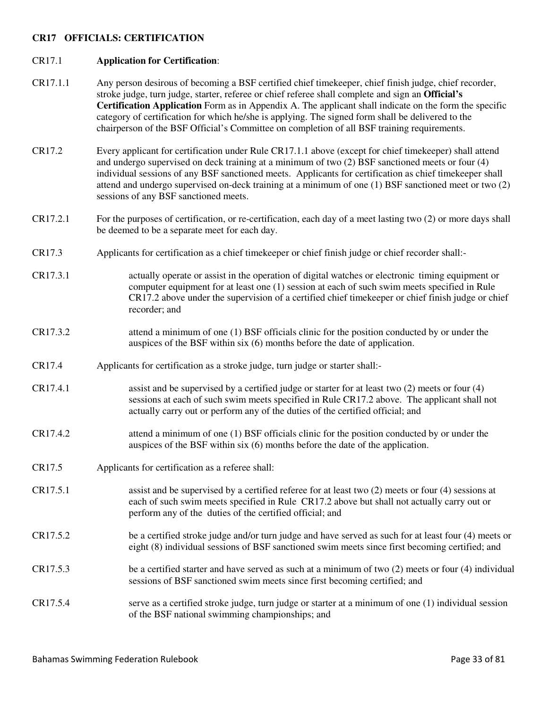### **CR17 OFFICIALS: CERTIFICATION**

#### CR17.1 **Application for Certification**:

- CR17.1.1 Any person desirous of becoming a BSF certified chief timekeeper, chief finish judge, chief recorder, stroke judge, turn judge, starter, referee or chief referee shall complete and sign an **Official's Certification Application** Form as in Appendix A. The applicant shall indicate on the form the specific category of certification for which he/she is applying. The signed form shall be delivered to the chairperson of the BSF Official's Committee on completion of all BSF training requirements.
- CR17.2 Every applicant for certification under Rule CR17.1.1 above (except for chief timekeeper) shall attend and undergo supervised on deck training at a minimum of two (2) BSF sanctioned meets or four (4) individual sessions of any BSF sanctioned meets. Applicants for certification as chief timekeeper shall attend and undergo supervised on-deck training at a minimum of one (1) BSF sanctioned meet or two (2) sessions of any BSF sanctioned meets.
- CR17.2.1 For the purposes of certification, or re-certification, each day of a meet lasting two (2) or more days shall be deemed to be a separate meet for each day.
- CR17.3 Applicants for certification as a chief timekeeper or chief finish judge or chief recorder shall:-
- CR17.3.1 actually operate or assist in the operation of digital watches or electronic timing equipment or computer equipment for at least one (1) session at each of such swim meets specified in Rule CR17.2 above under the supervision of a certified chief timekeeper or chief finish judge or chief recorder; and
- CR17.3.2 attend a minimum of one (1) BSF officials clinic for the position conducted by or under the auspices of the BSF within six (6) months before the date of application.
- CR17.4 Applicants for certification as a stroke judge, turn judge or starter shall:-
- CR17.4.1 assist and be supervised by a certified judge or starter for at least two (2) meets or four (4) sessions at each of such swim meets specified in Rule CR17.2 above. The applicant shall not actually carry out or perform any of the duties of the certified official; and
- CR17.4.2 attend a minimum of one (1) BSF officials clinic for the position conducted by or under the auspices of the BSF within six (6) months before the date of the application.
- CR17.5 Applicants for certification as a referee shall:
- CR17.5.1 assist and be supervised by a certified referee for at least two (2) meets or four (4) sessions at each of such swim meets specified in Rule CR17.2 above but shall not actually carry out or perform any of the duties of the certified official; and
- CR17.5.2 be a certified stroke judge and/or turn judge and have served as such for at least four (4) meets or eight (8) individual sessions of BSF sanctioned swim meets since first becoming certified; and
- CR17.5.3 be a certified starter and have served as such at a minimum of two (2) meets or four (4) individual sessions of BSF sanctioned swim meets since first becoming certified; and
- CR17.5.4 serve as a certified stroke judge, turn judge or starter at a minimum of one (1) individual session of the BSF national swimming championships; and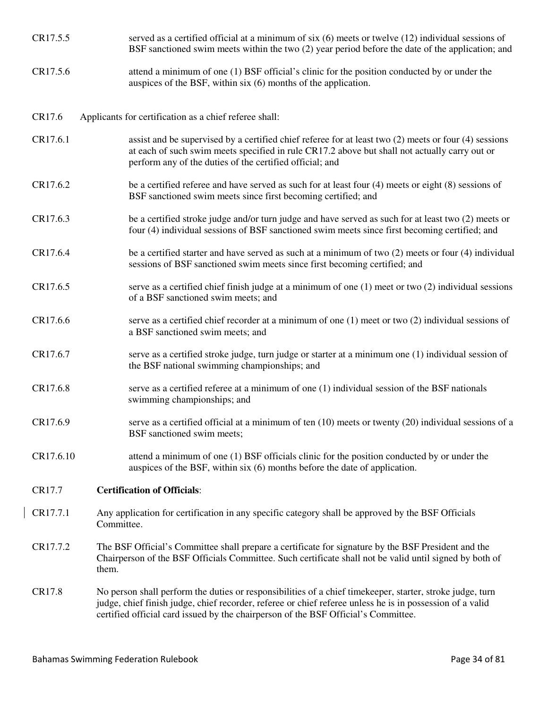- CR17.5.5 served as a certified official at a minimum of six (6) meets or twelve (12) individual sessions of BSF sanctioned swim meets within the two (2) year period before the date of the application; and
- CR17.5.6 attend a minimum of one (1) BSF official's clinic for the position conducted by or under the auspices of the BSF, within six (6) months of the application.
- CR17.6 Applicants for certification as a chief referee shall:
- CR17.6.1 assist and be supervised by a certified chief referee for at least two (2) meets or four (4) sessions at each of such swim meets specified in rule CR17.2 above but shall not actually carry out or perform any of the duties of the certified official; and
- CR17.6.2 be a certified referee and have served as such for at least four (4) meets or eight (8) sessions of BSF sanctioned swim meets since first becoming certified; and
- CR17.6.3 be a certified stroke judge and/or turn judge and have served as such for at least two (2) meets or four (4) individual sessions of BSF sanctioned swim meets since first becoming certified; and
- CR17.6.4 be a certified starter and have served as such at a minimum of two (2) meets or four (4) individual sessions of BSF sanctioned swim meets since first becoming certified; and
- CR17.6.5 serve as a certified chief finish judge at a minimum of one (1) meet or two (2) individual sessions of a BSF sanctioned swim meets; and
- CR17.6.6 serve as a certified chief recorder at a minimum of one (1) meet or two (2) individual sessions of a BSF sanctioned swim meets; and
- CR17.6.7 serve as a certified stroke judge, turn judge or starter at a minimum one (1) individual session of the BSF national swimming championships; and
- CR17.6.8 serve as a certified referee at a minimum of one (1) individual session of the BSF nationals swimming championships; and
- CR17.6.9 serve as a certified official at a minimum of ten (10) meets or twenty (20) individual sessions of a BSF sanctioned swim meets;
- CR17.6.10 attend a minimum of one (1) BSF officials clinic for the position conducted by or under the auspices of the BSF, within six (6) months before the date of application.

# CR17.7 **Certification of Officials**:

- CR17.7.1 Any application for certification in any specific category shall be approved by the BSF Officials Committee.
- CR17.7.2 The BSF Official's Committee shall prepare a certificate for signature by the BSF President and the Chairperson of the BSF Officials Committee. Such certificate shall not be valid until signed by both of them.
- CR17.8 No person shall perform the duties or responsibilities of a chief timekeeper, starter, stroke judge, turn judge, chief finish judge, chief recorder, referee or chief referee unless he is in possession of a valid certified official card issued by the chairperson of the BSF Official's Committee.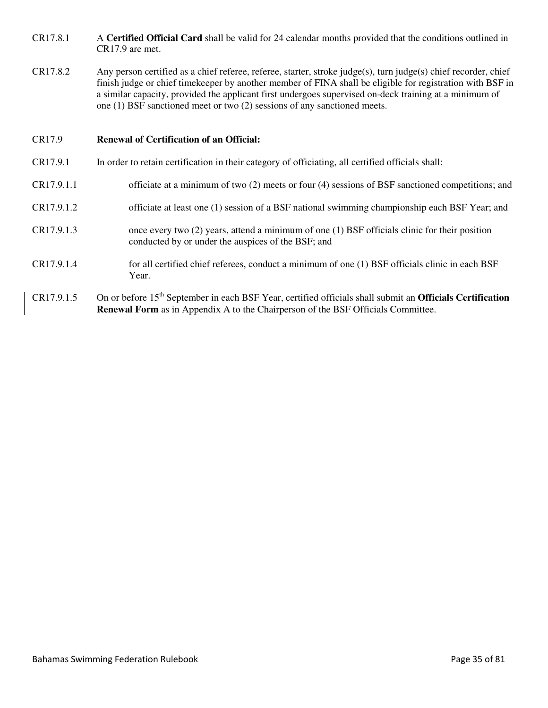- CR17.8.1 A **Certified Official Card** shall be valid for 24 calendar months provided that the conditions outlined in CR17.9 are met.
- CR17.8.2 Any person certified as a chief referee, referee, starter, stroke judge(s), turn judge(s) chief recorder, chief finish judge or chief timekeeper by another member of FINA shall be eligible for registration with BSF in a similar capacity, provided the applicant first undergoes supervised on-deck training at a minimum of one (1) BSF sanctioned meet or two (2) sessions of any sanctioned meets.

# CR17.9 **Renewal of Certification of an Official:**

- CR17.9.1 In order to retain certification in their category of officiating, all certified officials shall:
- CR17.9.1.1 officiate at a minimum of two (2) meets or four (4) sessions of BSF sanctioned competitions; and
- CR17.9.1.2 officiate at least one (1) session of a BSF national swimming championship each BSF Year; and
- CR17.9.1.3 once every two (2) years, attend a minimum of one (1) BSF officials clinic for their position conducted by or under the auspices of the BSF; and
- CR17.9.1.4 for all certified chief referees, conduct a minimum of one (1) BSF officials clinic in each BSF Year.
- CR17.9.1.5 On or before 15<sup>th</sup> September in each BSF Year, certified officials shall submit an **Officials Certification Renewal Form** as in Appendix A to the Chairperson of the BSF Officials Committee.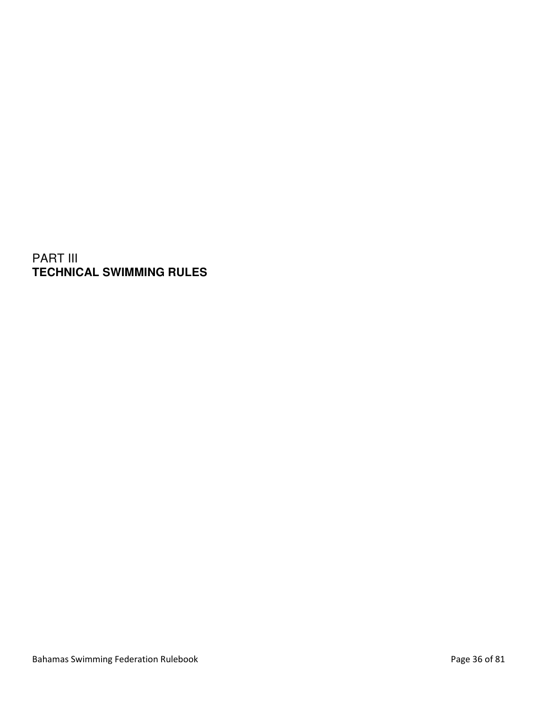PART III **TECHNICAL SWIMMING RULES**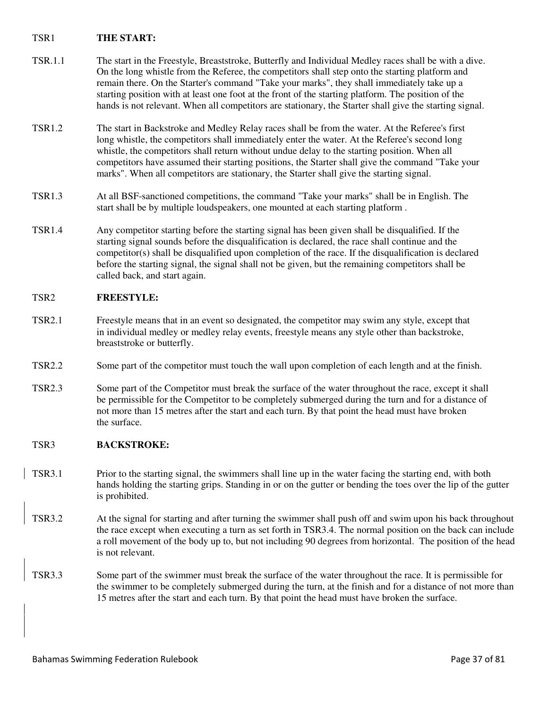# TSR1 **THE START:**

- TSR.1.1 The start in the Freestyle, Breaststroke, Butterfly and Individual Medley races shall be with a dive. On the long whistle from the Referee, the competitors shall step onto the starting platform and remain there. On the Starter's command "Take your marks", they shall immediately take up a starting position with at least one foot at the front of the starting platform. The position of the hands is not relevant. When all competitors are stationary, the Starter shall give the starting signal.
- TSR1.2 The start in Backstroke and Medley Relay races shall be from the water. At the Referee's first long whistle, the competitors shall immediately enter the water. At the Referee's second long whistle, the competitors shall return without undue delay to the starting position. When all competitors have assumed their starting positions, the Starter shall give the command "Take your marks". When all competitors are stationary, the Starter shall give the starting signal.
- TSR1.3 At all BSF-sanctioned competitions, the command "Take your marks" shall be in English. The start shall be by multiple loudspeakers, one mounted at each starting platform .
- TSR1.4 Any competitor starting before the starting signal has been given shall be disqualified. If the starting signal sounds before the disqualification is declared, the race shall continue and the competitor(s) shall be disqualified upon completion of the race. If the disqualification is declared before the starting signal, the signal shall not be given, but the remaining competitors shall be called back, and start again.

## TSR2 **FREESTYLE:**

- TSR2.1 Freestyle means that in an event so designated, the competitor may swim any style, except that in individual medley or medley relay events, freestyle means any style other than backstroke, breaststroke or butterfly.
- TSR2.2 Some part of the competitor must touch the wall upon completion of each length and at the finish.
- TSR2.3 Some part of the Competitor must break the surface of the water throughout the race, except it shall be permissible for the Competitor to be completely submerged during the turn and for a distance of not more than 15 metres after the start and each turn. By that point the head must have broken the surface.

# TSR3 **BACKSTROKE:**

- TSR3.1 Prior to the starting signal, the swimmers shall line up in the water facing the starting end, with both hands holding the starting grips. Standing in or on the gutter or bending the toes over the lip of the gutter is prohibited.
- TSR3.2 At the signal for starting and after turning the swimmer shall push off and swim upon his back throughout the race except when executing a turn as set forth in TSR3.4. The normal position on the back can include a roll movement of the body up to, but not including 90 degrees from horizontal. The position of the head is not relevant.
- TSR3.3 Some part of the swimmer must break the surface of the water throughout the race. It is permissible for the swimmer to be completely submerged during the turn, at the finish and for a distance of not more than 15 metres after the start and each turn. By that point the head must have broken the surface.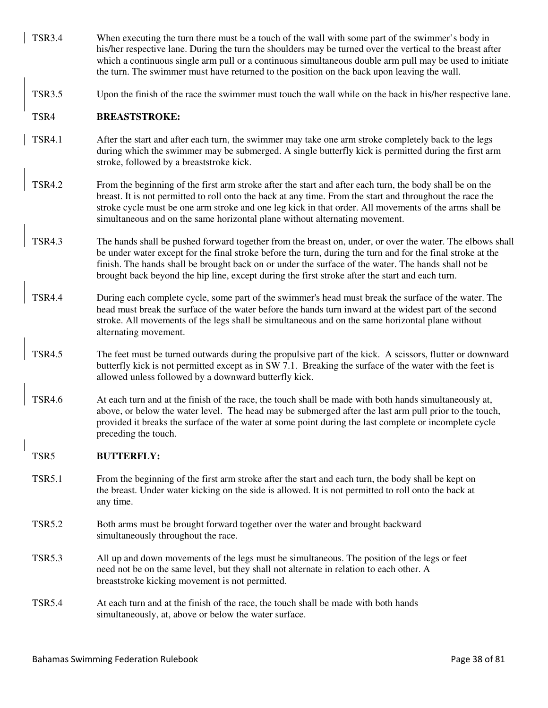- TSR3.4 When executing the turn there must be a touch of the wall with some part of the swimmer's body in his/her respective lane. During the turn the shoulders may be turned over the vertical to the breast after which a continuous single arm pull or a continuous simultaneous double arm pull may be used to initiate the turn. The swimmer must have returned to the position on the back upon leaving the wall.
- TSR3.5 Upon the finish of the race the swimmer must touch the wall while on the back in his/her respective lane.

## TSR4 **BREASTSTROKE:**

- TSR4.1 After the start and after each turn, the swimmer may take one arm stroke completely back to the legs during which the swimmer may be submerged. A single butterfly kick is permitted during the first arm stroke, followed by a breaststroke kick.
- TSR4.2 From the beginning of the first arm stroke after the start and after each turn, the body shall be on the breast. It is not permitted to roll onto the back at any time. From the start and throughout the race the stroke cycle must be one arm stroke and one leg kick in that order. All movements of the arms shall be simultaneous and on the same horizontal plane without alternating movement.
- TSR4.3 The hands shall be pushed forward together from the breast on, under, or over the water. The elbows shall be under water except for the final stroke before the turn, during the turn and for the final stroke at the finish. The hands shall be brought back on or under the surface of the water. The hands shall not be brought back beyond the hip line, except during the first stroke after the start and each turn.
- TSR4.4 During each complete cycle, some part of the swimmer's head must break the surface of the water. The head must break the surface of the water before the hands turn inward at the widest part of the second stroke. All movements of the legs shall be simultaneous and on the same horizontal plane without alternating movement.
- TSR4.5 The feet must be turned outwards during the propulsive part of the kick. A scissors, flutter or downward butterfly kick is not permitted except as in SW 7.1. Breaking the surface of the water with the feet is allowed unless followed by a downward butterfly kick.
- TSR4.6 At each turn and at the finish of the race, the touch shall be made with both hands simultaneously at, above, or below the water level. The head may be submerged after the last arm pull prior to the touch, provided it breaks the surface of the water at some point during the last complete or incomplete cycle preceding the touch.

## TSR5 **BUTTERFLY:**

- TSR5.1 From the beginning of the first arm stroke after the start and each turn, the body shall be kept on the breast. Under water kicking on the side is allowed. It is not permitted to roll onto the back at any time.
- TSR5.2 Both arms must be brought forward together over the water and brought backward simultaneously throughout the race.
- TSR5.3 All up and down movements of the legs must be simultaneous. The position of the legs or feet need not be on the same level, but they shall not alternate in relation to each other. A breaststroke kicking movement is not permitted.
- TSR5.4 At each turn and at the finish of the race, the touch shall be made with both hands simultaneously, at, above or below the water surface.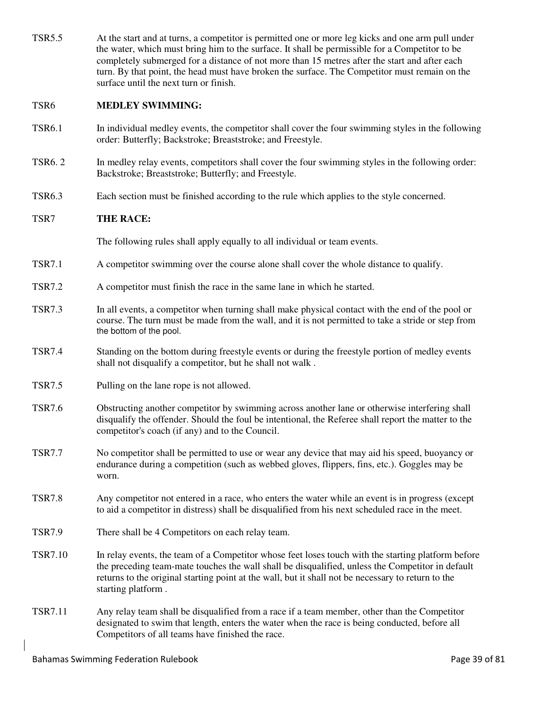| <b>TSR5.5</b>  | At the start and at turns, a competitor is permitted one or more leg kicks and one arm pull under<br>the water, which must bring him to the surface. It shall be permissible for a Competitor to be<br>completely submerged for a distance of not more than 15 metres after the start and after each<br>turn. By that point, the head must have broken the surface. The Competitor must remain on the<br>surface until the next turn or finish. |
|----------------|-------------------------------------------------------------------------------------------------------------------------------------------------------------------------------------------------------------------------------------------------------------------------------------------------------------------------------------------------------------------------------------------------------------------------------------------------|
| TSR6           | <b>MEDLEY SWIMMING:</b>                                                                                                                                                                                                                                                                                                                                                                                                                         |
| <b>TSR6.1</b>  | In individual medley events, the competitor shall cover the four swimming styles in the following<br>order: Butterfly; Backstroke; Breaststroke; and Freestyle.                                                                                                                                                                                                                                                                                 |
| <b>TSR6.2</b>  | In medley relay events, competitors shall cover the four swimming styles in the following order:<br>Backstroke; Breaststroke; Butterfly; and Freestyle.                                                                                                                                                                                                                                                                                         |
| <b>TSR6.3</b>  | Each section must be finished according to the rule which applies to the style concerned.                                                                                                                                                                                                                                                                                                                                                       |
| TSR7           | <b>THE RACE:</b>                                                                                                                                                                                                                                                                                                                                                                                                                                |
|                | The following rules shall apply equally to all individual or team events.                                                                                                                                                                                                                                                                                                                                                                       |
| <b>TSR7.1</b>  | A competitor swimming over the course alone shall cover the whole distance to qualify.                                                                                                                                                                                                                                                                                                                                                          |
| <b>TSR7.2</b>  | A competitor must finish the race in the same lane in which he started.                                                                                                                                                                                                                                                                                                                                                                         |
| <b>TSR7.3</b>  | In all events, a competitor when turning shall make physical contact with the end of the pool or<br>course. The turn must be made from the wall, and it is not permitted to take a stride or step from<br>the bottom of the pool.                                                                                                                                                                                                               |
| <b>TSR7.4</b>  | Standing on the bottom during freestyle events or during the freestyle portion of medley events<br>shall not disqualify a competitor, but he shall not walk.                                                                                                                                                                                                                                                                                    |
| <b>TSR7.5</b>  | Pulling on the lane rope is not allowed.                                                                                                                                                                                                                                                                                                                                                                                                        |
| <b>TSR7.6</b>  | Obstructing another competitor by swimming across another lane or otherwise interfering shall<br>disqualify the offender. Should the foul be intentional, the Referee shall report the matter to the<br>competitor's coach (if any) and to the Council.                                                                                                                                                                                         |
| <b>TSR7.7</b>  | No competitor shall be permitted to use or wear any device that may aid his speed, buoyancy or<br>endurance during a competition (such as webbed gloves, flippers, fins, etc.). Goggles may be<br>worn.                                                                                                                                                                                                                                         |
| <b>TSR7.8</b>  | Any competitor not entered in a race, who enters the water while an event is in progress (except<br>to aid a competitor in distress) shall be disqualified from his next scheduled race in the meet.                                                                                                                                                                                                                                            |
| <b>TSR7.9</b>  | There shall be 4 Competitors on each relay team.                                                                                                                                                                                                                                                                                                                                                                                                |
| <b>TSR7.10</b> | In relay events, the team of a Competitor whose feet loses touch with the starting platform before<br>the preceding team-mate touches the wall shall be disqualified, unless the Competitor in default<br>returns to the original starting point at the wall, but it shall not be necessary to return to the<br>starting platform.                                                                                                              |
| <b>TSR7.11</b> | Any relay team shall be disqualified from a race if a team member, other than the Competitor<br>designated to swim that length, enters the water when the race is being conducted, before all<br>Competitors of all teams have finished the race.                                                                                                                                                                                               |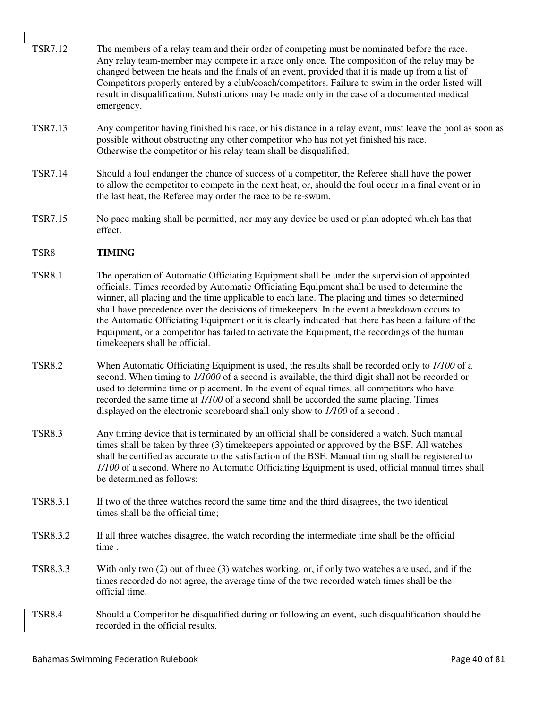- TSR7.12 The members of a relay team and their order of competing must be nominated before the race. Any relay team-member may compete in a race only once. The composition of the relay may be changed between the heats and the finals of an event, provided that it is made up from a list of Competitors properly entered by a club/coach/competitors. Failure to swim in the order listed will result in disqualification. Substitutions may be made only in the case of a documented medical emergency.
- TSR7.13 Any competitor having finished his race, or his distance in a relay event, must leave the pool as soon as possible without obstructing any other competitor who has not yet finished his race. Otherwise the competitor or his relay team shall be disqualified.
- TSR7.14 Should a foul endanger the chance of success of a competitor, the Referee shall have the power to allow the competitor to compete in the next heat, or, should the foul occur in a final event or in the last heat, the Referee may order the race to be re-swum.
- TSR7.15 No pace making shall be permitted, nor may any device be used or plan adopted which has that effect.

# TSR8 **TIMING**

- TSR8.1 The operation of Automatic Officiating Equipment shall be under the supervision of appointed officials. Times recorded by Automatic Officiating Equipment shall be used to determine the winner, all placing and the time applicable to each lane. The placing and times so determined shall have precedence over the decisions of timekeepers. In the event a breakdown occurs to the Automatic Officiating Equipment or it is clearly indicated that there has been a failure of the Equipment, or a competitor has failed to activate the Equipment, the recordings of the human timekeepers shall be official.
- TSR8.2 When Automatic Officiating Equipment is used, the results shall be recorded only to *1/100* of a second. When timing to *1/1000* of a second is available, the third digit shall not be recorded or used to determine time or placement. In the event of equal times, all competitors who have recorded the same time at *1/100* of a second shall be accorded the same placing. Times displayed on the electronic scoreboard shall only show to *1/100* of a second .
- TSR8.3 Any timing device that is terminated by an official shall be considered a watch. Such manual times shall be taken by three (3) timekeepers appointed or approved by the BSF. All watches shall be certified as accurate to the satisfaction of the BSF. Manual timing shall be registered to *1/100* of a second. Where no Automatic Officiating Equipment is used, official manual times shall be determined as follows:
- TSR8.3.1 If two of the three watches record the same time and the third disagrees, the two identical times shall be the official time;
- TSR8.3.2 If all three watches disagree, the watch recording the intermediate time shall be the official time .
- TSR8.3.3 With only two (2) out of three (3) watches working, or, if only two watches are used, and if the times recorded do not agree, the average time of the two recorded watch times shall be the official time.
- TSR8.4 Should a Competitor be disqualified during or following an event, such disqualification should be recorded in the official results.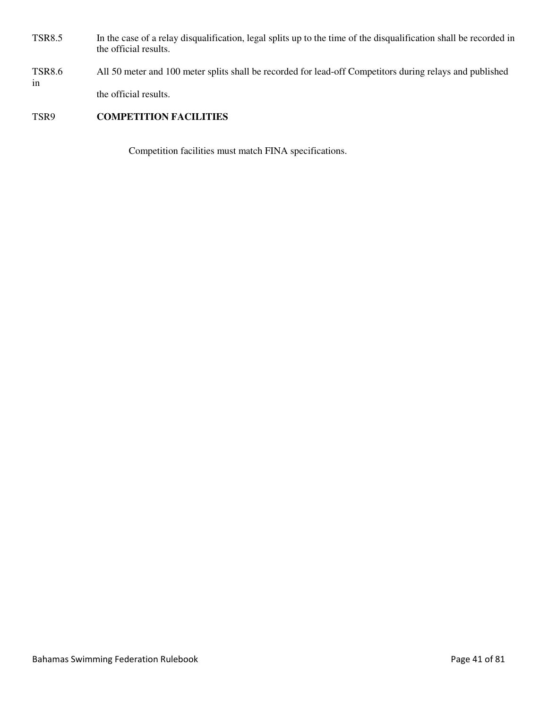- TSR8.5 In the case of a relay disqualification, legal splits up to the time of the disqualification shall be recorded in the official results.
- TSR8.6 All 50 meter and 100 meter splits shall be recorded for lead-off Competitors during relays and published in the official results.

# TSR9 **COMPETITION FACILITIES**

Competition facilities must match FINA specifications.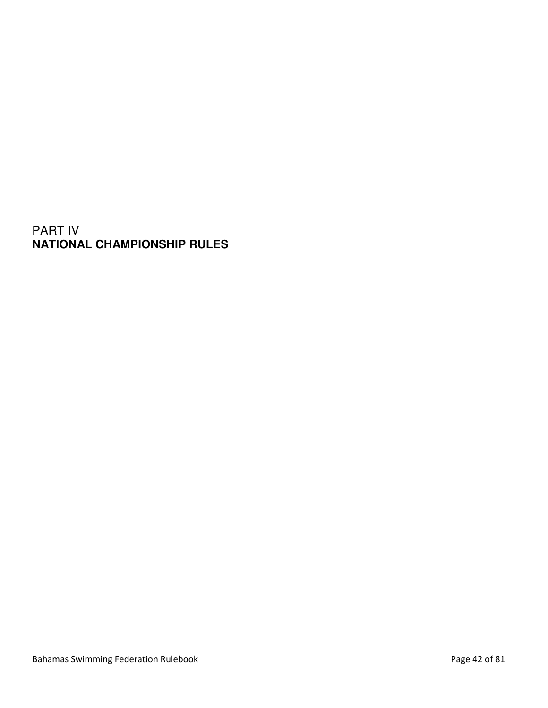# PART IV **NATIONAL CHAMPIONSHIP RULES**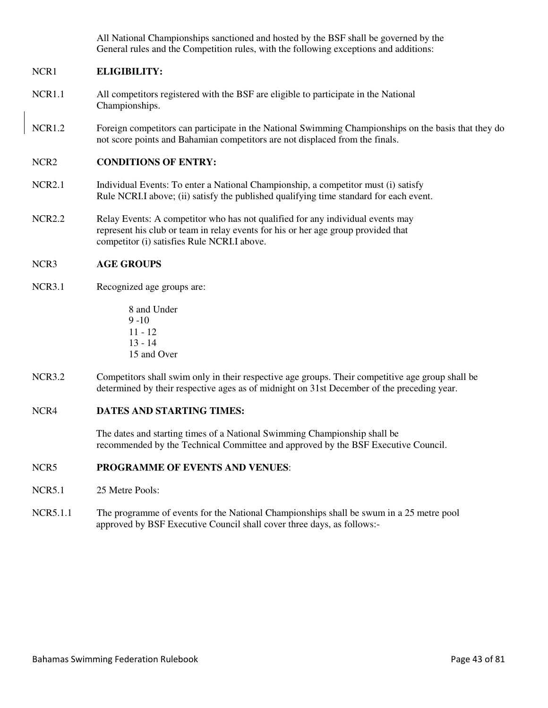All National Championships sanctioned and hosted by the BSF shall be governed by the General rules and the Competition rules, with the following exceptions and additions:

# NCR1 **ELIGIBILITY:**

- NCR1.1 All competitors registered with the BSF are eligible to participate in the National Championships.
- NCR1.2 Foreign competitors can participate in the National Swimming Championships on the basis that they do not score points and Bahamian competitors are not displaced from the finals.

# NCR2 **CONDITIONS OF ENTRY:**

- NCR2.1 Individual Events: To enter a National Championship, a competitor must (i) satisfy Rule NCRI.I above; (ii) satisfy the published qualifying time standard for each event.
- NCR2.2 Relay Events: A competitor who has not qualified for any individual events may represent his club or team in relay events for his or her age group provided that competitor (i) satisfies Rule NCRI.I above.

# NCR3 **AGE GROUPS**

NCR3.1 Recognized age groups are:

8 and Under  $9 - 10$ 11 - 12 13 - 14 15 and Over

NCR3.2 Competitors shall swim only in their respective age groups. Their competitive age group shall be determined by their respective ages as of midnight on 31st December of the preceding year.

# NCR4 **DATES AND STARTING TIMES:**

The dates and starting times of a National Swimming Championship shall be recommended by the Technical Committee and approved by the BSF Executive Council.

# NCR5 **PROGRAMME OF EVENTS AND VENUES**:

- NCR5.1 25 Metre Pools:
- NCR5.1.1 The programme of events for the National Championships shall be swum in a 25 metre pool approved by BSF Executive Council shall cover three days, as follows:-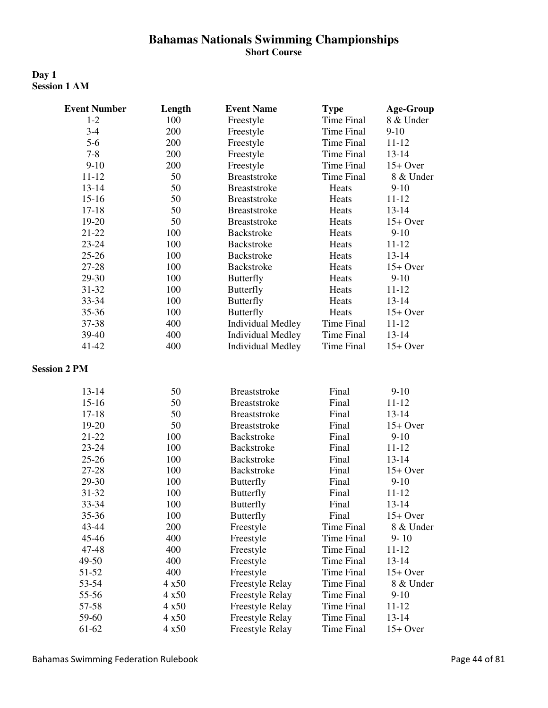# **Bahamas Nationals Swimming Championships Short Course**

# **Day 1 Session 1 AM**

| <b>Event Number</b> | Length | <b>Event Name</b>        | <b>Type</b>       | <b>Age-Group</b> |
|---------------------|--------|--------------------------|-------------------|------------------|
| $1-2$               | 100    | Freestyle                | <b>Time Final</b> | 8 & Under        |
| $3-4$               | 200    | Freestyle                | <b>Time Final</b> | $9-10$           |
| $5-6$               | 200    | Freestyle                | Time Final        | $11 - 12$        |
| $7 - 8$             | 200    | Freestyle                | <b>Time Final</b> | $13 - 14$        |
| $9-10$              | 200    | Freestyle                | <b>Time Final</b> | $15+$ Over       |
| $11 - 12$           | 50     | <b>Breaststroke</b>      | <b>Time Final</b> | 8 & Under        |
| $13 - 14$           | 50     | <b>Breaststroke</b>      | Heats             | $9 - 10$         |
| $15 - 16$           | 50     | <b>Breaststroke</b>      | Heats             | $11 - 12$        |
| $17 - 18$           | 50     | <b>Breaststroke</b>      | Heats             | $13 - 14$        |
| $19-20$             | 50     | <b>Breaststroke</b>      | Heats             | $15+$ Over       |
| $21 - 22$           | 100    | Backstroke               | Heats             | $9-10$           |
| 23-24               | 100    | Backstroke               | Heats             | $11 - 12$        |
| $25 - 26$           | 100    | <b>Backstroke</b>        | Heats             | $13 - 14$        |
| 27-28               | 100    | Backstroke               | Heats             | $15+$ Over       |
| 29-30               | 100    | <b>Butterfly</b>         | Heats             | $9-10$           |
| 31-32               | 100    | <b>Butterfly</b>         | Heats             | $11 - 12$        |
| 33-34               | 100    | <b>Butterfly</b>         | Heats             | 13-14            |
| 35-36               | 100    | <b>Butterfly</b>         | Heats             | $15+$ Over       |
| 37-38               | 400    | <b>Individual Medley</b> | <b>Time Final</b> | $11 - 12$        |
| 39-40               | 400    | <b>Individual Medley</b> | <b>Time Final</b> | $13 - 14$        |
| 41-42               | 400    | <b>Individual Medley</b> | <b>Time Final</b> | $15+$ Over       |
| <b>Session 2 PM</b> |        |                          |                   |                  |
| $13 - 14$           | 50     | <b>Breaststroke</b>      | Final             | $9-10$           |
| $15 - 16$           | 50     | <b>Breaststroke</b>      | Final             | $11 - 12$        |
| $17 - 18$           | 50     | <b>Breaststroke</b>      | Final             | 13-14            |
| 19-20               | 50     | <b>Breaststroke</b>      | Final             | $15+$ Over       |
| 21-22               | 100    | Backstroke               | Final             | $9-10$           |
| $23 - 24$           | 100    | Backstroke               | Final             | $11 - 12$        |
| $25 - 26$           | 100    | Backstroke               | Final             | 13-14            |
| 27-28               | 100    | <b>Backstroke</b>        | Final             | $15+$ Over       |
| 29-30               | 100    | <b>Butterfly</b>         | Final             | $9-10$           |
| 31-32               | 100    | Butterfly                | Final             | $11 - 12$        |
| 33-34               | 100    | <b>Butterfly</b>         | Final             | $13 - 14$        |
| 35-36               | 100    | <b>Butterfly</b>         | Final             | $15+$ Over       |
| 43-44               | 200    | Freestyle                | Time Final        | 8 & Under        |
| 45-46               | 400    | Freestyle                | Time Final        | $9 - 10$         |
| 47-48               | 400    | Freestyle                | <b>Time Final</b> | $11 - 12$        |
| 49-50               | 400    | Freestyle                | <b>Time Final</b> | $13 - 14$        |
| 51-52               | 400    | Freestyle                | <b>Time Final</b> | $15+$ Over       |
| 53-54               | 4x50   | <b>Freestyle Relay</b>   | <b>Time Final</b> | 8 & Under        |
| 55-56               | 4x50   | <b>Freestyle Relay</b>   | <b>Time Final</b> | $9-10$           |
| 57-58               | 4x50   | Freestyle Relay          | Time Final        | $11 - 12$        |
| 59-60               | 4x50   | <b>Freestyle Relay</b>   | <b>Time Final</b> | $13 - 14$        |
| 61-62               | 4x50   | <b>Freestyle Relay</b>   | <b>Time Final</b> | $15+$ Over       |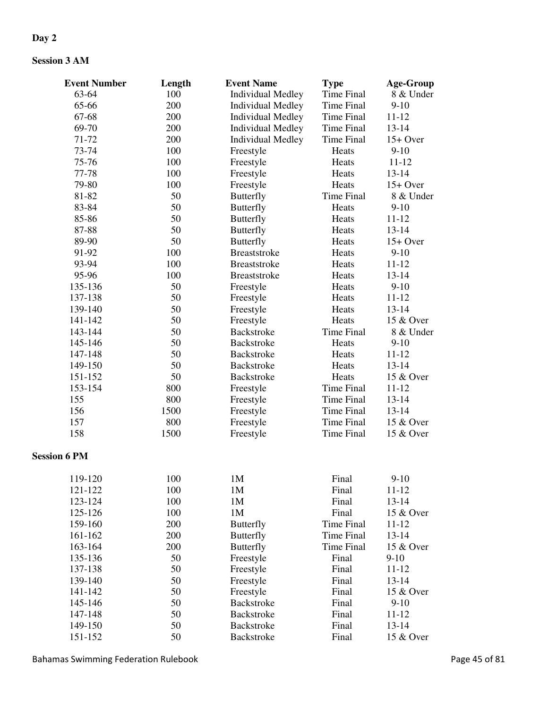# **Day 2**

# **Session 3 AM**

| <b>Event Number</b> | Length | <b>Event Name</b>        | <b>Type</b>       | <b>Age-Group</b> |
|---------------------|--------|--------------------------|-------------------|------------------|
| 63-64               | 100    | <b>Individual Medley</b> | Time Final        | 8 & Under        |
| 65-66               | 200    | <b>Individual Medley</b> | <b>Time Final</b> | $9-10$           |
| 67-68               | 200    | <b>Individual Medley</b> | <b>Time Final</b> | $11 - 12$        |
| 69-70               | 200    | <b>Individual Medley</b> | <b>Time Final</b> | $13 - 14$        |
| 71-72               | 200    | <b>Individual Medley</b> | <b>Time Final</b> | $15+$ Over       |
| 73-74               | 100    | Freestyle                | Heats             | $9-10$           |
| 75-76               | 100    | Freestyle                | Heats             | $11 - 12$        |
| 77-78               | 100    | Freestyle                | Heats             | $13 - 14$        |
| 79-80               | 100    | Freestyle                | Heats             | $15+$ Over       |
| 81-82               | 50     | <b>Butterfly</b>         | <b>Time Final</b> | 8 & Under        |
| 83-84               | 50     | <b>Butterfly</b>         | Heats             | $9-10$           |
| 85-86               | 50     | <b>Butterfly</b>         | Heats             | $11 - 12$        |
| 87-88               | 50     | <b>Butterfly</b>         | Heats             | 13-14            |
| 89-90               | 50     | <b>Butterfly</b>         | Heats             | $15+$ Over       |
| 91-92               | 100    | <b>Breaststroke</b>      | Heats             | $9-10$           |
| 93-94               | 100    | <b>Breaststroke</b>      | Heats             | $11 - 12$        |
| 95-96               | 100    | <b>Breaststroke</b>      | Heats             | $13 - 14$        |
| 135-136             | 50     | Freestyle                | Heats             | $9-10$           |
| 137-138             | 50     | Freestyle                | Heats             | $11 - 12$        |
| 139-140             | 50     | Freestyle                | Heats             | 13-14            |
| 141-142             | 50     | Freestyle                | Heats             | 15 & Over        |
| 143-144             | 50     | Backstroke               | <b>Time Final</b> | 8 & Under        |
| 145-146             | 50     | <b>Backstroke</b>        | Heats             | $9-10$           |
| 147-148             | 50     | Backstroke               | Heats             | $11 - 12$        |
| 149-150             | 50     | <b>Backstroke</b>        | Heats             | $13 - 14$        |
| 151-152             | 50     | Backstroke               | Heats             | 15 & Over        |
| 153-154             | 800    |                          | <b>Time Final</b> | $11 - 12$        |
| 155                 | 800    | Freestyle                | <b>Time Final</b> | 13-14            |
| 156                 |        | Freestyle                |                   |                  |
|                     | 1500   | Freestyle                | <b>Time Final</b> | 13-14            |
| 157                 | 800    | Freestyle                | <b>Time Final</b> | 15 & Over        |
| 158                 | 1500   | Freestyle                | <b>Time Final</b> | 15 & Over        |
| <b>Session 6 PM</b> |        |                          |                   |                  |
| 119-120             | 100    | 1M                       | Final             | $9-10$           |
| 121-122             | 100    | 1M                       | Final             | 11-12            |
| 123-124             | 100    | 1M                       | Final             | 13-14            |
| 125-126             | 100    | 1M                       | Final             | 15 & Over        |
| 159-160             | 200    | <b>Butterfly</b>         | Time Final        | $11 - 12$        |
| 161-162             | 200    | <b>Butterfly</b>         | <b>Time Final</b> | 13-14            |
| 163-164             | 200    | <b>Butterfly</b>         | <b>Time Final</b> | 15 & Over        |
| 135-136             | 50     | Freestyle                | Final             | $9-10$           |
| 137-138             | 50     | Freestyle                | Final             | $11 - 12$        |
| 139-140             | 50     | Freestyle                | Final             | 13-14            |
| 141-142             | 50     | Freestyle                | Final             | 15 & Over        |
| 145-146             | 50     | Backstroke               | Final             | $9-10$           |
| 147-148             | 50     | <b>Backstroke</b>        | Final             | $11 - 12$        |
| 149-150             | 50     | <b>Backstroke</b>        | Final             | $13 - 14$        |
| 151-152             | 50     | Backstroke               | Final             | 15 & Over        |
|                     |        |                          |                   |                  |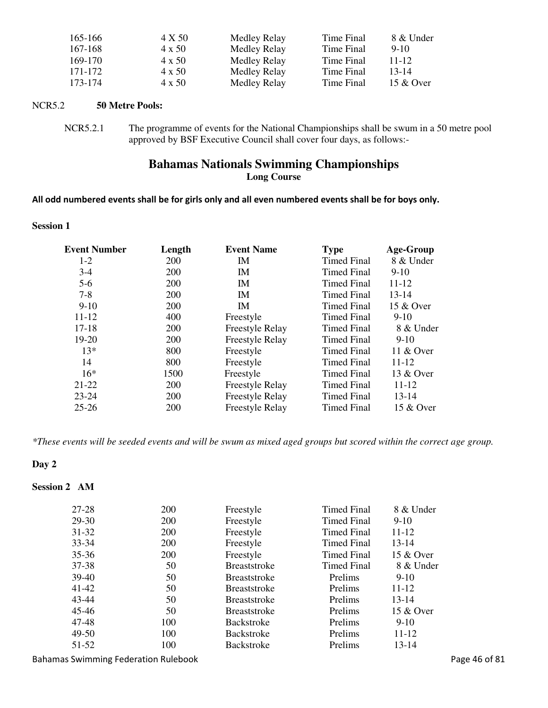| 165-166 | 4 X 50        | Medley Relay | Time Final | 8 & Under |
|---------|---------------|--------------|------------|-----------|
| 167-168 | 4 x 50        | Medley Relay | Time Final | $9-1()$   |
| 169-170 | $4 \times 50$ | Medley Relay | Time Final | $11 - 12$ |
| 171-172 | 4 x 50        | Medley Relay | Time Final | $13 - 14$ |
| 173-174 | 4 x 50        | Medley Relay | Time Final | 15 & Over |

# NCR5.2 **50 Metre Pools:**

NCR5.2.1 The programme of events for the National Championships shall be swum in a 50 metre pool approved by BSF Executive Council shall cover four days, as follows:-

# **Bahamas Nationals Swimming Championships Long Course**

## All odd numbered events shall be for girls only and all even numbered events shall be for boys only.

## **Session 1**

| <b>Event Number</b> | Length     | <b>Event Name</b>      | <b>Type</b>        | <b>Age-Group</b> |
|---------------------|------------|------------------------|--------------------|------------------|
| $1-2$               | <b>200</b> | IM                     | <b>Timed Final</b> | 8 & Under        |
| $3-4$               | <b>200</b> | IM                     | <b>Timed Final</b> | $9-10$           |
| $5-6$               | <b>200</b> | IM                     | <b>Timed Final</b> | 11-12            |
| $7 - 8$             | 200        | <b>IM</b>              | <b>Timed Final</b> | $13 - 14$        |
| $9-10$              | <b>200</b> | IM                     | <b>Timed Final</b> | 15 & Over        |
| $11 - 12$           | 400        | Freestyle              | <b>Timed Final</b> | $9-10$           |
| $17 - 18$           | <b>200</b> | <b>Freestyle Relay</b> | <b>Timed Final</b> | 8 & Under        |
| $19-20$             | <b>200</b> | <b>Freestyle Relay</b> | Timed Final        | $9-10$           |
| $13*$               | 800        | Freestyle              | <b>Timed Final</b> | 11 & Over        |
| 14                  | 800        | Freestyle              | <b>Timed Final</b> | 11-12            |
| $16*$               | 1500       | Freestyle              | <b>Timed Final</b> | 13 & Over        |
| 21-22               | <b>200</b> | <b>Freestyle Relay</b> | <b>Timed Final</b> | 11-12            |
| $23 - 24$           | <b>200</b> | Freestyle Relay        | Timed Final        | 13-14            |
| $25 - 26$           | <b>200</b> | <b>Freestyle Relay</b> | <b>Timed Final</b> | 15 & Over        |

*\*These events will be seeded events and will be swum as mixed aged groups but scored within the correct age group.*

# **Day 2**

# **Session 2 AM**

| 27-28     | 200        | Freestyle           | Timed Final | 8 & Under |
|-----------|------------|---------------------|-------------|-----------|
| $29 - 30$ | 200        | Freestyle           | Timed Final | $9-10$    |
| $31 - 32$ | 200        | Freestyle           | Timed Final | 11-12     |
| $33 - 34$ | 200        | Freestyle           | Timed Final | $13 - 14$ |
| $35 - 36$ | <b>200</b> | Freestyle           | Timed Final | 15 & Over |
| 37-38     | 50         | <b>Breaststroke</b> | Timed Final | 8 & Under |
| $39-40$   | 50         | <b>Breaststroke</b> | Prelims     | $9-10$    |
| 41-42     | 50         | <b>Breaststroke</b> | Prelims     | 11-12     |
| 43-44     | 50         | <b>Breaststroke</b> | Prelims     | $13 - 14$ |
| 45-46     | 50         | <b>Breaststroke</b> | Prelims     | 15 & Over |
| 47-48     | 100        | <b>Backstroke</b>   | Prelims     | $9-10$    |
| $49-50$   | 100        | <b>Backstroke</b>   | Prelims     | 11-12     |
| 51-52     | 100        | <b>Backstroke</b>   | Prelims     | 13-14     |
|           |            |                     |             |           |

Bahamas Swimming Federation Rulebook **Page 46 of 81** Page 46 of 81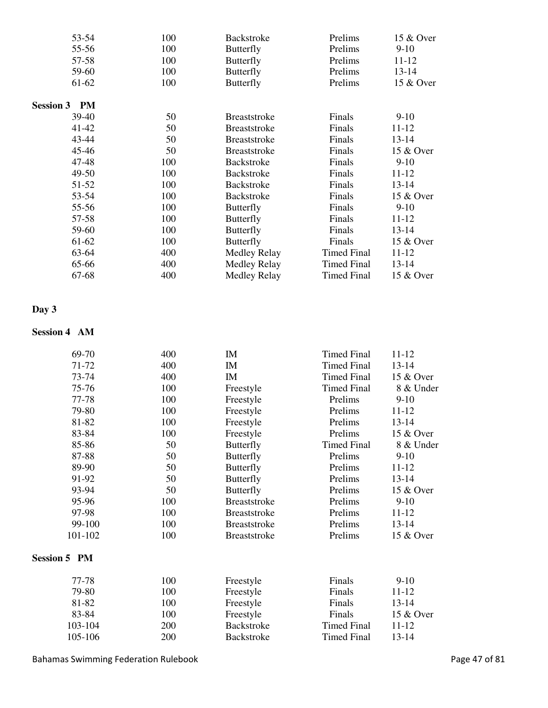| 53-54               | 100 | <b>Backstroke</b>   | Prelims            | 15 & Over |
|---------------------|-----|---------------------|--------------------|-----------|
| 55-56               | 100 | <b>Butterfly</b>    | Prelims            | $9-10$    |
| 57-58               | 100 | <b>Butterfly</b>    | Prelims            | $11 - 12$ |
| 59-60               | 100 | <b>Butterfly</b>    | Prelims            | $13 - 14$ |
| 61-62               | 100 | <b>Butterfly</b>    | Prelims            | 15 & Over |
| <b>Session 3 PM</b> |     |                     |                    |           |
| 39-40               | 50  | <b>Breaststroke</b> | Finals             | $9-10$    |
| 41-42               | 50  | <b>Breaststroke</b> | Finals             | 11-12     |
| 43-44               | 50  | <b>Breaststroke</b> | Finals             | 13-14     |
| $45 - 46$           | 50  | <b>Breaststroke</b> | Finals             | 15 & Over |
| 47-48               | 100 | <b>Backstroke</b>   | Finals             | $9-10$    |
| 49-50               | 100 | <b>Backstroke</b>   | Finals             | 11-12     |
| 51-52               | 100 | <b>Backstroke</b>   | Finals             | 13-14     |
| 53-54               | 100 | <b>Backstroke</b>   | Finals             | 15 & Over |
| 55-56               | 100 | <b>Butterfly</b>    | Finals             | $9-10$    |
| 57-58               | 100 | Butterfly           | Finals             | $11 - 12$ |
| 59-60               | 100 | <b>Butterfly</b>    | Finals             | $13 - 14$ |
| 61-62               | 100 | <b>Butterfly</b>    | Finals             | 15 & Over |
| 63-64               | 400 | Medley Relay        | <b>Timed Final</b> | 11-12     |
| 65-66               | 400 | Medley Relay        | <b>Timed Final</b> | 13-14     |
| 67-68               | 400 | Medley Relay        | Timed Final        | 15 & Over |

## **Day 3**

# **Session 4 AM**

| 69-70               | 400 | IM                  | <b>Timed Final</b> | 11-12     |
|---------------------|-----|---------------------|--------------------|-----------|
| 71-72               | 400 | IM                  | <b>Timed Final</b> | $13 - 14$ |
| 73-74               | 400 | IM                  | <b>Timed Final</b> | 15 & Over |
| 75-76               | 100 | Freestyle           | <b>Timed Final</b> | 8 & Under |
| 77-78               | 100 | Freestyle           | Prelims            | $9-10$    |
| 79-80               | 100 | Freestyle           | Prelims            | $11 - 12$ |
| 81-82               | 100 | Freestyle           | Prelims            | $13 - 14$ |
| 83-84               | 100 | Freestyle           | Prelims            | 15 & Over |
| 85-86               | 50  | <b>Butterfly</b>    | <b>Timed Final</b> | 8 & Under |
| 87-88               | 50  | <b>Butterfly</b>    | Prelims            | $9-10$    |
| 89-90               | 50  | <b>Butterfly</b>    | Prelims            | $11 - 12$ |
| 91-92               | 50  | <b>Butterfly</b>    | Prelims            | $13 - 14$ |
| 93-94               | 50  | <b>Butterfly</b>    | Prelims            | 15 & Over |
| 95-96               | 100 | <b>Breaststroke</b> | Prelims            | $9-10$    |
| 97-98               | 100 | <b>Breaststroke</b> | Prelims            | 11-12     |
| 99-100              | 100 | <b>Breaststroke</b> | Prelims            | $13 - 14$ |
| 101-102             | 100 | <b>Breaststroke</b> | Prelims            | 15 & Over |
| <b>Session 5 PM</b> |     |                     |                    |           |
| 77-78               | 100 | Freestyle           | Finals             | $9-10$    |
| 79-80               | 100 | Freestyle           | Finals             | $11 - 12$ |
| 81-82               | 100 | Freestyle           | Finals             | $13 - 14$ |
| 83-84               | 100 | Freestyle           | Finals             | 15 & Over |
| 103-104             | 200 | <b>Backstroke</b>   | <b>Timed Final</b> | 11-12     |
| 105-106             | 200 | <b>Backstroke</b>   | <b>Timed Final</b> | 13-14     |

Bahamas Swimming Federation Rulebook **Page 47** of 81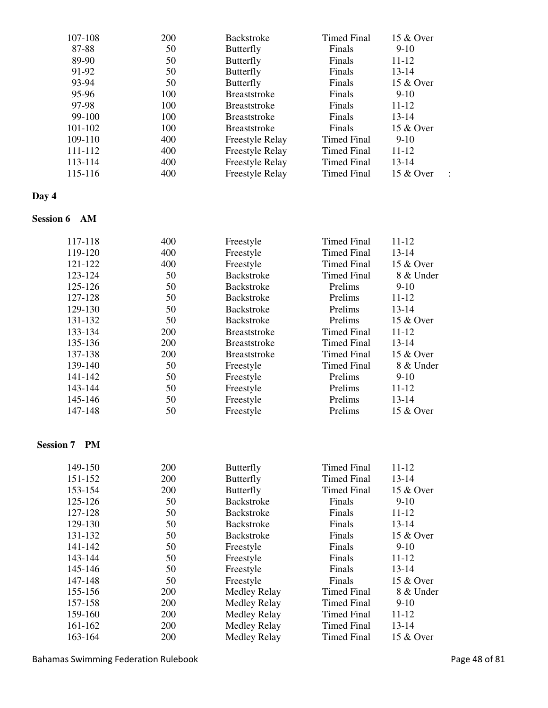| 107-108 | 200 | <b>Backstroke</b>      | <b>Timed Final</b> | 15 & Over |  |
|---------|-----|------------------------|--------------------|-----------|--|
| 87-88   | 50  | <b>Butterfly</b>       | Finals             | $9-10$    |  |
| 89-90   | 50  | <b>Butterfly</b>       | Finals             | $11 - 12$ |  |
| 91-92   | 50  | <b>Butterfly</b>       | Finals             | $13 - 14$ |  |
| 93-94   | 50  | <b>Butterfly</b>       | Finals             | 15 & Over |  |
| 95-96   | 100 | <b>Breaststroke</b>    | Finals             | $9-10$    |  |
| 97-98   | 100 | <b>Breaststroke</b>    | Finals             | 11-12     |  |
| 99-100  | 100 | <b>Breaststroke</b>    | Finals             | 13-14     |  |
| 101-102 | 100 | <b>Breaststroke</b>    | Finals             | 15 & Over |  |
| 109-110 | 400 | <b>Freestyle Relay</b> | Timed Final        | $9-10$    |  |
| 111-112 | 400 | <b>Freestyle Relay</b> | Timed Final        | $11 - 12$ |  |
| 113-114 | 400 | <b>Freestyle Relay</b> | Timed Final        | 13-14     |  |
| 115-116 | 400 | Freestyle Relay        | Timed Final        | 15 & Over |  |
|         |     |                        |                    |           |  |

# **Day 4**

# **Session 6 AM**

| 117-118 | 400        | Freestyle           | <b>Timed Final</b> | 11-12     |
|---------|------------|---------------------|--------------------|-----------|
| 119-120 | 400        | Freestyle           | Timed Final        | $13 - 14$ |
| 121-122 | 400        | Freestyle           | <b>Timed Final</b> | 15 & Over |
| 123-124 | 50         | Backstroke          | Timed Final        | 8 & Under |
| 125-126 | 50         | <b>Backstroke</b>   | Prelims            | $9-10$    |
| 127-128 | 50         | <b>Backstroke</b>   | Prelims            | 11-12     |
| 129-130 | 50         | <b>Backstroke</b>   | <b>Prelims</b>     | 13-14     |
| 131-132 | 50         | <b>Backstroke</b>   | Prelims            | 15 & Over |
| 133-134 | 200        | <b>Breaststroke</b> | <b>Timed Final</b> | $11 - 12$ |
| 135-136 | <b>200</b> | <b>Breaststroke</b> | Timed Final        | $13 - 14$ |
| 137-138 | <b>200</b> | <b>Breaststroke</b> | Timed Final        | 15 & Over |
| 139-140 | 50         | Freestyle           | Timed Final        | 8 & Under |
| 141-142 | 50         | Freestyle           | Prelims            | $9-10$    |
| 143-144 | 50         | Freestyle           | Prelims            | 11-12     |
| 145-146 | 50         | Freestyle           | Prelims            | 13-14     |
| 147-148 | 50         | Freestyle           | Prelims            | 15 & Over |
|         |            |                     |                    |           |

# **Session 7 PM**

| 149-150 | 200        | <b>Butterfly</b>    | <b>Timed Final</b> | $11 - 12$ |
|---------|------------|---------------------|--------------------|-----------|
| 151-152 | 200        | <b>Butterfly</b>    | <b>Timed Final</b> | $13 - 14$ |
| 153-154 | 200        | <b>Butterfly</b>    | <b>Timed Final</b> | 15 & Over |
| 125-126 | 50         | <b>Backstroke</b>   | Finals             | $9-10$    |
| 127-128 | 50         | <b>Backstroke</b>   | Finals             | 11-12     |
| 129-130 | 50         | <b>Backstroke</b>   | Finals             | 13-14     |
| 131-132 | 50         | <b>Backstroke</b>   | Finals             | 15 & Over |
| 141-142 | 50         | Freestyle           | Finals             | $9-10$    |
| 143-144 | 50         | Freestyle           | Finals             | 11-12     |
| 145-146 | 50         | Freestyle           | Finals             | 13-14     |
| 147-148 | 50         | Freestyle           | Finals             | 15 & Over |
| 155-156 | <b>200</b> | <b>Medley Relay</b> | <b>Timed Final</b> | 8 & Under |
| 157-158 | 200        | Medley Relay        | Timed Final        | $9-10$    |
| 159-160 | <b>200</b> | Medley Relay        | Timed Final        | 11-12     |
| 161-162 | <b>200</b> | Medley Relay        | <b>Timed Final</b> | $13 - 14$ |
| 163-164 | 200        | Medley Relay        | <b>Timed Final</b> | 15 & Over |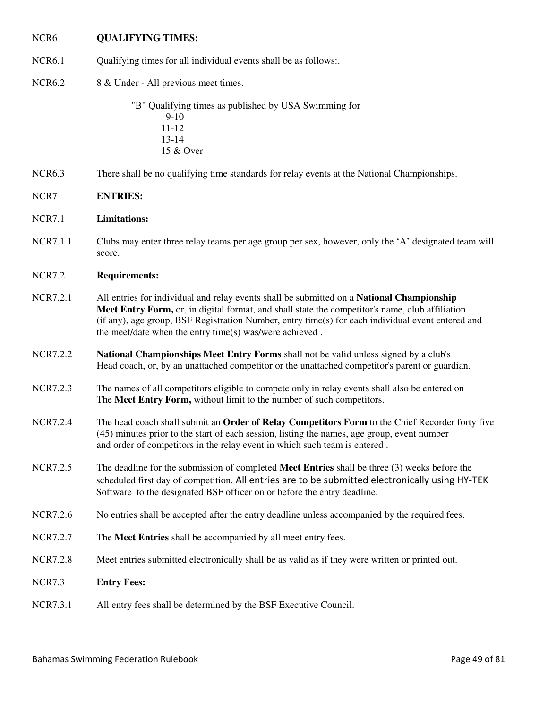# NCR6 **QUALIFYING TIMES:**

- NCR6.1 Qualifying times for all individual events shall be as follows:
- NCR6.2 8 & Under All previous meet times.

 "B" Qualifying times as published by USA Swimming for 9-10 11-12 13-14 15 & Over

NCR6.3 There shall be no qualifying time standards for relay events at the National Championships.

# NCR7 **ENTRIES:**

## NCR7.1 **Limitations:**

NCR7.1.1 Clubs may enter three relay teams per age group per sex, however, only the 'A' designated team will score.

# NCR7.2 **Requirements:**

- NCR7.2.1 All entries for individual and relay events shall be submitted on a **National Championship Meet Entry Form,** or, in digital format, and shall state the competitor's name, club affiliation (if any), age group, BSF Registration Number, entry time(s) for each individual event entered and the meet/date when the entry time(s) was/were achieved .
- NCR7.2.2 **National Championships Meet Entry Forms** shall not be valid unless signed by a club's Head coach, or, by an unattached competitor or the unattached competitor's parent or guardian.
- NCR7.2.3 The names of all competitors eligible to compete only in relay events shall also be entered on The **Meet Entry Form,** without limit to the number of such competitors.
- NCR7.2.4 The head coach shall submit an **Order of Relay Competitors Form** to the Chief Recorder forty five (45) minutes prior to the start of each session, listing the names, age group, event number and order of competitors in the relay event in which such team is entered .
- NCR7.2.5 The deadline for the submission of completed **Meet Entries** shall be three (3) weeks before the scheduled first day of competition. All entries are to be submitted electronically using HY-TEK Software to the designated BSF officer on or before the entry deadline.
- NCR7.2.6 No entries shall be accepted after the entry deadline unless accompanied by the required fees.
- NCR7.2.7 The **Meet Entries** shall be accompanied by all meet entry fees.
- NCR7.2.8 Meet entries submitted electronically shall be as valid as if they were written or printed out.
- NCR7.3 **Entry Fees:**
- NCR7.3.1 All entry fees shall be determined by the BSF Executive Council.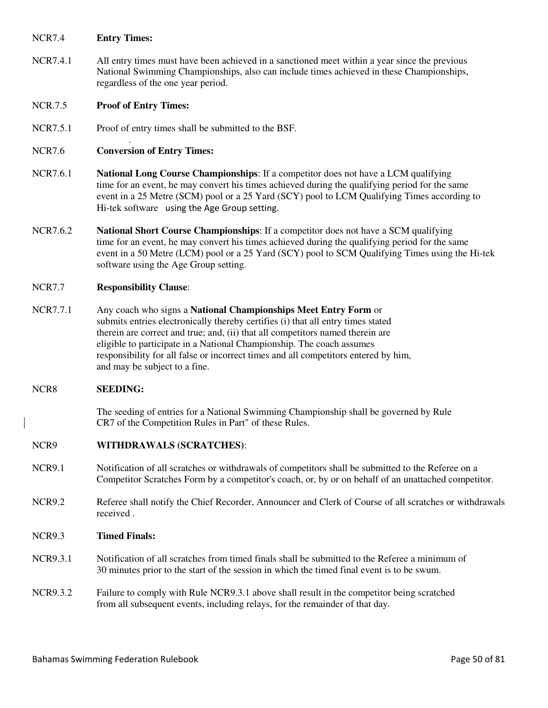## NCR7.4 **Entry Times:**

NCR7.4.1 All entry times must have been achieved in a sanctioned meet within a year since the previous National Swimming Championships, also can include times achieved in these Championships, regardless of the one year period.

## NCR.7.5 **Proof of Entry Times:**

NCR7.5.1 Proof of entry times shall be submitted to the BSF.

# NCR7.6 **Conversion of Entry Times:**

.

- NCR7.6.1 **National Long Course Championships**: If a competitor does not have a LCM qualifying time for an event, he may convert his times achieved during the qualifying period for the same event in a 25 Metre (SCM) pool or a 25 Yard (SCY) pool to LCM Qualifying Times according to Hi-tek software using the Age Group setting.
- NCR7.6.2 **National Short Course Championships**: If a competitor does not have a SCM qualifying time for an event, he may convert his times achieved during the qualifying period for the same event in a 50 Metre (LCM) pool or a 25 Yard (SCY) pool to SCM Qualifying Times using the Hi-tek software using the Age Group setting.

## NCR7.7 **Responsibility Clause**:

NCR7.7.1 Any coach who signs a **National Championships Meet Entry Form** or submits entries electronically thereby certifies (i) that all entry times stated therein are correct and true; and, (ii) that all competitors named therein are eligible to participate in a National Championship. The coach assumes responsibility for all false or incorrect times and all competitors entered by him, and may be subject to a fine.

## NCR8 **SEEDING:**

The seeding of entries for a National Swimming Championship shall be governed by Rule CR7 of the Competition Rules in Part" of these Rules.

## NCR9 **WITHDRAWALS (SCRATCHES)**:

- NCR9.1 Notification of all scratches or withdrawals of competitors shall be submitted to the Referee on a Competitor Scratches Form by a competitor's coach, or, by or on behalf of an unattached competitor.
- NCR9.2 Referee shall notify the Chief Recorder, Announcer and Clerk of Course of all scratches or withdrawals received .

## NCR9.3 **Timed Finals:**

- NCR9.3.1 Notification of all scratches from timed finals shall be submitted to the Referee a minimum of 30 minutes prior to the start of the session in which the timed final event is to be swum.
- NCR9.3.2 Failure to comply with Rule NCR9.3.1 above shall result in the competitor being scratched from all subsequent events, including relays, for the remainder of that day.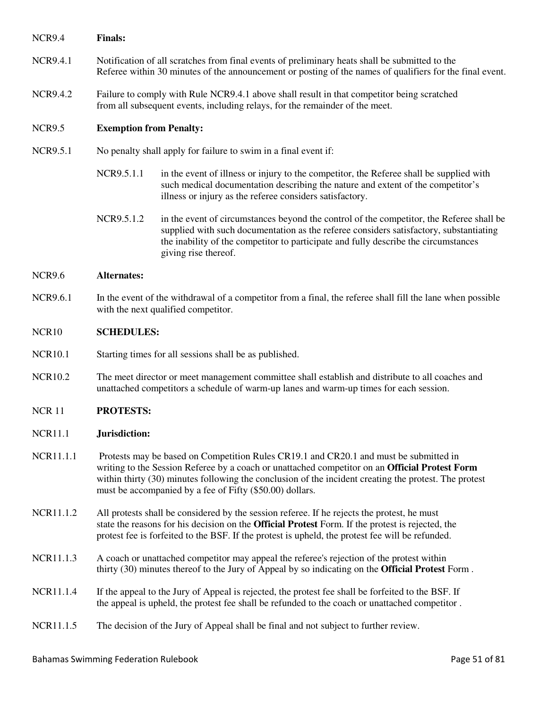NCR9.4 **Finals:** 

- NCR9.4.1 Notification of all scratches from final events of preliminary heats shall be submitted to the Referee within 30 minutes of the announcement or posting of the names of qualifiers for the final event.
- NCR9.4.2 Failure to comply with Rule NCR9.4.1 above shall result in that competitor being scratched from all subsequent events, including relays, for the remainder of the meet.

## NCR9.5 **Exemption from Penalty:**

- NCR9.5.1 No penalty shall apply for failure to swim in a final event if:
	- NCR9.5.1.1 in the event of illness or injury to the competitor, the Referee shall be supplied with such medical documentation describing the nature and extent of the competitor's illness or injury as the referee considers satisfactory.
	- NCR9.5.1.2 in the event of circumstances beyond the control of the competitor, the Referee shall be supplied with such documentation as the referee considers satisfactory, substantiating the inability of the competitor to participate and fully describe the circumstances giving rise thereof.

#### NCR9.6 **Alternates:**

NCR9.6.1 In the event of the withdrawal of a competitor from a final, the referee shall fill the lane when possible with the next qualified competitor.

## NCR10 **SCHEDULES:**

- NCR10.1 Starting times for all sessions shall be as published.
- NCR10.2 The meet director or meet management committee shall establish and distribute to all coaches and unattached competitors a schedule of warm-up lanes and warm-up times for each session.

## NCR 11 **PROTESTS:**

## NCR11.1 **Jurisdiction:**

- NCR11.1.1 Protests may be based on Competition Rules CR19.1 and CR20.1 and must be submitted in writing to the Session Referee by a coach or unattached competitor on an **Official Protest Form**  within thirty (30) minutes following the conclusion of the incident creating the protest. The protest must be accompanied by a fee of Fifty (\$50.00) dollars.
- NCR11.1.2 All protests shall be considered by the session referee. If he rejects the protest, he must state the reasons for his decision on the **Official Protest** Form. If the protest is rejected, the protest fee is forfeited to the BSF. If the protest is upheld, the protest fee will be refunded.
- NCR11.1.3 A coach or unattached competitor may appeal the referee's rejection of the protest within thirty (30) minutes thereof to the Jury of Appeal by so indicating on the **Official Protest** Form .
- NCR11.1.4 If the appeal to the Jury of Appeal is rejected, the protest fee shall be forfeited to the BSF. If the appeal is upheld, the protest fee shall be refunded to the coach or unattached competitor .
- NCR11.1.5 The decision of the Jury of Appeal shall be final and not subject to further review.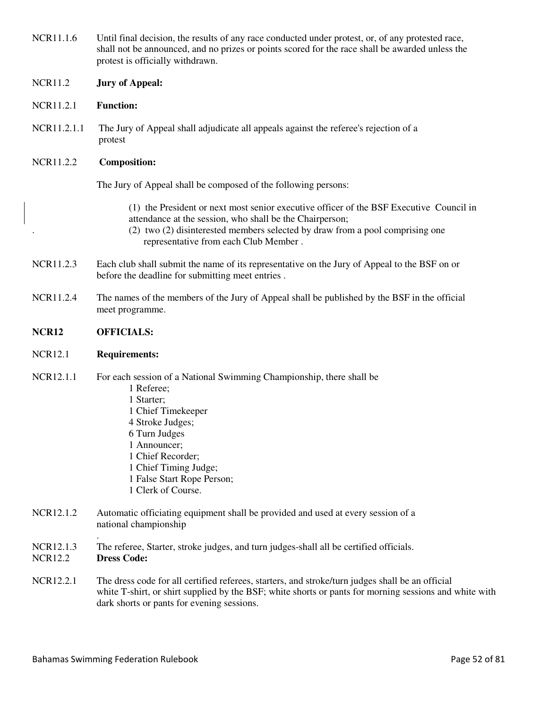| NCR11.1.6                   | Until final decision, the results of any race conducted under protest, or, of any protested race,<br>shall not be announced, and no prizes or points scored for the race shall be awarded unless the<br>protest is officially withdrawn.                                      |
|-----------------------------|-------------------------------------------------------------------------------------------------------------------------------------------------------------------------------------------------------------------------------------------------------------------------------|
| <b>NCR11.2</b>              | <b>Jury of Appeal:</b>                                                                                                                                                                                                                                                        |
| <b>NCR11.2.1</b>            | <b>Function:</b>                                                                                                                                                                                                                                                              |
| NCR11.2.1.1                 | The Jury of Appeal shall adjudicate all appeals against the referee's rejection of a<br>protest                                                                                                                                                                               |
| NCR11.2.2                   | <b>Composition:</b>                                                                                                                                                                                                                                                           |
|                             | The Jury of Appeal shall be composed of the following persons:                                                                                                                                                                                                                |
|                             | (1) the President or next most senior executive officer of the BSF Executive Council in<br>attendance at the session, who shall be the Chairperson;<br>(2) two (2) disinterested members selected by draw from a pool comprising one<br>representative from each Club Member. |
| NCR11.2.3                   | Each club shall submit the name of its representative on the Jury of Appeal to the BSF on or<br>before the deadline for submitting meet entries.                                                                                                                              |
| NCR11.2.4                   | The names of the members of the Jury of Appeal shall be published by the BSF in the official<br>meet programme.                                                                                                                                                               |
| <b>NCR12</b>                | <b>OFFICIALS:</b>                                                                                                                                                                                                                                                             |
| <b>NCR12.1</b>              | <b>Requirements:</b>                                                                                                                                                                                                                                                          |
|                             |                                                                                                                                                                                                                                                                               |
| NCR12.1.1                   | For each session of a National Swimming Championship, there shall be<br>1 Referee;<br>1 Starter;<br>1 Chief Timekeeper<br>4 Stroke Judges;<br>6 Turn Judges<br>1 Announcer;<br>1 Chief Recorder;<br>1 Chief Timing Judge;<br>1 False Start Rope Person;<br>1 Clerk of Course. |
| NCR12.1.2                   | Automatic officiating equipment shall be provided and used at every session of a<br>national championship                                                                                                                                                                     |
| NCR12.1.3<br><b>NCR12.2</b> | The referee, Starter, stroke judges, and turn judges-shall all be certified officials.<br><b>Dress Code:</b>                                                                                                                                                                  |
| NCR12.2.1                   | The dress code for all certified referees, starters, and stroke/turn judges shall be an official<br>white T-shirt, or shirt supplied by the BSF; white shorts or pants for morning sessions and white with<br>dark shorts or pants for evening sessions.                      |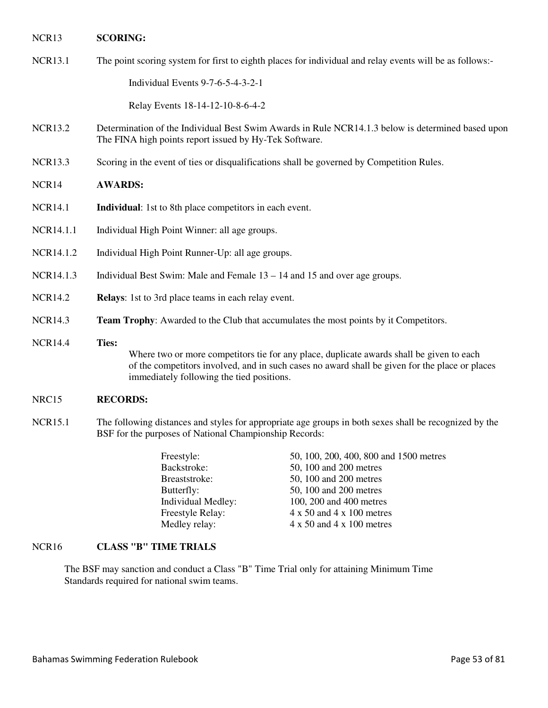## NCR13 **SCORING:**

NCR13.1 The point scoring system for first to eighth places for individual and relay events will be as follows:-

Individual Events 9-7-6-5-4-3-2-1

Relay Events 18-14-12-10-8-6-4-2

- NCR13.2 Determination of the Individual Best Swim Awards in Rule NCR14.1.3 below is determined based upon The FINA high points report issued by Hy-Tek Software.
- NCR13.3 Scoring in the event of ties or disqualifications shall be governed by Competition Rules.
- NCR14 **AWARDS:**
- NCR14.1 **Individual**: 1st to 8th place competitors in each event.
- NCR14.1.1 Individual High Point Winner: all age groups.
- NCR14.1.2 Individual High Point Runner-Up: all age groups.
- NCR14.1.3 Individual Best Swim: Male and Female 13 14 and 15 and over age groups.
- NCR14.2 **Relays**: 1st to 3rd place teams in each relay event.
- NCR14.3 **Team Trophy**: Awarded to the Club that accumulates the most points by it Competitors.
- NCR14.4 **Ties:** Where two or more competitors tie for any place, duplicate awards shall be given to each of the competitors involved, and in such cases no award shall be given for the place or places immediately following the tied positions.

## NRC15 **RECORDS:**

NCR15.1 The following distances and styles for appropriate age groups in both sexes shall be recognized by the BSF for the purposes of National Championship Records:

| Freestyle:         | 50, 100, 200, 400, 800 and 1500 metres  |
|--------------------|-----------------------------------------|
| Backstroke:        | 50, 100 and 200 metres                  |
| Breaststroke:      | 50, 100 and 200 metres                  |
| Butterfly:         | 50, 100 and 200 metres                  |
| Individual Medley: | 100, 200 and 400 metres                 |
| Freestyle Relay:   | $4 \times 50$ and $4 \times 100$ metres |
| Medley relay:      | $4 \times 50$ and $4 \times 100$ metres |
|                    |                                         |

# NCR16 **CLASS "B" TIME TRIALS**

The BSF may sanction and conduct a Class "B" Time Trial only for attaining Minimum Time Standards required for national swim teams.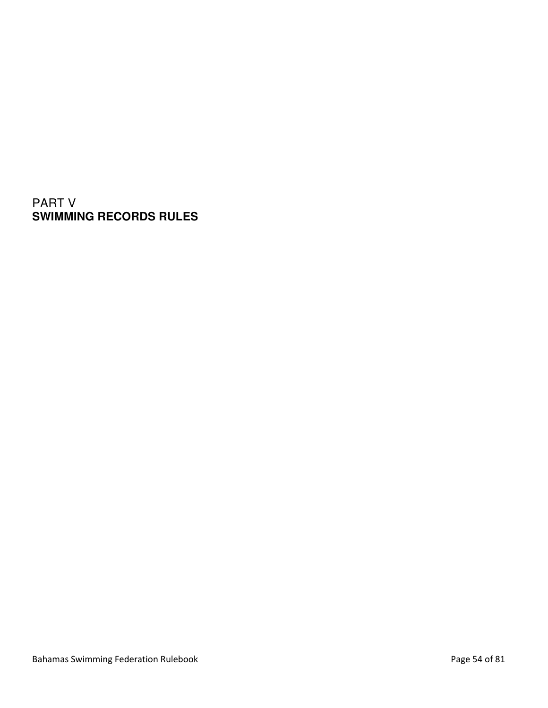PART V **SWIMMING RECORDS RULES**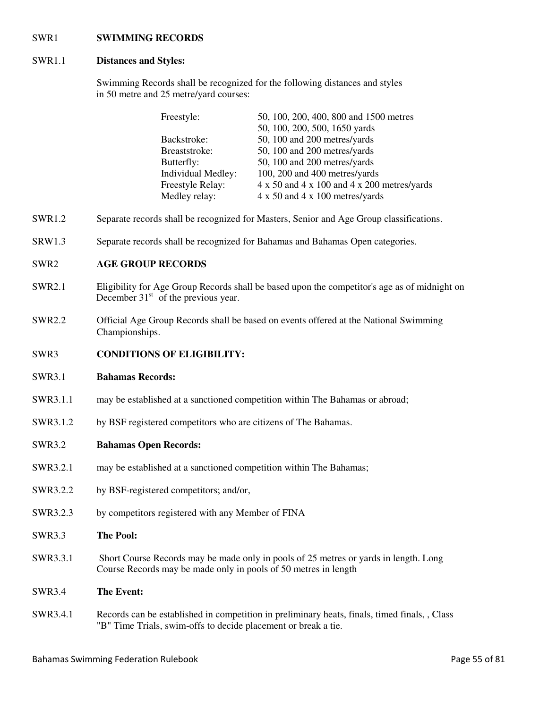## SWR1 **SWIMMING RECORDS**

# SWR1.1 **Distances and Styles:**

Swimming Records shall be recognized for the following distances and styles in 50 metre and 25 metre/yard courses:

| Freestyle:         | 50, 100, 200, 400, 800 and 1500 metres                           |
|--------------------|------------------------------------------------------------------|
|                    | 50, 100, 200, 500, 1650 yards                                    |
| Backstroke:        | 50, 100 and 200 metres/yards                                     |
| Breaststroke:      | 50, 100 and 200 metres/yards                                     |
| Butterfly:         | 50, 100 and 200 metres/yards                                     |
| Individual Medley: | 100, 200 and 400 metres/yards                                    |
| Freestyle Relay:   | $4 \times 50$ and $4 \times 100$ and $4 \times 200$ metres/yards |
| Medley relay:      | $4 \times 50$ and $4 \times 100$ metres/yards                    |

- SWR1.2 Separate records shall be recognized for Masters, Senior and Age Group classifications.
- SRW1.3 Separate records shall be recognized for Bahamas and Bahamas Open categories.

# SWR2 **AGE GROUP RECORDS**

- SWR2.1 Eligibility for Age Group Records shall be based upon the competitor's age as of midnight on December  $31<sup>st</sup>$  of the previous year.
- SWR2.2 Official Age Group Records shall be based on events offered at the National Swimming Championships.
- SWR3 **CONDITIONS OF ELIGIBILITY:**
- SWR3.1 **Bahamas Records:**
- SWR3.1.1 may be established at a sanctioned competition within The Bahamas or abroad;
- SWR3.1.2 by BSF registered competitors who are citizens of The Bahamas.
- SWR3.2 **Bahamas Open Records:**
- SWR3.2.1 may be established at a sanctioned competition within The Bahamas;
- SWR3.2.2 by BSF-registered competitors; and/or,
- SWR3.2.3 by competitors registered with any Member of FINA
- SWR3.3 **The Pool:**
- SWR3.3.1 Short Course Records may be made only in pools of 25 metres or yards in length. Long Course Records may be made only in pools of 50 metres in length

# SWR3.4 **The Event:**

SWR3.4.1 Records can be established in competition in preliminary heats, finals, timed finals, , Class "B" Time Trials, swim-offs to decide placement or break a tie.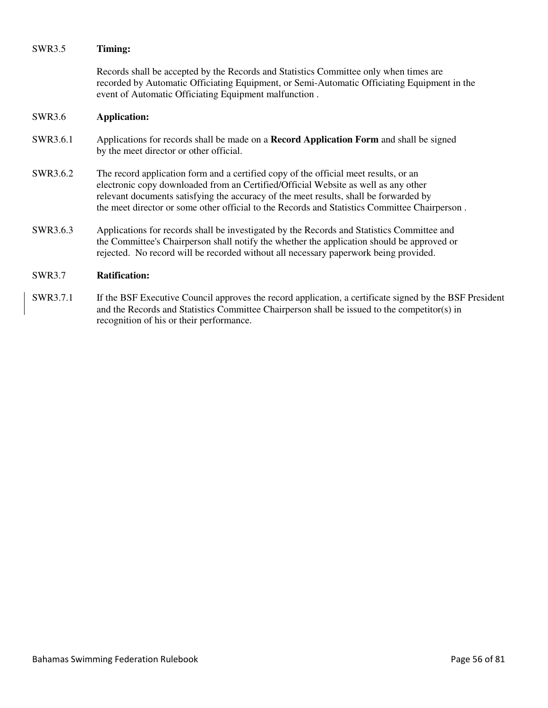## SWR3.5 **Timing:**

Records shall be accepted by the Records and Statistics Committee only when times are recorded by Automatic Officiating Equipment, or Semi-Automatic Officiating Equipment in the event of Automatic Officiating Equipment malfunction .

## SWR3.6 **Application:**

- SWR3.6.1 Applications for records shall be made on a **Record Application Form** and shall be signed by the meet director or other official.
- SWR3.6.2 The record application form and a certified copy of the official meet results, or an electronic copy downloaded from an Certified/Official Website as well as any other relevant documents satisfying the accuracy of the meet results, shall be forwarded by the meet director or some other official to the Records and Statistics Committee Chairperson .
- SWR3.6.3 Applications for records shall be investigated by the Records and Statistics Committee and the Committee's Chairperson shall notify the whether the application should be approved or rejected. No record will be recorded without all necessary paperwork being provided.

# SWR3.7 **Ratification:**

SWR3.7.1 If the BSF Executive Council approves the record application, a certificate signed by the BSF President and the Records and Statistics Committee Chairperson shall be issued to the competitor(s) in recognition of his or their performance.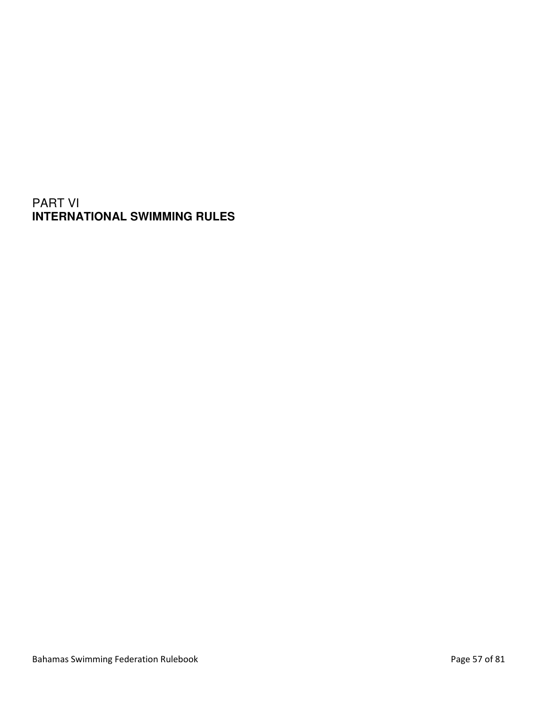# PART VI **INTERNATIONAL SWIMMING RULES**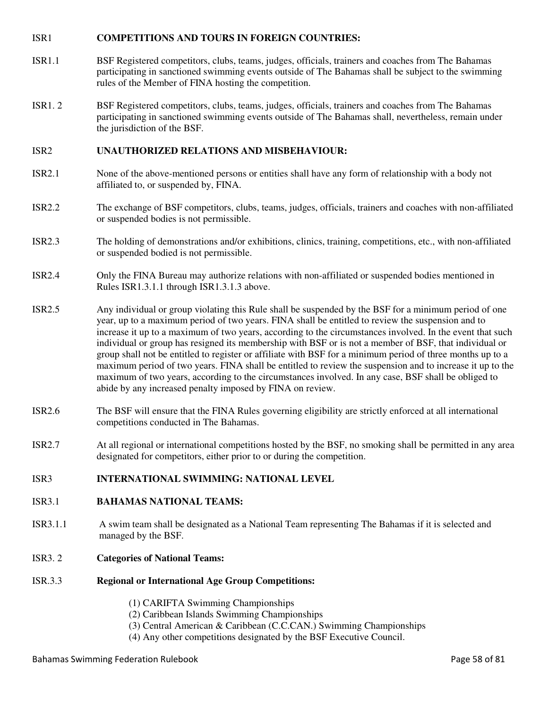# ISR1 **COMPETITIONS AND TOURS IN FOREIGN COUNTRIES:**

- ISR1.1 BSF Registered competitors, clubs, teams, judges, officials, trainers and coaches from The Bahamas participating in sanctioned swimming events outside of The Bahamas shall be subject to the swimming rules of the Member of FINA hosting the competition.
- ISR1. 2 BSF Registered competitors, clubs, teams, judges, officials, trainers and coaches from The Bahamas participating in sanctioned swimming events outside of The Bahamas shall, nevertheless, remain under the jurisdiction of the BSF.

## ISR2 **UNAUTHORIZED RELATIONS AND MISBEHAVIOUR:**

- ISR2.1 None of the above-mentioned persons or entities shall have any form of relationship with a body not affiliated to, or suspended by, FINA.
- ISR2.2 The exchange of BSF competitors, clubs, teams, judges, officials, trainers and coaches with non-affiliated or suspended bodies is not permissible.
- ISR2.3 The holding of demonstrations and/or exhibitions, clinics, training, competitions, etc., with non-affiliated or suspended bodied is not permissible.
- ISR2.4 Only the FINA Bureau may authorize relations with non-affiliated or suspended bodies mentioned in Rules ISR1.3.1.1 through ISR1.3.1.3 above.
- ISR2.5 Any individual or group violating this Rule shall be suspended by the BSF for a minimum period of one year, up to a maximum period of two years. FINA shall be entitled to review the suspension and to increase it up to a maximum of two years, according to the circumstances involved. In the event that such individual or group has resigned its membership with BSF or is not a member of BSF, that individual or group shall not be entitled to register or affiliate with BSF for a minimum period of three months up to a maximum period of two years. FINA shall be entitled to review the suspension and to increase it up to the maximum of two years, according to the circumstances involved. In any case, BSF shall be obliged to abide by any increased penalty imposed by FINA on review.
- ISR2.6 The BSF will ensure that the FINA Rules governing eligibility are strictly enforced at all international competitions conducted in The Bahamas.
- ISR2.7 At all regional or international competitions hosted by the BSF, no smoking shall be permitted in any area designated for competitors, either prior to or during the competition.

# ISR3 **INTERNATIONAL SWIMMING: NATIONAL LEVEL**

- ISR3.1 **BAHAMAS NATIONAL TEAMS:**
- ISR3.1.1 A swim team shall be designated as a National Team representing The Bahamas if it is selected and managed by the BSF.

# ISR3. 2 **Categories of National Teams:**

- ISR.3.3 **Regional or International Age Group Competitions:** 
	- (1) CARIFTA Swimming Championships
	- (2) Caribbean Islands Swimming Championships
	- (3) Central American & Caribbean (C.C.CAN.) Swimming Championships
	- (4) Any other competitions designated by the BSF Executive Council.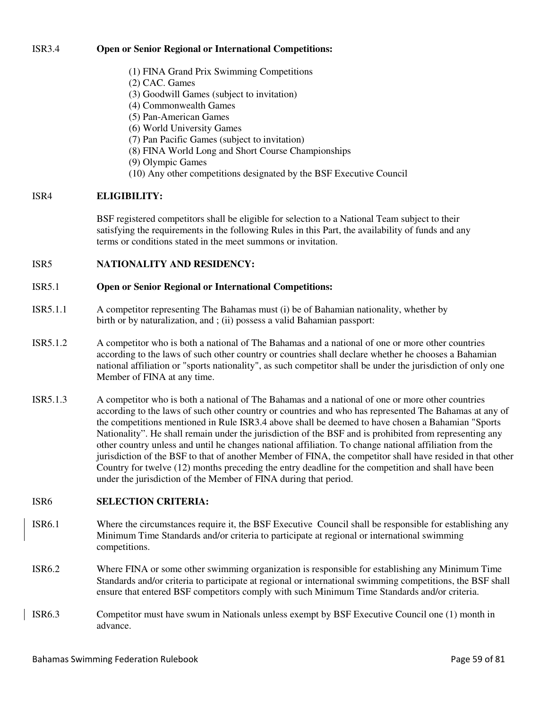# ISR3.4 **Open or Senior Regional or International Competitions:**

- (1) FINA Grand Prix Swimming Competitions
- (2) CAC. Games
- (3) Goodwill Games (subject to invitation)
- (4) Commonwealth Games
- (5) Pan-American Games
- (6) World University Games
- (7) Pan Pacific Games (subject to invitation)
- (8) FINA World Long and Short Course Championships
- (9) Olympic Games
- (10) Any other competitions designated by the BSF Executive Council

## ISR4 **ELIGIBILITY:**

BSF registered competitors shall be eligible for selection to a National Team subject to their satisfying the requirements in the following Rules in this Part, the availability of funds and any terms or conditions stated in the meet summons or invitation.

ISR5 **NATIONALITY AND RESIDENCY:** 

## ISR5.1 **Open or Senior Regional or International Competitions:**

- ISR5.1.1 A competitor representing The Bahamas must (i) be of Bahamian nationality, whether by birth or by naturalization, and ; (ii) possess a valid Bahamian passport:
- ISR5.1.2 A competitor who is both a national of The Bahamas and a national of one or more other countries according to the laws of such other country or countries shall declare whether he chooses a Bahamian national affiliation or "sports nationality", as such competitor shall be under the jurisdiction of only one Member of FINA at any time.
- ISR5.1.3 A competitor who is both a national of The Bahamas and a national of one or more other countries according to the laws of such other country or countries and who has represented The Bahamas at any of the competitions mentioned in Rule ISR3.4 above shall be deemed to have chosen a Bahamian "Sports Nationality". He shall remain under the jurisdiction of the BSF and is prohibited from representing any other country unless and until he changes national affiliation. To change national affiliation from the jurisdiction of the BSF to that of another Member of FINA, the competitor shall have resided in that other Country for twelve (12) months preceding the entry deadline for the competition and shall have been under the jurisdiction of the Member of FINA during that period.

# ISR6 **SELECTION CRITERIA:**

- ISR6.1 Where the circumstances require it, the BSF Executive Council shall be responsible for establishing any Minimum Time Standards and/or criteria to participate at regional or international swimming competitions.
- ISR6.2 Where FINA or some other swimming organization is responsible for establishing any Minimum Time Standards and/or criteria to participate at regional or international swimming competitions, the BSF shall ensure that entered BSF competitors comply with such Minimum Time Standards and/or criteria.
- ISR6.3 Competitor must have swum in Nationals unless exempt by BSF Executive Council one (1) month in advance.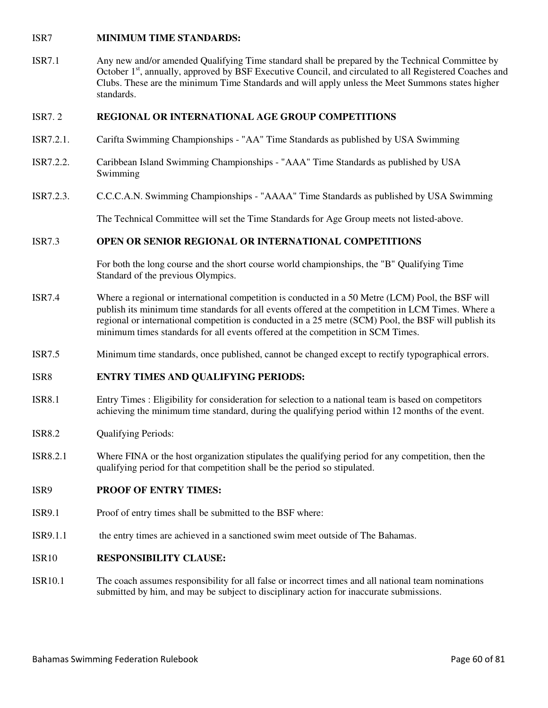## ISR7 **MINIMUM TIME STANDARDS:**

ISR7.1 Any new and/or amended Qualifying Time standard shall be prepared by the Technical Committee by October 1<sup>st</sup>, annually, approved by BSF Executive Council, and circulated to all Registered Coaches and Clubs. These are the minimum Time Standards and will apply unless the Meet Summons states higher standards.

## ISR7. 2 **REGIONAL OR INTERNATIONAL AGE GROUP COMPETITIONS**

- ISR7.2.1. Carifta Swimming Championships "AA" Time Standards as published by USA Swimming
- ISR7.2.2. Caribbean Island Swimming Championships "AAA" Time Standards as published by USA Swimming
- ISR7.2.3. C.C.C.A.N. Swimming Championships "AAAA" Time Standards as published by USA Swimming

The Technical Committee will set the Time Standards for Age Group meets not listed-above.

## ISR7.3 **OPEN OR SENIOR REGIONAL OR INTERNATIONAL COMPETITIONS**

For both the long course and the short course world championships, the "B" Qualifying Time Standard of the previous Olympics.

- ISR7.4 Where a regional or international competition is conducted in a 50 Metre (LCM) Pool, the BSF will publish its minimum time standards for all events offered at the competition in LCM Times. Where a regional or international competition is conducted in a 25 metre (SCM) Pool, the BSF will publish its minimum times standards for all events offered at the competition in SCM Times.
- ISR7.5 Minimum time standards, once published, cannot be changed except to rectify typographical errors.

## ISR8 **ENTRY TIMES AND QUALIFYING PERIODS:**

- ISR8.1 Entry Times : Eligibility for consideration for selection to a national team is based on competitors achieving the minimum time standard, during the qualifying period within 12 months of the event.
- ISR8.2 Qualifying Periods:
- ISR8.2.1 Where FINA or the host organization stipulates the qualifying period for any competition, then the qualifying period for that competition shall be the period so stipulated.

# ISR9 **PROOF OF ENTRY TIMES:**

- ISR9.1 Proof of entry times shall be submitted to the BSF where:
- ISR9.1.1 the entry times are achieved in a sanctioned swim meet outside of The Bahamas.

# ISR10 **RESPONSIBILITY CLAUSE:**

ISR10.1 The coach assumes responsibility for all false or incorrect times and all national team nominations submitted by him, and may be subject to disciplinary action for inaccurate submissions.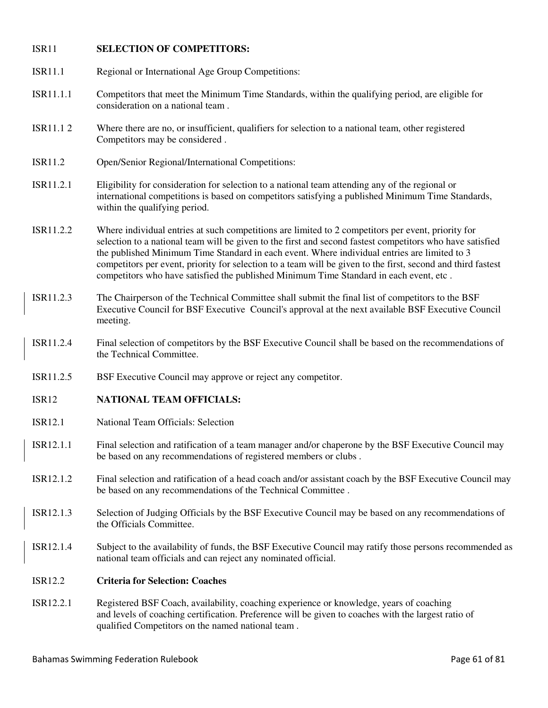# ISR11 **SELECTION OF COMPETITORS:**

- ISR11.1 Regional or International Age Group Competitions:
- ISR11.1.1 Competitors that meet the Minimum Time Standards, within the qualifying period, are eligible for consideration on a national team .
- ISR11.1 2 Where there are no, or insufficient, qualifiers for selection to a national team, other registered Competitors may be considered .
- ISR11.2 Open/Senior Regional/International Competitions:
- ISR11.2.1 Eligibility for consideration for selection to a national team attending any of the regional or international competitions is based on competitors satisfying a published Minimum Time Standards, within the qualifying period.
- ISR11.2.2 Where individual entries at such competitions are limited to 2 competitors per event, priority for selection to a national team will be given to the first and second fastest competitors who have satisfied the published Minimum Time Standard in each event. Where individual entries are limited to 3 competitors per event, priority for selection to a team will be given to the first, second and third fastest competitors who have satisfied the published Minimum Time Standard in each event, etc .
- ISR11.2.3 The Chairperson of the Technical Committee shall submit the final list of competitors to the BSF Executive Council for BSF Executive Council's approval at the next available BSF Executive Council meeting.
- ISR11.2.4 Final selection of competitors by the BSF Executive Council shall be based on the recommendations of the Technical Committee.
- ISR11.2.5 BSF Executive Council may approve or reject any competitor.
- ISR12 **NATIONAL TEAM OFFICIALS:**
- ISR12.1 National Team Officials: Selection
- ISR12.1.1 Final selection and ratification of a team manager and/or chaperone by the BSF Executive Council may be based on any recommendations of registered members or clubs .
- ISR12.1.2 Final selection and ratification of a head coach and/or assistant coach by the BSF Executive Council may be based on any recommendations of the Technical Committee .
- ISR12.1.3 Selection of Judging Officials by the BSF Executive Council may be based on any recommendations of the Officials Committee.
- ISR12.1.4 Subject to the availability of funds, the BSF Executive Council may ratify those persons recommended as national team officials and can reject any nominated official.

# ISR12.2 **Criteria for Selection: Coaches**

ISR12.2.1 Registered BSF Coach, availability, coaching experience or knowledge, years of coaching and levels of coaching certification. Preference will be given to coaches with the largest ratio of qualified Competitors on the named national team .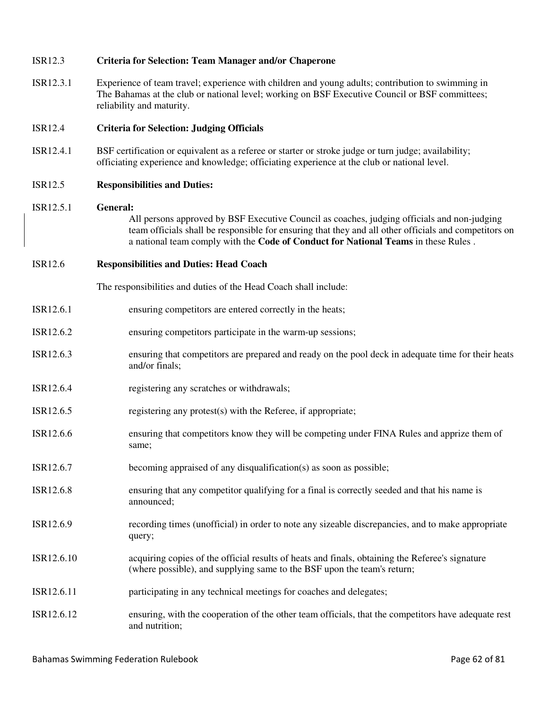| <b>ISR12.3</b> | <b>Criteria for Selection: Team Manager and/or Chaperone</b>                                                                                                                                                                                                                                           |
|----------------|--------------------------------------------------------------------------------------------------------------------------------------------------------------------------------------------------------------------------------------------------------------------------------------------------------|
| ISR12.3.1      | Experience of team travel; experience with children and young adults; contribution to swimming in<br>The Bahamas at the club or national level; working on BSF Executive Council or BSF committees;<br>reliability and maturity.                                                                       |
| <b>ISR12.4</b> | <b>Criteria for Selection: Judging Officials</b>                                                                                                                                                                                                                                                       |
| ISR12.4.1      | BSF certification or equivalent as a referee or starter or stroke judge or turn judge; availability;<br>officiating experience and knowledge; officiating experience at the club or national level.                                                                                                    |
| <b>ISR12.5</b> | <b>Responsibilities and Duties:</b>                                                                                                                                                                                                                                                                    |
| ISR12.5.1      | General:<br>All persons approved by BSF Executive Council as coaches, judging officials and non-judging<br>team officials shall be responsible for ensuring that they and all other officials and competitors on<br>a national team comply with the Code of Conduct for National Teams in these Rules. |
| <b>ISR12.6</b> | <b>Responsibilities and Duties: Head Coach</b>                                                                                                                                                                                                                                                         |
|                | The responsibilities and duties of the Head Coach shall include:                                                                                                                                                                                                                                       |
| ISR12.6.1      | ensuring competitors are entered correctly in the heats;                                                                                                                                                                                                                                               |
| ISR12.6.2      | ensuring competitors participate in the warm-up sessions;                                                                                                                                                                                                                                              |
| ISR12.6.3      | ensuring that competitors are prepared and ready on the pool deck in adequate time for their heats<br>and/or finals;                                                                                                                                                                                   |
| ISR12.6.4      | registering any scratches or withdrawals;                                                                                                                                                                                                                                                              |
| ISR12.6.5      | registering any protest(s) with the Referee, if appropriate;                                                                                                                                                                                                                                           |
| ISR12.6.6      | ensuring that competitors know they will be competing under FINA Rules and apprize them of<br>same;                                                                                                                                                                                                    |
| ISR12.6.7      | becoming appraised of any disqualification(s) as soon as possible;                                                                                                                                                                                                                                     |
| ISR12.6.8      | ensuring that any competitor qualifying for a final is correctly seeded and that his name is<br>announced;                                                                                                                                                                                             |
| ISR12.6.9      | recording times (unofficial) in order to note any sizeable discrepancies, and to make appropriate<br>query;                                                                                                                                                                                            |
| ISR12.6.10     | acquiring copies of the official results of heats and finals, obtaining the Referee's signature<br>(where possible), and supplying same to the BSF upon the team's return;                                                                                                                             |
| ISR12.6.11     | participating in any technical meetings for coaches and delegates;                                                                                                                                                                                                                                     |
| ISR12.6.12     | ensuring, with the cooperation of the other team officials, that the competitors have adequate rest<br>and nutrition;                                                                                                                                                                                  |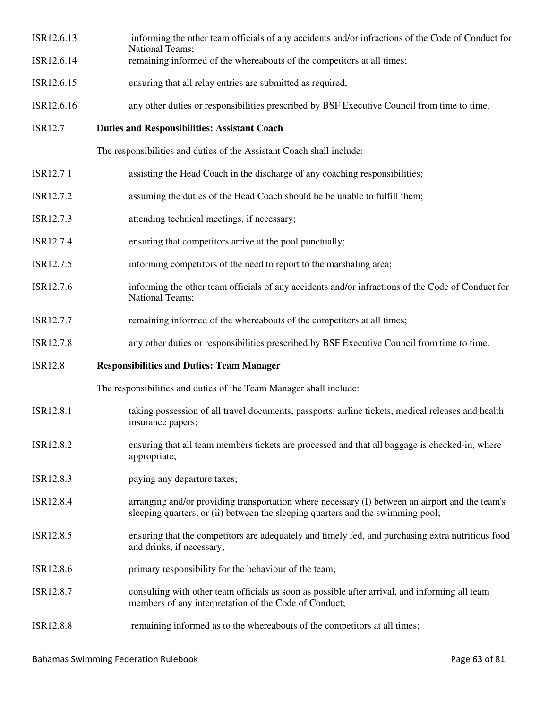| ISR12.6.13     | informing the other team officials of any accidents and/or infractions of the Code of Conduct for<br>National Teams;                                                               |
|----------------|------------------------------------------------------------------------------------------------------------------------------------------------------------------------------------|
| ISR12.6.14     | remaining informed of the whereabouts of the competitors at all times;                                                                                                             |
| ISR12.6.15     | ensuring that all relay entries are submitted as required,                                                                                                                         |
| ISR12.6.16     | any other duties or responsibilities prescribed by BSF Executive Council from time to time.                                                                                        |
| <b>ISR12.7</b> | <b>Duties and Responsibilities: Assistant Coach</b>                                                                                                                                |
|                | The responsibilities and duties of the Assistant Coach shall include:                                                                                                              |
| ISR12.71       | assisting the Head Coach in the discharge of any coaching responsibilities;                                                                                                        |
| ISR12.7.2      | assuming the duties of the Head Coach should he be unable to fulfill them;                                                                                                         |
| ISR12.7.3      | attending technical meetings, if necessary;                                                                                                                                        |
| ISR12.7.4      | ensuring that competitors arrive at the pool punctually;                                                                                                                           |
| ISR12.7.5      | informing competitors of the need to report to the marshaling area;                                                                                                                |
| ISR12.7.6      | informing the other team officials of any accidents and/or infractions of the Code of Conduct for<br>National Teams;                                                               |
| ISR12.7.7      | remaining informed of the whereabouts of the competitors at all times;                                                                                                             |
|                |                                                                                                                                                                                    |
| ISR12.7.8      | any other duties or responsibilities prescribed by BSF Executive Council from time to time.                                                                                        |
| <b>ISR12.8</b> | <b>Responsibilities and Duties: Team Manager</b>                                                                                                                                   |
|                | The responsibilities and duties of the Team Manager shall include:                                                                                                                 |
| ISR12.8.1      | taking possession of all travel documents, passports, airline tickets, medical releases and health<br>insurance papers;                                                            |
| ISR12.8.2      | ensuring that all team members tickets are processed and that all baggage is checked-in, where<br>appropriate;                                                                     |
| ISR12.8.3      | paying any departure taxes;                                                                                                                                                        |
| ISR12.8.4      | arranging and/or providing transportation where necessary (I) between an airport and the team's<br>sleeping quarters, or (ii) between the sleeping quarters and the swimming pool; |
| ISR12.8.5      | ensuring that the competitors are adequately and timely fed, and purchasing extra nutritious food<br>and drinks, if necessary;                                                     |
| ISR12.8.6      | primary responsibility for the behaviour of the team;                                                                                                                              |
| ISR12.8.7      | consulting with other team officials as soon as possible after arrival, and informing all team<br>members of any interpretation of the Code of Conduct;                            |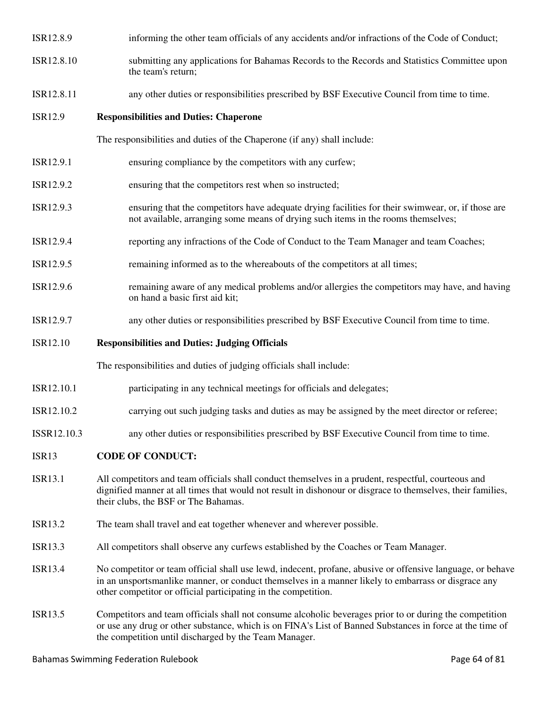| ISR12.8.9       | informing the other team officials of any accidents and/or infractions of the Code of Conduct;                                                                                          |  |
|-----------------|-----------------------------------------------------------------------------------------------------------------------------------------------------------------------------------------|--|
| ISR12.8.10      | submitting any applications for Bahamas Records to the Records and Statistics Committee upon<br>the team's return;                                                                      |  |
| ISR12.8.11      | any other duties or responsibilities prescribed by BSF Executive Council from time to time.                                                                                             |  |
| <b>ISR12.9</b>  | <b>Responsibilities and Duties: Chaperone</b>                                                                                                                                           |  |
|                 | The responsibilities and duties of the Chaperone (if any) shall include:                                                                                                                |  |
| ISR12.9.1       | ensuring compliance by the competitors with any curfew;                                                                                                                                 |  |
| ISR12.9.2       | ensuring that the competitors rest when so instructed;                                                                                                                                  |  |
| ISR12.9.3       | ensuring that the competitors have adequate drying facilities for their swimwear, or, if those are<br>not available, arranging some means of drying such items in the rooms themselves; |  |
| ISR12.9.4       | reporting any infractions of the Code of Conduct to the Team Manager and team Coaches;                                                                                                  |  |
| ISR12.9.5       | remaining informed as to the whereabouts of the competitors at all times;                                                                                                               |  |
| ISR12.9.6       | remaining aware of any medical problems and/or allergies the competitors may have, and having<br>on hand a basic first aid kit;                                                         |  |
| ISR12.9.7       | any other duties or responsibilities prescribed by BSF Executive Council from time to time.                                                                                             |  |
| <b>ISR12.10</b> | <b>Responsibilities and Duties: Judging Officials</b>                                                                                                                                   |  |

The responsibilities and duties of judging officials shall include:

- ISR12.10.1 participating in any technical meetings for officials and delegates;
- ISR12.10.2 carrying out such judging tasks and duties as may be assigned by the meet director or referee;
- ISSR12.10.3 any other duties or responsibilities prescribed by BSF Executive Council from time to time.

# ISR13 **CODE OF CONDUCT:**

- ISR13.1 All competitors and team officials shall conduct themselves in a prudent, respectful, courteous and dignified manner at all times that would not result in dishonour or disgrace to themselves, their families, their clubs, the BSF or The Bahamas.
- ISR13.2 The team shall travel and eat together whenever and wherever possible.
- ISR13.3 All competitors shall observe any curfews established by the Coaches or Team Manager.
- ISR13.4 No competitor or team official shall use lewd, indecent, profane, abusive or offensive language, or behave in an unsportsmanlike manner, or conduct themselves in a manner likely to embarrass or disgrace any other competitor or official participating in the competition.
- ISR13.5 Competitors and team officials shall not consume alcoholic beverages prior to or during the competition or use any drug or other substance, which is on FINA's List of Banned Substances in force at the time of the competition until discharged by the Team Manager.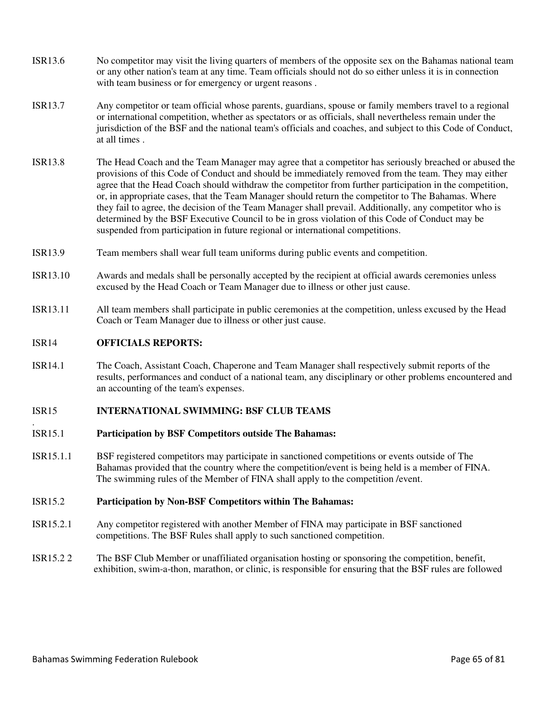- ISR13.6 No competitor may visit the living quarters of members of the opposite sex on the Bahamas national team or any other nation's team at any time. Team officials should not do so either unless it is in connection with team business or for emergency or urgent reasons .
- ISR13.7 Any competitor or team official whose parents, guardians, spouse or family members travel to a regional or international competition, whether as spectators or as officials, shall nevertheless remain under the jurisdiction of the BSF and the national team's officials and coaches, and subject to this Code of Conduct, at all times .
- ISR13.8 The Head Coach and the Team Manager may agree that a competitor has seriously breached or abused the provisions of this Code of Conduct and should be immediately removed from the team. They may either agree that the Head Coach should withdraw the competitor from further participation in the competition, or, in appropriate cases, that the Team Manager should return the competitor to The Bahamas. Where they fail to agree, the decision of the Team Manager shall prevail. Additionally, any competitor who is determined by the BSF Executive Council to be in gross violation of this Code of Conduct may be suspended from participation in future regional or international competitions.
- ISR13.9 Team members shall wear full team uniforms during public events and competition.
- ISR13.10 Awards and medals shall be personally accepted by the recipient at official awards ceremonies unless excused by the Head Coach or Team Manager due to illness or other just cause.
- ISR13.11 All team members shall participate in public ceremonies at the competition, unless excused by the Head Coach or Team Manager due to illness or other just cause.

## ISR14 **OFFICIALS REPORTS:**

.

ISR14.1 The Coach, Assistant Coach, Chaperone and Team Manager shall respectively submit reports of the results, performances and conduct of a national team, any disciplinary or other problems encountered and an accounting of the team's expenses.

## ISR15 **INTERNATIONAL SWIMMING: BSF CLUB TEAMS**

## ISR15.1 **Participation by BSF Competitors outside The Bahamas:**

ISR15.1.1 BSF registered competitors may participate in sanctioned competitions or events outside of The Bahamas provided that the country where the competition/event is being held is a member of FINA. The swimming rules of the Member of FINA shall apply to the competition /event.

## ISR15.2 **Participation by Non-BSF Competitors within The Bahamas:**

- ISR15.2.1 Any competitor registered with another Member of FINA may participate in BSF sanctioned competitions. The BSF Rules shall apply to such sanctioned competition.
- ISR15.2 2 The BSF Club Member or unaffiliated organisation hosting or sponsoring the competition, benefit, exhibition, swim-a-thon, marathon, or clinic, is responsible for ensuring that the BSF rules are followed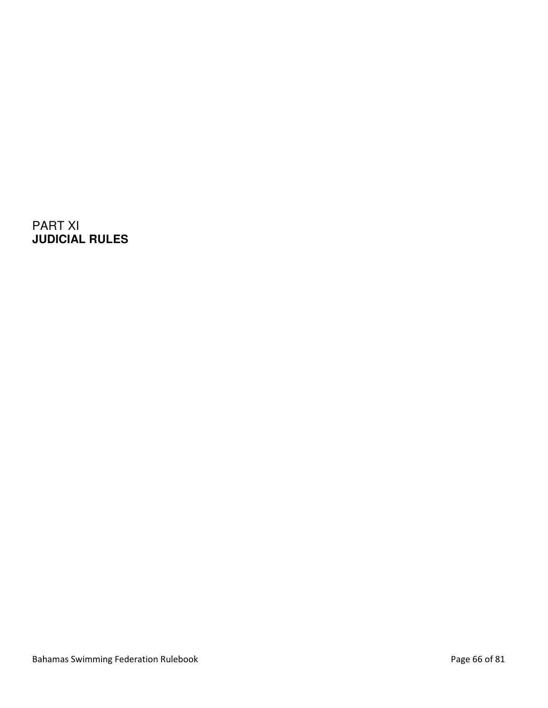PART XI **JUDICIAL RULES**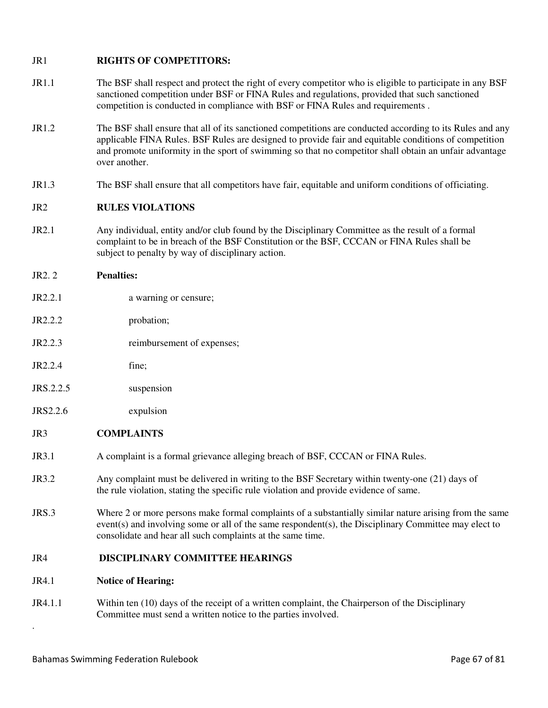# JR1 **RIGHTS OF COMPETITORS:**

- JR1.1 The BSF shall respect and protect the right of every competitor who is eligible to participate in any BSF sanctioned competition under BSF or FINA Rules and regulations, provided that such sanctioned competition is conducted in compliance with BSF or FINA Rules and requirements .
- JR1.2 The BSF shall ensure that all of its sanctioned competitions are conducted according to its Rules and any applicable FINA Rules. BSF Rules are designed to provide fair and equitable conditions of competition and promote uniformity in the sport of swimming so that no competitor shall obtain an unfair advantage over another.
- JR1.3 The BSF shall ensure that all competitors have fair, equitable and uniform conditions of officiating.

# JR2 **RULES VIOLATIONS**

JR2.1 Any individual, entity and/or club found by the Disciplinary Committee as the result of a formal complaint to be in breach of the BSF Constitution or the BSF, CCCAN or FINA Rules shall be subject to penalty by way of disciplinary action.

# JR2. 2 **Penalties:**

- JR2.2.1 a warning or censure;
- JR2.2.2 probation;
- JR2.2.3 reimbursement of expenses;
- $JR2.2.4$  fine:
- JRS.2.2.5 suspension
- JRS2.2.6 expulsion
- JR3 **COMPLAINTS**
- JR3.1 A complaint is a formal grievance alleging breach of BSF, CCCAN or FINA Rules.
- JR3.2 Any complaint must be delivered in writing to the BSF Secretary within twenty-one (21) days of the rule violation, stating the specific rule violation and provide evidence of same.
- JRS.3 Where 2 or more persons make formal complaints of a substantially similar nature arising from the same event(s) and involving some or all of the same respondent(s), the Disciplinary Committee may elect to consolidate and hear all such complaints at the same time.

# JR4 **DISCIPLINARY COMMITTEE HEARINGS**

# JR4.1 **Notice of Hearing:**

.

JR4.1.1 Within ten (10) days of the receipt of a written complaint, the Chairperson of the Disciplinary Committee must send a written notice to the parties involved.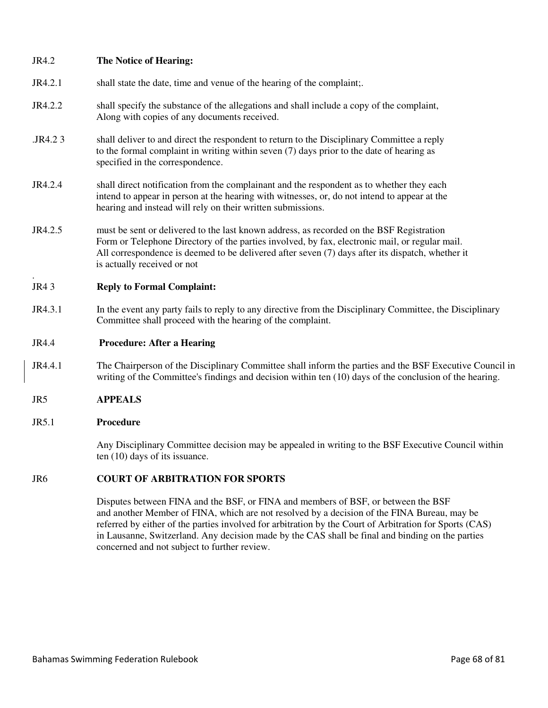## JR4.2 **The Notice of Hearing:**

- JR4.2.1 shall state the date, time and venue of the hearing of the complaint;.
- JR4.2.2 shall specify the substance of the allegations and shall include a copy of the complaint, Along with copies of any documents received.
- .JR4.2 3 shall deliver to and direct the respondent to return to the Disciplinary Committee a reply to the formal complaint in writing within seven (7) days prior to the date of hearing as specified in the correspondence.
- JR4.2.4 shall direct notification from the complainant and the respondent as to whether they each intend to appear in person at the hearing with witnesses, or, do not intend to appear at the hearing and instead will rely on their written submissions.
- JR4.2.5 must be sent or delivered to the last known address, as recorded on the BSF Registration Form or Telephone Directory of the parties involved, by fax, electronic mail, or regular mail. All correspondence is deemed to be delivered after seven (7) days after its dispatch, whether it is actually received or not

#### . JR4 3 **Reply to Formal Complaint:**

JR4.3.1 In the event any party fails to reply to any directive from the Disciplinary Committee, the Disciplinary Committee shall proceed with the hearing of the complaint.

## JR4.4 **Procedure: After a Hearing**

- JR4.4.1 The Chairperson of the Disciplinary Committee shall inform the parties and the BSF Executive Council in writing of the Committee's findings and decision within ten (10) days of the conclusion of the hearing.
- JR5 **APPEALS**

## JR5.1 **Procedure**

Any Disciplinary Committee decision may be appealed in writing to the BSF Executive Council within ten (10) days of its issuance.

## JR6 **COURT OF ARBITRATION FOR SPORTS**

Disputes between FINA and the BSF, or FINA and members of BSF, or between the BSF and another Member of FINA, which are not resolved by a decision of the FINA Bureau, may be referred by either of the parties involved for arbitration by the Court of Arbitration for Sports (CAS) in Lausanne, Switzerland. Any decision made by the CAS shall be final and binding on the parties concerned and not subject to further review.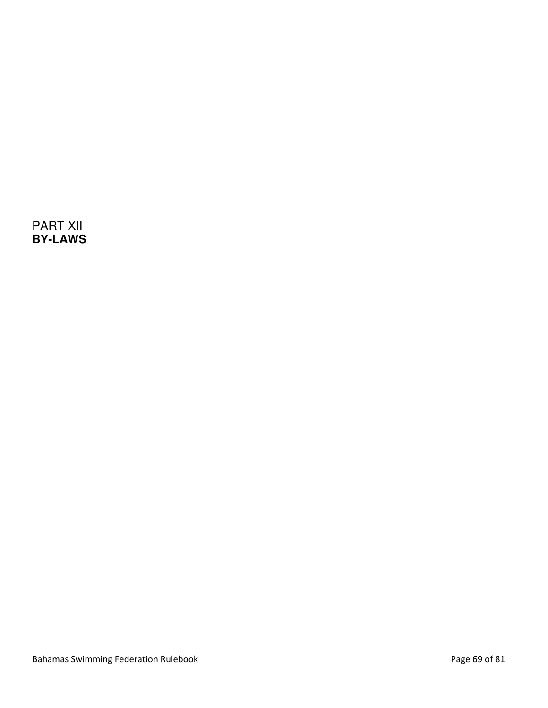PART XII **BY-LAWS**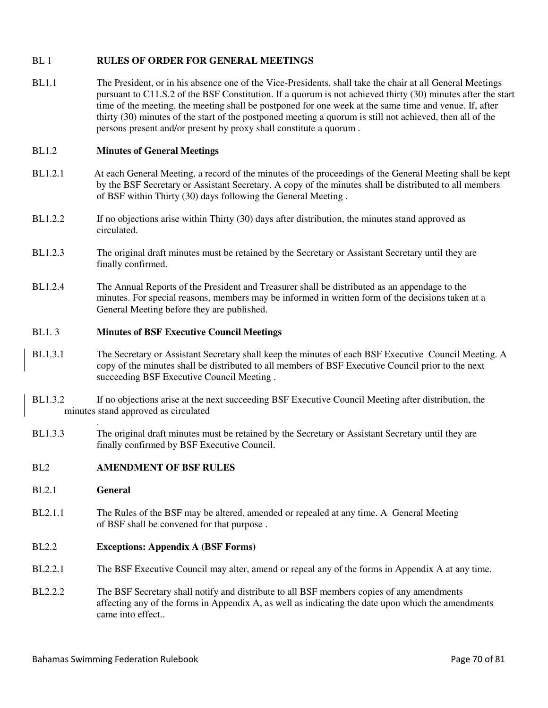# BL 1 **RULES OF ORDER FOR GENERAL MEETINGS**

BL1.1 The President, or in his absence one of the Vice-Presidents, shall take the chair at all General Meetings pursuant to C11.S.2 of the BSF Constitution. If a quorum is not achieved thirty (30) minutes after the start time of the meeting, the meeting shall be postponed for one week at the same time and venue. If, after thirty (30) minutes of the start of the postponed meeting a quorum is still not achieved, then all of the persons present and/or present by proxy shall constitute a quorum .

## BL1.2 **Minutes of General Meetings**

- BL1.2.1 At each General Meeting, a record of the minutes of the proceedings of the General Meeting shall be kept by the BSF Secretary or Assistant Secretary. A copy of the minutes shall be distributed to all members of BSF within Thirty (30) days following the General Meeting .
- BL1.2.2 If no objections arise within Thirty (30) days after distribution, the minutes stand approved as circulated.
- BL1.2.3 The original draft minutes must be retained by the Secretary or Assistant Secretary until they are finally confirmed.
- BL1.2.4 The Annual Reports of the President and Treasurer shall be distributed as an appendage to the minutes. For special reasons, members may be informed in written form of the decisions taken at a General Meeting before they are published.

## BL1. 3 **Minutes of BSF Executive Council Meetings**

- BL1.3.1 The Secretary or Assistant Secretary shall keep the minutes of each BSF Executive Council Meeting. A copy of the minutes shall be distributed to all members of BSF Executive Council prior to the next succeeding BSF Executive Council Meeting .
- BL1.3.2 If no objections arise at the next succeeding BSF Executive Council Meeting after distribution, the minutes stand approved as circulated
- BL1.3.3 The original draft minutes must be retained by the Secretary or Assistant Secretary until they are finally confirmed by BSF Executive Council.

## BL2 **AMENDMENT OF BSF RULES**

BL2.1 **General** 

.

BL2.1.1 The Rules of the BSF may be altered, amended or repealed at any time. A General Meeting of BSF shall be convened for that purpose .

## BL2.2 **Exceptions: Appendix A (BSF Forms)**

- BL2.2.1 The BSF Executive Council may alter, amend or repeal any of the forms in Appendix A at any time.
- BL2.2.2 The BSF Secretary shall notify and distribute to all BSF members copies of any amendments affecting any of the forms in Appendix A, as well as indicating the date upon which the amendments came into effect..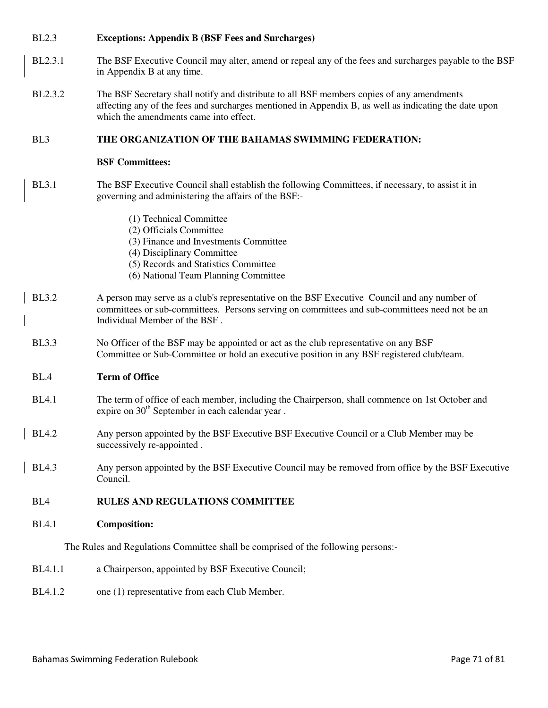# BL2.3 **Exceptions: Appendix B (BSF Fees and Surcharges)**

- BL2.3.1 The BSF Executive Council may alter, amend or repeal any of the fees and surcharges payable to the BSF in Appendix B at any time.
- BL2.3.2 The BSF Secretary shall notify and distribute to all BSF members copies of any amendments affecting any of the fees and surcharges mentioned in Appendix B, as well as indicating the date upon which the amendments came into effect.

# BL3 **THE ORGANIZATION OF THE BAHAMAS SWIMMING FEDERATION:**

## **BSF Committees:**

- BL3.1 The BSF Executive Council shall establish the following Committees, if necessary, to assist it in governing and administering the affairs of the BSF:-
	- (1) Technical Committee
	- (2) Officials Committee
	- (3) Finance and Investments Committee
	- (4) Disciplinary Committee
	- (5) Records and Statistics Committee
	- (6) National Team Planning Committee
- BL3.2 A person may serve as a club's representative on the BSF Executive Council and any number of committees or sub-committees. Persons serving on committees and sub-committees need not be an Individual Member of the BSF .
- BL3.3 No Officer of the BSF may be appointed or act as the club representative on any BSF Committee or Sub-Committee or hold an executive position in any BSF registered club/team.

# BL.4 **Term of Office**

- BL4.1 The term of office of each member, including the Chairperson, shall commence on 1st October and expire on  $30<sup>th</sup>$  September in each calendar year.
- BL4.2 Any person appointed by the BSF Executive BSF Executive Council or a Club Member may be successively re-appointed .
- BL4.3 Any person appointed by the BSF Executive Council may be removed from office by the BSF Executive Council.

# BL4 **RULES AND REGULATIONS COMMITTEE**

BL4.1 **Composition:** 

The Rules and Regulations Committee shall be comprised of the following persons:-

- BL4.1.1 a Chairperson, appointed by BSF Executive Council;
- BL4.1.2 one (1) representative from each Club Member.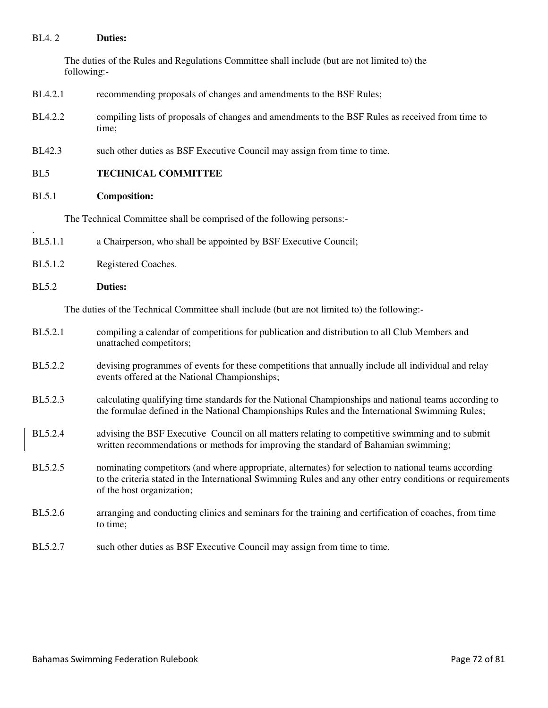## BL4. 2 **Duties:**

The duties of the Rules and Regulations Committee shall include (but are not limited to) the following:-

- BL4.2.1 recommending proposals of changes and amendments to the BSF Rules;
- BL4.2.2 compiling lists of proposals of changes and amendments to the BSF Rules as received from time to time;
- BL42.3 such other duties as BSF Executive Council may assign from time to time.
- BL5 **TECHNICAL COMMITTEE**
- BL5.1 **Composition:**

The Technical Committee shall be comprised of the following persons:-

- BL5.1.1 a Chairperson, who shall be appointed by BSF Executive Council;
- BL5.1.2 Registered Coaches.
- BL5.2 **Duties:**

.

The duties of the Technical Committee shall include (but are not limited to) the following:-

- BL5.2.1 compiling a calendar of competitions for publication and distribution to all Club Members and unattached competitors;
- BL5.2.2 devising programmes of events for these competitions that annually include all individual and relay events offered at the National Championships;
- BL5.2.3 calculating qualifying time standards for the National Championships and national teams according to the formulae defined in the National Championships Rules and the International Swimming Rules;
- BL5.2.4 advising the BSF Executive Council on all matters relating to competitive swimming and to submit written recommendations or methods for improving the standard of Bahamian swimming;
- BL5.2.5 nominating competitors (and where appropriate, alternates) for selection to national teams according to the criteria stated in the International Swimming Rules and any other entry conditions or requirements of the host organization;
- BL5.2.6 arranging and conducting clinics and seminars for the training and certification of coaches, from time to time;
- BL5.2.7 such other duties as BSF Executive Council may assign from time to time.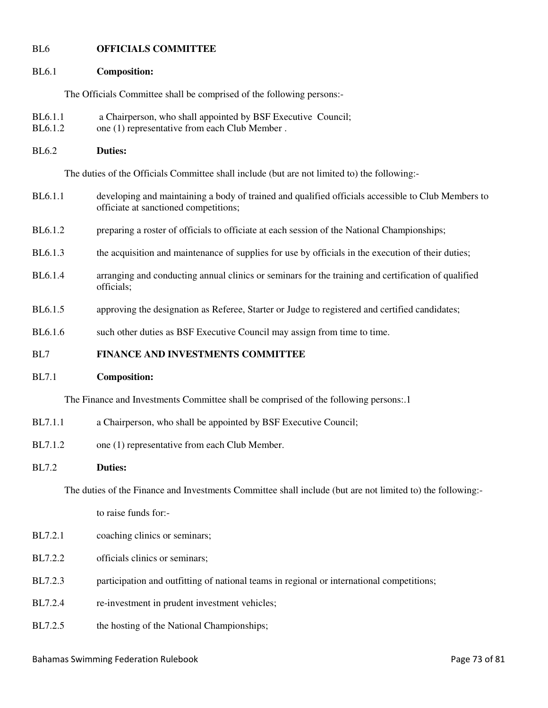## BL6 **OFFICIALS COMMITTEE**

### BL6.1 **Composition:**

The Officials Committee shall be comprised of the following persons:-

- BL6.1.1 a Chairperson, who shall appointed by BSF Executive Council;
- BL6.1.2 one (1) representative from each Club Member.
- BL6.2 **Duties:**

The duties of the Officials Committee shall include (but are not limited to) the following:-

- BL6.1.1 developing and maintaining a body of trained and qualified officials accessible to Club Members to officiate at sanctioned competitions;
- BL6.1.2 preparing a roster of officials to officiate at each session of the National Championships;
- BL6.1.3 the acquisition and maintenance of supplies for use by officials in the execution of their duties;
- BL6.1.4 arranging and conducting annual clinics or seminars for the training and certification of qualified officials;
- BL6.1.5 approving the designation as Referee, Starter or Judge to registered and certified candidates;
- BL6.1.6 such other duties as BSF Executive Council may assign from time to time.

## BL7 **FINANCE AND INVESTMENTS COMMITTEE**

### BL7.1 **Composition:**

The Finance and Investments Committee shall be comprised of the following persons:.1

- BL7.1.1 a Chairperson, who shall be appointed by BSF Executive Council;
- BL7.1.2 one (1) representative from each Club Member.

## BL7.2 **Duties:**

The duties of the Finance and Investments Committee shall include (but are not limited to) the following:-

to raise funds for:-

- BL7.2.1 coaching clinics or seminars;
- BL7.2.2 officials clinics or seminars:
- BL7.2.3 participation and outfitting of national teams in regional or international competitions;
- BL7.2.4 re-investment in prudent investment vehicles;
- BL7.2.5 the hosting of the National Championships;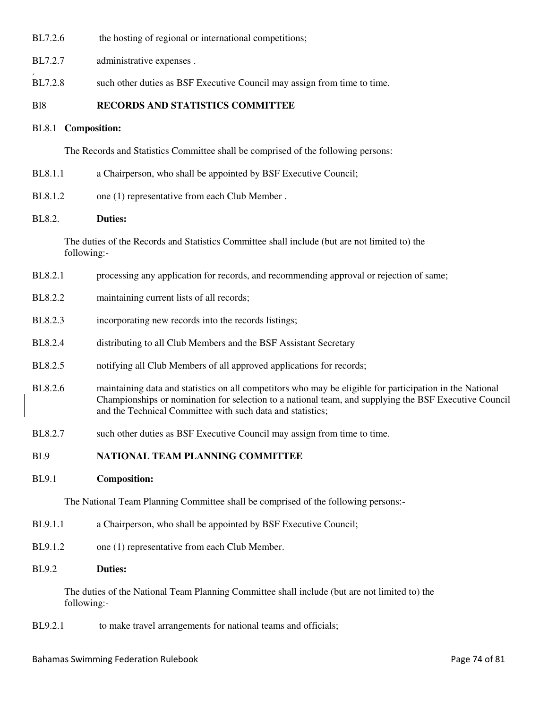BL7.2.6 the hosting of regional or international competitions;

BL7.2.7 administrative expenses.

BL7.2.8 such other duties as BSF Executive Council may assign from time to time.

## Bl8 **RECORDS AND STATISTICS COMMITTEE**

### BL8.1 **Composition:**

.

The Records and Statistics Committee shall be comprised of the following persons:

- BL8.1.1 a Chairperson, who shall be appointed by BSF Executive Council;
- BL8.1.2 one (1) representative from each Club Member.

#### BL8.2. **Duties:**

The duties of the Records and Statistics Committee shall include (but are not limited to) the following:-

- BL8.2.1 processing any application for records, and recommending approval or rejection of same;
- BL8.2.2 maintaining current lists of all records;
- BL8.2.3 incorporating new records into the records listings;
- BL8.2.4 distributing to all Club Members and the BSF Assistant Secretary
- BL8.2.5 notifying all Club Members of all approved applications for records;
- BL8.2.6 maintaining data and statistics on all competitors who may be eligible for participation in the National Championships or nomination for selection to a national team, and supplying the BSF Executive Council and the Technical Committee with such data and statistics;
- BL8.2.7 such other duties as BSF Executive Council may assign from time to time.

#### BL9 **NATIONAL TEAM PLANNING COMMITTEE**

#### BL9.1 **Composition:**

The National Team Planning Committee shall be comprised of the following persons:-

- BL9.1.1 a Chairperson, who shall be appointed by BSF Executive Council;
- BL9.1.2 one (1) representative from each Club Member.

#### BL9.2 **Duties:**

The duties of the National Team Planning Committee shall include (but are not limited to) the following:-

BL9.2.1 to make travel arrangements for national teams and officials;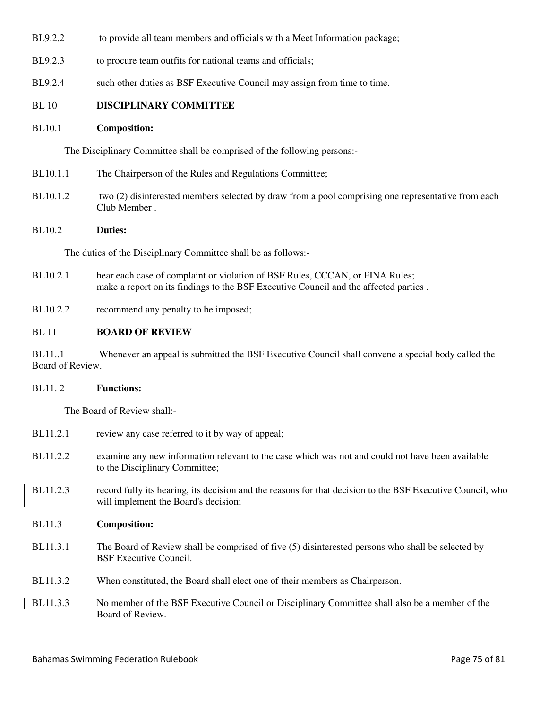- BL9.2.2 to provide all team members and officials with a Meet Information package;
- BL9.2.3 to procure team outfits for national teams and officials;
- BL9.2.4 such other duties as BSF Executive Council may assign from time to time.

# BL 10 **DISCIPLINARY COMMITTEE**

# BL10.1 **Composition:**

The Disciplinary Committee shall be comprised of the following persons:-

- BL10.1.1 The Chairperson of the Rules and Regulations Committee;
- BL10.1.2 two (2) disinterested members selected by draw from a pool comprising one representative from each Club Member .

# BL10.2 **Duties:**

The duties of the Disciplinary Committee shall be as follows:-

- BL10.2.1 hear each case of complaint or violation of BSF Rules, CCCAN, or FINA Rules; make a report on its findings to the BSF Executive Council and the affected parties .
- BL10.2.2 recommend any penalty to be imposed;

# BL 11 **BOARD OF REVIEW**

BL11..1 Whenever an appeal is submitted the BSF Executive Council shall convene a special body called the Board of Review.

# BL11. 2 **Functions:**

The Board of Review shall:-

| <b>BL11.2.1</b> | review any case referred to it by way of appeal;                                                                                                   |
|-----------------|----------------------------------------------------------------------------------------------------------------------------------------------------|
| BL11.2.2        | examine any new information relevant to the case which was not and could not have been available<br>to the Disciplinary Committee;                 |
| BL11.2.3        | record fully its hearing, its decision and the reasons for that decision to the BSF Executive Council, who<br>will implement the Board's decision; |
| <b>BL11.3</b>   | <b>Composition:</b>                                                                                                                                |
| <b>BL11.3.1</b> | The Board of Review shall be comprised of five (5) disinterested persons who shall be selected by<br><b>BSF</b> Executive Council.                 |
| <b>BL11.3.2</b> | When constituted, the Board shall elect one of their members as Chairperson.                                                                       |
| <b>BL11.3.3</b> | No member of the BSF Executive Council or Disciplinary Committee shall also be a member of the<br>Board of Review.                                 |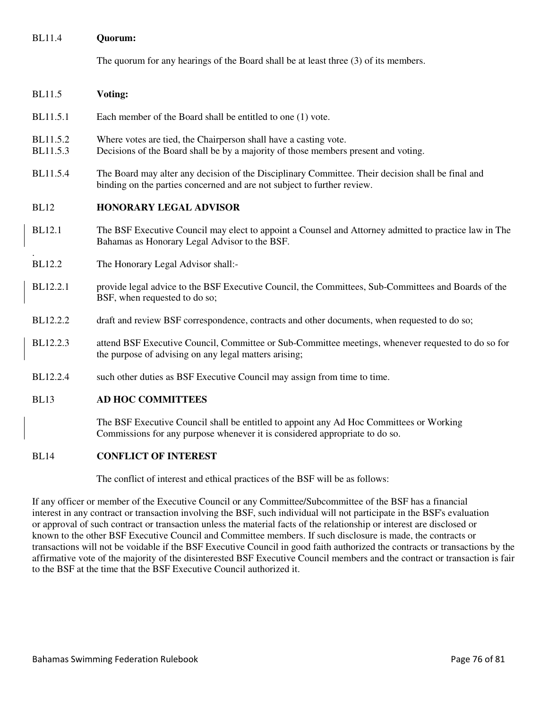## BL11.4 **Quorum:**

The quorum for any hearings of the Board shall be at least three (3) of its members.

## BL11.5 **Voting:**

.

- BL11.5.1 Each member of the Board shall be entitled to one (1) vote.
- BL11.5.2 Where votes are tied, the Chairperson shall have a casting vote.
- BL11.5.3 Decisions of the Board shall be by a majority of those members present and voting.
- BL11.5.4 The Board may alter any decision of the Disciplinary Committee. Their decision shall be final and binding on the parties concerned and are not subject to further review.

## BL12 **HONORARY LEGAL ADVISOR**

- BL12.1 The BSF Executive Council may elect to appoint a Counsel and Attorney admitted to practice law in The Bahamas as Honorary Legal Advisor to the BSF.
- BL12.2 The Honorary Legal Advisor shall:-
- BL12.2.1 provide legal advice to the BSF Executive Council, the Committees, Sub-Committees and Boards of the BSF, when requested to do so;
- BL12.2.2 draft and review BSF correspondence, contracts and other documents, when requested to do so;
- BL12.2.3 attend BSF Executive Council, Committee or Sub-Committee meetings, whenever requested to do so for the purpose of advising on any legal matters arising;
- BL12.2.4 such other duties as BSF Executive Council may assign from time to time.

### BL13 **AD HOC COMMITTEES**

The BSF Executive Council shall be entitled to appoint any Ad Hoc Committees or Working Commissions for any purpose whenever it is considered appropriate to do so.

#### BL14 **CONFLICT OF INTEREST**

The conflict of interest and ethical practices of the BSF will be as follows:

If any officer or member of the Executive Council or any Committee/Subcommittee of the BSF has a financial interest in any contract or transaction involving the BSF, such individual will not participate in the BSF's evaluation or approval of such contract or transaction unless the material facts of the relationship or interest are disclosed or known to the other BSF Executive Council and Committee members. If such disclosure is made, the contracts or transactions will not be voidable if the BSF Executive Council in good faith authorized the contracts or transactions by the affirmative vote of the majority of the disinterested BSF Executive Council members and the contract or transaction is fair to the BSF at the time that the BSF Executive Council authorized it.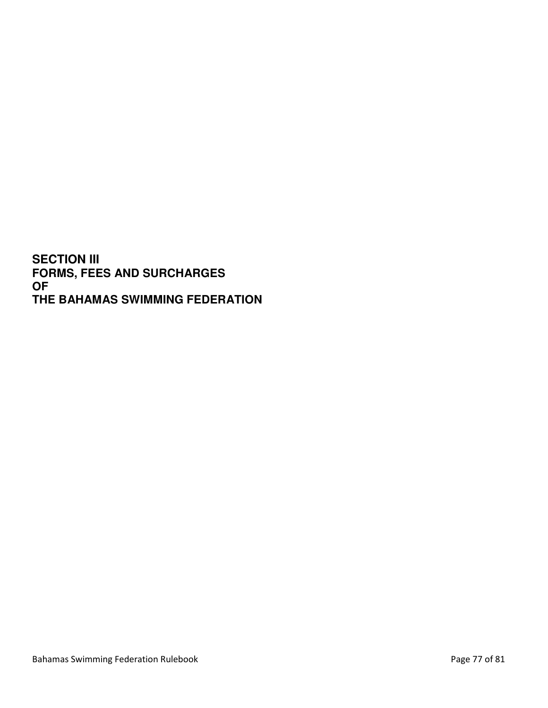**SECTION III FORMS, FEES AND SURCHARGES OF THE BAHAMAS SWIMMING FEDERATION**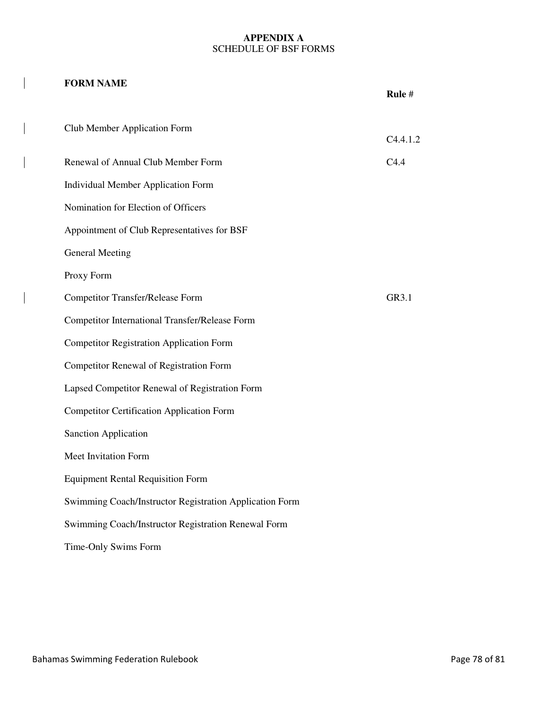## **APPENDIX A**  SCHEDULE OF BSF FORMS

# **FORM NAME**

 $\overline{\phantom{a}}$ 

 $\overline{\phantom{a}}$ 

|                                                         | Rule#    |
|---------------------------------------------------------|----------|
| Club Member Application Form                            |          |
|                                                         | C4.4.1.2 |
| Renewal of Annual Club Member Form                      | C4.4     |
| <b>Individual Member Application Form</b>               |          |
| Nomination for Election of Officers                     |          |
| Appointment of Club Representatives for BSF             |          |
| <b>General Meeting</b>                                  |          |
| Proxy Form                                              |          |
| <b>Competitor Transfer/Release Form</b>                 | GR3.1    |
| <b>Competitor International Transfer/Release Form</b>   |          |
| <b>Competitor Registration Application Form</b>         |          |
| <b>Competitor Renewal of Registration Form</b>          |          |
| Lapsed Competitor Renewal of Registration Form          |          |
| <b>Competitor Certification Application Form</b>        |          |
| Sanction Application                                    |          |
| Meet Invitation Form                                    |          |
| <b>Equipment Rental Requisition Form</b>                |          |
| Swimming Coach/Instructor Registration Application Form |          |
| Swimming Coach/Instructor Registration Renewal Form     |          |
| Time-Only Swims Form                                    |          |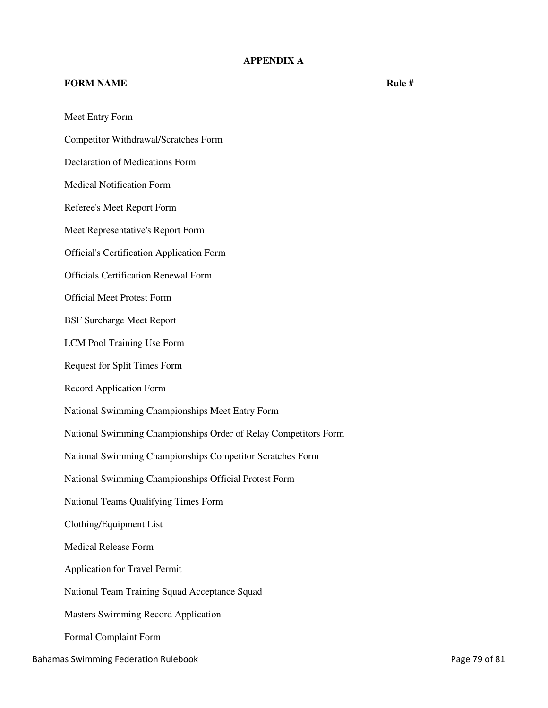# **APPENDIX A**

## **FORM NAME** Rule # **Rule # Rule # Rule # Rule #**

Meet Entry Form Competitor Withdrawal/Scratches Form Declaration of Medications Form Medical Notification Form Referee's Meet Report Form Meet Representative's Report Form Official's Certification Application Form Officials Certification Renewal Form Official Meet Protest Form BSF Surcharge Meet Report LCM Pool Training Use Form Request for Split Times Form Record Application Form National Swimming Championships Meet Entry Form National Swimming Championships Order of Relay Competitors Form National Swimming Championships Competitor Scratches Form National Swimming Championships Official Protest Form National Teams Qualifying Times Form Clothing/Equipment List Medical Release Form Application for Travel Permit National Team Training Squad Acceptance Squad Masters Swimming Record Application Formal Complaint Form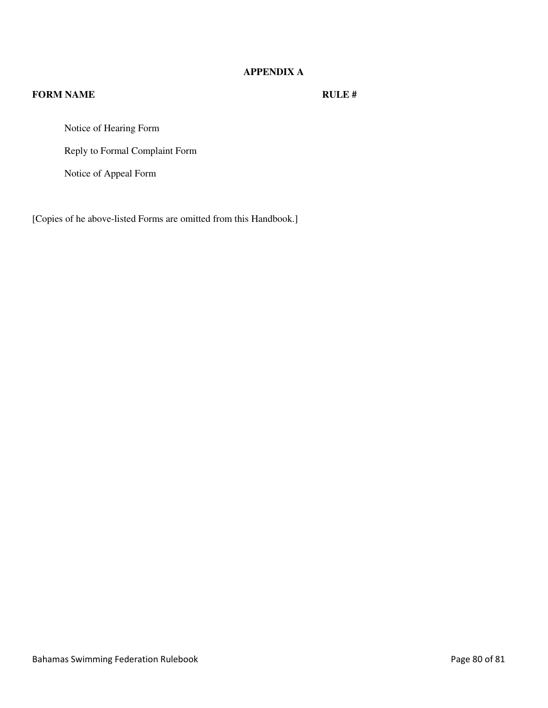# **APPENDIX A**

# **FORM NAME** RULE #

Notice of Hearing Form

Reply to Formal Complaint Form

Notice of Appeal Form

[Copies of he above-listed Forms are omitted from this Handbook.]